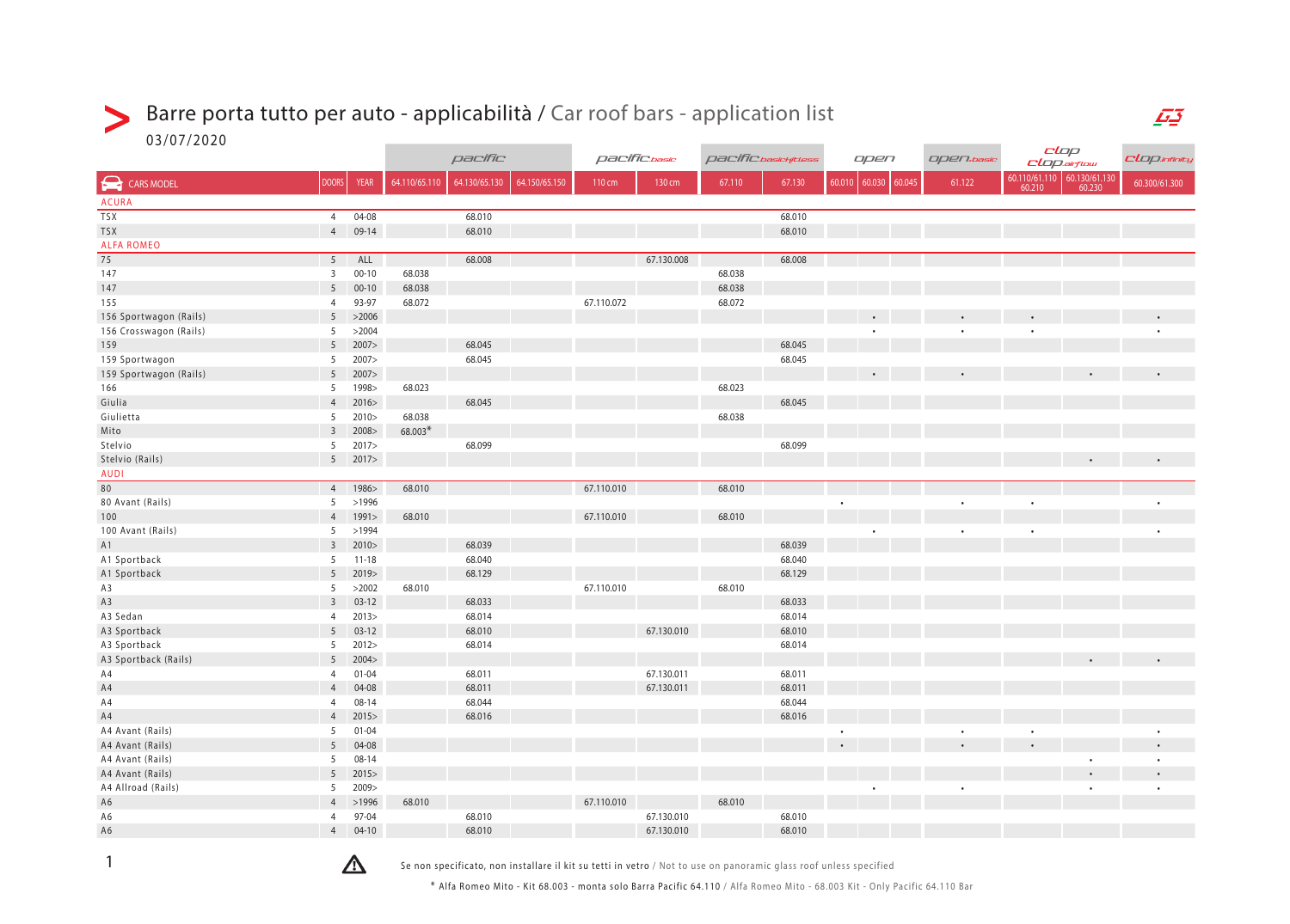#### Barre porta tutto per auto - applicabilità / Car roof bars - application list  $\blacktriangleright$

03/07/2020

|                        |                 |           |               | pacific       |               |            | pacific.basic |        | <i>pacific.basicHtless</i> | open             |        | Open.basic |           | clop<br><b>CLOP</b> .airflow                                                      | <b>CL</b> OP.infinity |
|------------------------|-----------------|-----------|---------------|---------------|---------------|------------|---------------|--------|----------------------------|------------------|--------|------------|-----------|-----------------------------------------------------------------------------------|-----------------------|
| CARS MODEL             | <b>DOORS</b>    | YEAR      | 64.110/65.110 | 64.130/65.130 | 64.150/65.150 | 110 cm     | 130 cm        | 67.110 | 67.130                     | 60.010<br>60.030 | 60.045 | 61.122     |           | $\begin{array}{c c} 60.110/61.110 & 60.130/61.130 \\ 60.210 & 60.230 \end{array}$ | 60.300/61.300         |
| <b>ACURA</b>           |                 |           |               |               |               |            |               |        |                            |                  |        |            |           |                                                                                   |                       |
| <b>TSX</b>             | $\overline{4}$  | 04-08     |               | 68.010        |               |            |               |        | 68.010                     |                  |        |            |           |                                                                                   |                       |
| TSX                    | $\overline{4}$  | 09-14     |               | 68.010        |               |            |               |        | 68.010                     |                  |        |            |           |                                                                                   |                       |
| <b>ALFA ROMEO</b>      |                 |           |               |               |               |            |               |        |                            |                  |        |            |           |                                                                                   |                       |
| 75                     | $5\overline{)}$ | ALL       |               | 68.008        |               |            | 67.130.008    |        | 68.008                     |                  |        |            |           |                                                                                   |                       |
| 147                    | $\overline{3}$  | $00 - 10$ | 68.038        |               |               |            |               | 68.038 |                            |                  |        |            |           |                                                                                   |                       |
| $147$                  | $5\overline{)}$ | $00-10$   | 68.038        |               |               |            |               | 68.038 |                            |                  |        |            |           |                                                                                   |                       |
| 155                    | $\overline{4}$  | 93-97     | 68.072        |               |               | 67.110.072 |               | 68.072 |                            |                  |        |            |           |                                                                                   |                       |
| 156 Sportwagon (Rails) | 5 <sup>5</sup>  | $>2006$   |               |               |               |            |               |        |                            |                  |        |            |           |                                                                                   |                       |
| 156 Crosswagon (Rails) | 5               | >2004     |               |               |               |            |               |        |                            |                  |        |            |           |                                                                                   |                       |
| 159                    | 5               | 2007      |               | 68.045        |               |            |               |        | 68.045                     |                  |        |            |           |                                                                                   |                       |
| 159 Sportwagon         | 5               | 2007>     |               | 68.045        |               |            |               |        | 68.045                     |                  |        |            |           |                                                                                   |                       |
| 159 Sportwagon (Rails) | 5               | 2007      |               |               |               |            |               |        |                            | $\bullet$        |        |            |           |                                                                                   |                       |
| 166                    | 5               | 1998>     | 68.023        |               |               |            |               | 68.023 |                            |                  |        |            |           |                                                                                   |                       |
| Giulia                 | $\overline{4}$  | 2016 >    |               | 68.045        |               |            |               |        | 68.045                     |                  |        |            |           |                                                                                   |                       |
| Giulietta              | 5               | 2010>     | 68.038        |               |               |            |               | 68.038 |                            |                  |        |            |           |                                                                                   |                       |
| Mito                   | $\overline{3}$  | 2008>     | 68.003*       |               |               |            |               |        |                            |                  |        |            |           |                                                                                   |                       |
| Stelvio                | 5               | 2017>     |               | 68.099        |               |            |               |        | 68.099                     |                  |        |            |           |                                                                                   |                       |
| Stelvio (Rails)        | 5 <sup>5</sup>  | 2017      |               |               |               |            |               |        |                            |                  |        |            |           |                                                                                   |                       |
| <b>AUDI</b>            |                 |           |               |               |               |            |               |        |                            |                  |        |            |           |                                                                                   |                       |
| 80                     | $\overline{4}$  | 1986>     | 68.010        |               |               | 67.110.010 |               | 68.010 |                            |                  |        |            |           |                                                                                   |                       |
| 80 Avant (Rails)       | 5               | >1996     |               |               |               |            |               |        |                            |                  |        | $\bullet$  | $\bullet$ |                                                                                   | $\bullet$             |
| 100                    | $\overline{4}$  | 1991>     | 68.010        |               |               | 67.110.010 |               | 68.010 |                            |                  |        |            |           |                                                                                   |                       |
| 100 Avant (Rails)      | 5 <sup>5</sup>  | >1994     |               |               |               |            |               |        |                            |                  |        |            |           |                                                                                   |                       |
| A1                     | $\overline{3}$  | 2010 >    |               | 68.039        |               |            |               |        | 68.039                     |                  |        |            |           |                                                                                   |                       |
| A1 Sportback           | 5               | $11 - 18$ |               | 68.040        |               |            |               |        | 68.040                     |                  |        |            |           |                                                                                   |                       |
| A1 Sportback           | 5               | 2019>     |               | 68.129        |               |            |               |        | 68.129                     |                  |        |            |           |                                                                                   |                       |
| $\mathsf A3$           | 5               | >2002     | 68.010        |               |               | 67.110.010 |               | 68.010 |                            |                  |        |            |           |                                                                                   |                       |
| A3                     | $\overline{3}$  | $03-12$   |               | 68.033        |               |            |               |        | 68.033                     |                  |        |            |           |                                                                                   |                       |
| A3 Sedan               | 4               | 2013 >    |               | 68.014        |               |            |               |        | 68.014                     |                  |        |            |           |                                                                                   |                       |
| A3 Sportback           | $\sqrt{5}$      | $03-12$   |               | 68.010        |               |            | 67.130.010    |        | 68.010                     |                  |        |            |           |                                                                                   |                       |
| A3 Sportback           | 5               | 2012      |               | 68.014        |               |            |               |        | 68.014                     |                  |        |            |           |                                                                                   |                       |
| A3 Sportback (Rails)   | 5               | 2004 >    |               |               |               |            |               |        |                            |                  |        |            |           |                                                                                   |                       |
| A4                     | $\overline{4}$  | $01 - 04$ |               | 68.011        |               |            | 67.130.011    |        | 68.011                     |                  |        |            |           |                                                                                   |                       |
| A4                     | $\overline{4}$  | 04-08     |               | 68.011        |               |            | 67.130.011    |        | 68.011                     |                  |        |            |           |                                                                                   |                       |
| AA                     | $\overline{4}$  | 08-14     |               | 68.044        |               |            |               |        | 68.044                     |                  |        |            |           |                                                                                   |                       |
| A4                     | $\overline{4}$  | 2015      |               | 68.016        |               |            |               |        | 68.016                     |                  |        |            |           |                                                                                   |                       |
| A4 Avant (Rails)       | 5               | $01 - 04$ |               |               |               |            |               |        |                            |                  |        |            |           |                                                                                   |                       |
| A4 Avant (Rails)       | 5               | 04-08     |               |               |               |            |               |        |                            |                  |        |            |           |                                                                                   |                       |
| A4 Avant (Rails)       | 5               | 08-14     |               |               |               |            |               |        |                            |                  |        |            |           |                                                                                   |                       |
| A4 Avant (Rails)       | 5               | 2015      |               |               |               |            |               |        |                            |                  |        |            |           |                                                                                   |                       |
| A4 Allroad (Rails)     | 5               | 2009>     |               |               |               |            |               |        |                            |                  |        |            |           |                                                                                   |                       |
| A6                     | $\overline{4}$  | >1996     | 68.010        |               |               | 67.110.010 |               | 68.010 |                            |                  |        |            |           |                                                                                   |                       |
| A6                     | $\overline{4}$  | 97-04     |               | 68.010        |               |            | 67.130.010    |        | 68.010                     |                  |        |            |           |                                                                                   |                       |
| A6                     | 4               | $04-10$   |               | 68.010        |               |            | 67.130.010    |        | 68.010                     |                  |        |            |           |                                                                                   |                       |
|                        |                 |           |               |               |               |            |               |        |                            |                  |        |            |           |                                                                                   |                       |



 $\Lambda$ 

Se non specificato, non installare il kit su tetti in vetro / Not to use on panoramic glass roof unless specified

\* Alfa Romeo Mito - Kit 68.003 - monta solo Barra Pacific 64.110 / Alfa Romeo Mito - 68.003 Kit - Only Pacific 64.110 Bar

<u>تيتا</u>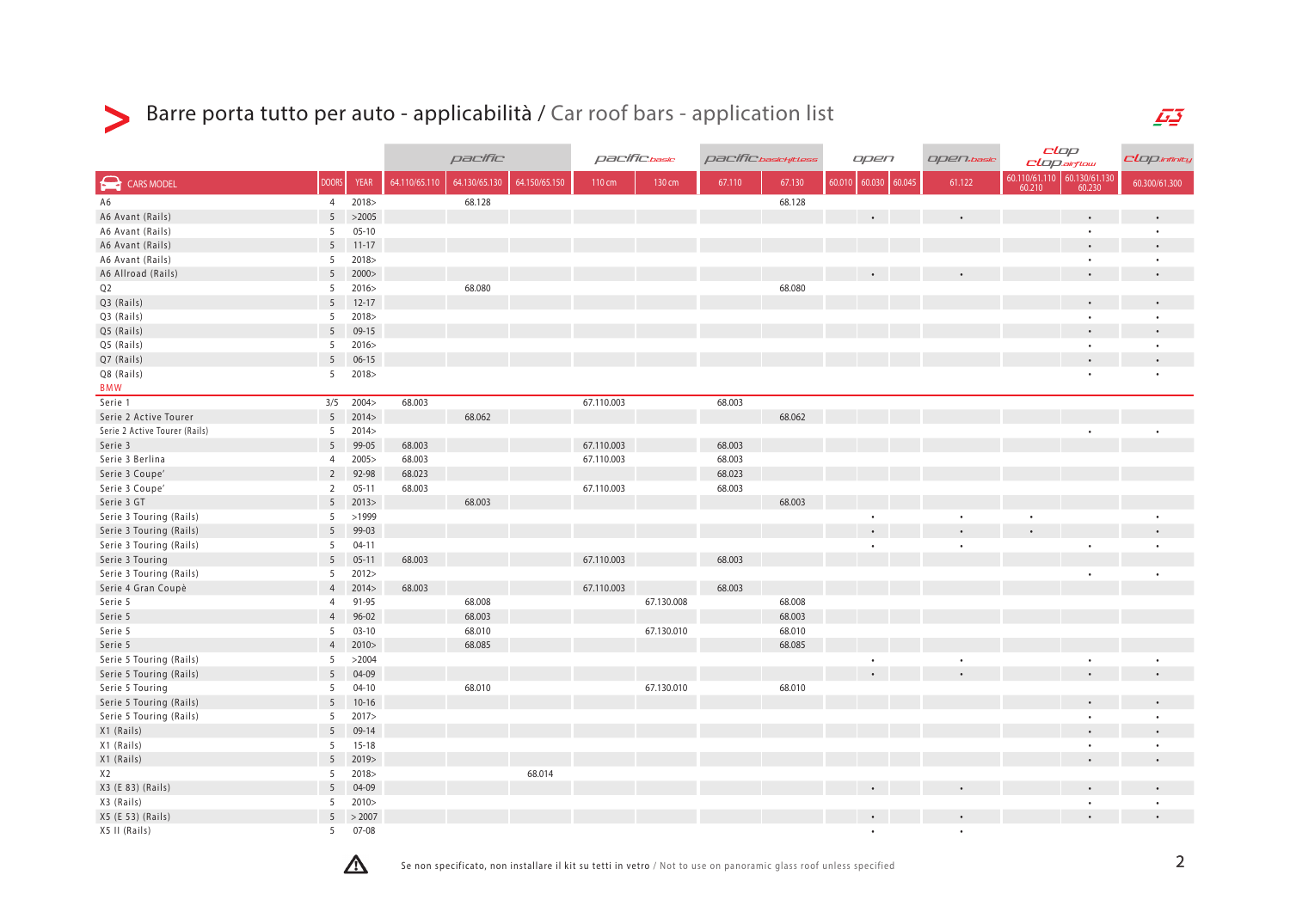|                               |                 |             |               | pacific       |               | <i><b>Pacific.basic</b></i> |            | pacific.basicHtless |        |                 | open      | Open.basic | clop<br><b>CLOP</b> .airflow          |           | <b>CL</b> OP.infinity |
|-------------------------------|-----------------|-------------|---------------|---------------|---------------|-----------------------------|------------|---------------------|--------|-----------------|-----------|------------|---------------------------------------|-----------|-----------------------|
| CARS MODEL                    | <b>DOORS</b>    | <b>YEAR</b> | 64.110/65.110 | 64.130/65.130 | 64.150/65.150 | 110 cm                      | 130 cm     | 67.110              | 67.130 | $60.010$ 60.030 | 60.045    | 61.122     | 60.110/61.110 60.130/61.130<br>60.210 | 60.230    | 60.300/61.300         |
| A6                            | 4               | 2018>       |               | 68.128        |               |                             |            |                     | 68.128 |                 |           |            |                                       |           |                       |
| A6 Avant (Rails)              | $5\overline{)}$ | >2005       |               |               |               |                             |            |                     |        |                 |           |            |                                       |           |                       |
| A6 Avant (Rails)              | 5               | $05 - 10$   |               |               |               |                             |            |                     |        |                 |           |            |                                       | $\bullet$ | $\bullet$             |
| A6 Avant (Rails)              | 5               | $11 - 17$   |               |               |               |                             |            |                     |        |                 |           |            |                                       |           |                       |
| A6 Avant (Rails)              | 5 <sup>5</sup>  | 2018>       |               |               |               |                             |            |                     |        |                 |           |            |                                       |           | $\bullet$             |
| A6 Allroad (Rails)            | 5               | 2000        |               |               |               |                             |            |                     |        |                 |           |            |                                       |           |                       |
| Q2                            | 5 <sup>5</sup>  | 2016>       |               | 68.080        |               |                             |            |                     | 68.080 |                 |           |            |                                       |           |                       |
| Q3 (Rails)                    | 5               | $12 - 17$   |               |               |               |                             |            |                     |        |                 |           |            |                                       | $\bullet$ | $\bullet$             |
| Q3 (Rails)                    | 5 <sup>5</sup>  | 2018>       |               |               |               |                             |            |                     |        |                 |           |            |                                       | $\bullet$ | $\bullet$             |
| Q5 (Rails)                    | 5               | $09-15$     |               |               |               |                             |            |                     |        |                 |           |            |                                       |           |                       |
| Q5 (Rails)                    | 5 <sup>5</sup>  | 2016>       |               |               |               |                             |            |                     |        |                 |           |            |                                       |           | $\bullet$             |
| Q7 (Rails)                    | 5               | $06-15$     |               |               |               |                             |            |                     |        |                 |           |            |                                       |           |                       |
| Q8 (Rails)                    | 5 <sup>5</sup>  | 2018>       |               |               |               |                             |            |                     |        |                 |           |            |                                       |           |                       |
| <b>BMW</b>                    |                 |             |               |               |               |                             |            |                     |        |                 |           |            |                                       |           |                       |
| Serie 1                       | $3/5$           | 2004 >      | 68.003        |               |               | 67.110.003                  |            | 68.003              |        |                 |           |            |                                       |           |                       |
| Serie 2 Active Tourer         | $5\overline{)}$ | 2014        |               | 68.062        |               |                             |            |                     | 68.062 |                 |           |            |                                       |           |                       |
| Serie 2 Active Tourer (Rails) | 5               | 2014        |               |               |               |                             |            |                     |        |                 |           |            |                                       |           |                       |
| Serie 3                       | $5\overline{)}$ | 99-05       | 68.003        |               |               | 67.110.003                  |            | 68.003              |        |                 |           |            |                                       |           |                       |
| Serie 3 Berlina               | $\overline{4}$  | 2005>       | 68.003        |               |               | 67.110.003                  |            | 68.003              |        |                 |           |            |                                       |           |                       |
| Serie 3 Coupe'                | $2^{\circ}$     | 92-98       | 68.023        |               |               |                             |            | 68.023              |        |                 |           |            |                                       |           |                       |
| Serie 3 Coupe'                | $\overline{2}$  | $05 - 11$   | 68.003        |               |               | 67.110.003                  |            | 68.003              |        |                 |           |            |                                       |           |                       |
| Serie 3 GT                    | $5\overline{)}$ | 2013 >      |               | 68.003        |               |                             |            |                     | 68.003 |                 |           |            |                                       |           |                       |
| Serie 3 Touring (Rails)       | $5\overline{)}$ | >1999       |               |               |               |                             |            |                     |        |                 |           |            |                                       |           |                       |
| Serie 3 Touring (Rails)       | 5               | 99-03       |               |               |               |                             |            |                     |        |                 | $\bullet$ |            |                                       |           |                       |
| Serie 3 Touring (Rails)       | 5 <sup>5</sup>  | $04-11$     |               |               |               |                             |            |                     |        |                 | $\bullet$ | $\bullet$  |                                       |           |                       |
| Serie 3 Touring               | 5               | $05 - 11$   | 68.003        |               |               | 67.110.003                  |            | 68.003              |        |                 |           |            |                                       |           |                       |
| Serie 3 Touring (Rails)       | 5 <sup>5</sup>  | 2012        |               |               |               |                             |            |                     |        |                 |           |            |                                       |           |                       |
| Serie 4 Gran Coupè            | $\overline{4}$  | 2014        | 68.003        |               |               | 67.110.003                  |            | 68.003              |        |                 |           |            |                                       |           |                       |
| Serie 5                       | 4               | 91-95       |               | 68.008        |               |                             | 67.130.008 |                     | 68.008 |                 |           |            |                                       |           |                       |
| Serie 5                       | $\overline{4}$  | $96 - 02$   |               | 68.003        |               |                             |            |                     | 68.003 |                 |           |            |                                       |           |                       |
| Serie 5                       | 5 <sub>5</sub>  | $03 - 10$   |               | 68.010        |               |                             | 67.130.010 |                     | 68.010 |                 |           |            |                                       |           |                       |
| Serie 5                       | $\overline{4}$  | 2010 >      |               | 68.085        |               |                             |            |                     | 68.085 |                 |           |            |                                       |           |                       |
| Serie 5 Touring (Rails)       | 5               | >2004       |               |               |               |                             |            |                     |        |                 |           |            |                                       |           |                       |
| Serie 5 Touring (Rails)       | $5\overline{)}$ | 04-09       |               |               |               |                             |            |                     |        |                 |           |            |                                       |           |                       |
| Serie 5 Touring               | 5               | $04 - 10$   |               | 68.010        |               |                             | 67.130.010 |                     | 68.010 |                 |           |            |                                       |           |                       |
| Serie 5 Touring (Rails)       | $5\overline{)}$ | $10 - 16$   |               |               |               |                             |            |                     |        |                 |           |            |                                       |           |                       |
| Serie 5 Touring (Rails)       | 5               | 2017>       |               |               |               |                             |            |                     |        |                 |           |            |                                       |           | $\bullet$             |
| X1 (Rails)                    | $5\overline{)}$ | $09-14$     |               |               |               |                             |            |                     |        |                 |           |            |                                       |           | $\bullet$             |
| X1 (Rails)                    | 5               | $15 - 18$   |               |               |               |                             |            |                     |        |                 |           |            |                                       | $\bullet$ | $\bullet$             |
| X1 (Rails)                    | 5               | 2019>       |               |               |               |                             |            |                     |        |                 |           |            |                                       |           | $\bullet$             |
| X <sub>2</sub>                | 5               | 2018>       |               |               | 68.014        |                             |            |                     |        |                 |           |            |                                       |           |                       |
| X3 (E 83) (Rails)             | $5\overline{)}$ | $04 - 09$   |               |               |               |                             |            |                     |        |                 |           |            |                                       |           |                       |
| X3 (Rails)                    | 5               | 2010>       |               |               |               |                             |            |                     |        |                 |           |            |                                       |           |                       |
| X5 (E 53) (Rails)             | 5               | >2007       |               |               |               |                             |            |                     |        |                 |           |            |                                       |           |                       |
| X5 II (Rails)                 | 5 <sup>7</sup>  | $07 - 08$   |               |               |               |                             |            |                     |        |                 | $\bullet$ | $\bullet$  |                                       |           |                       |

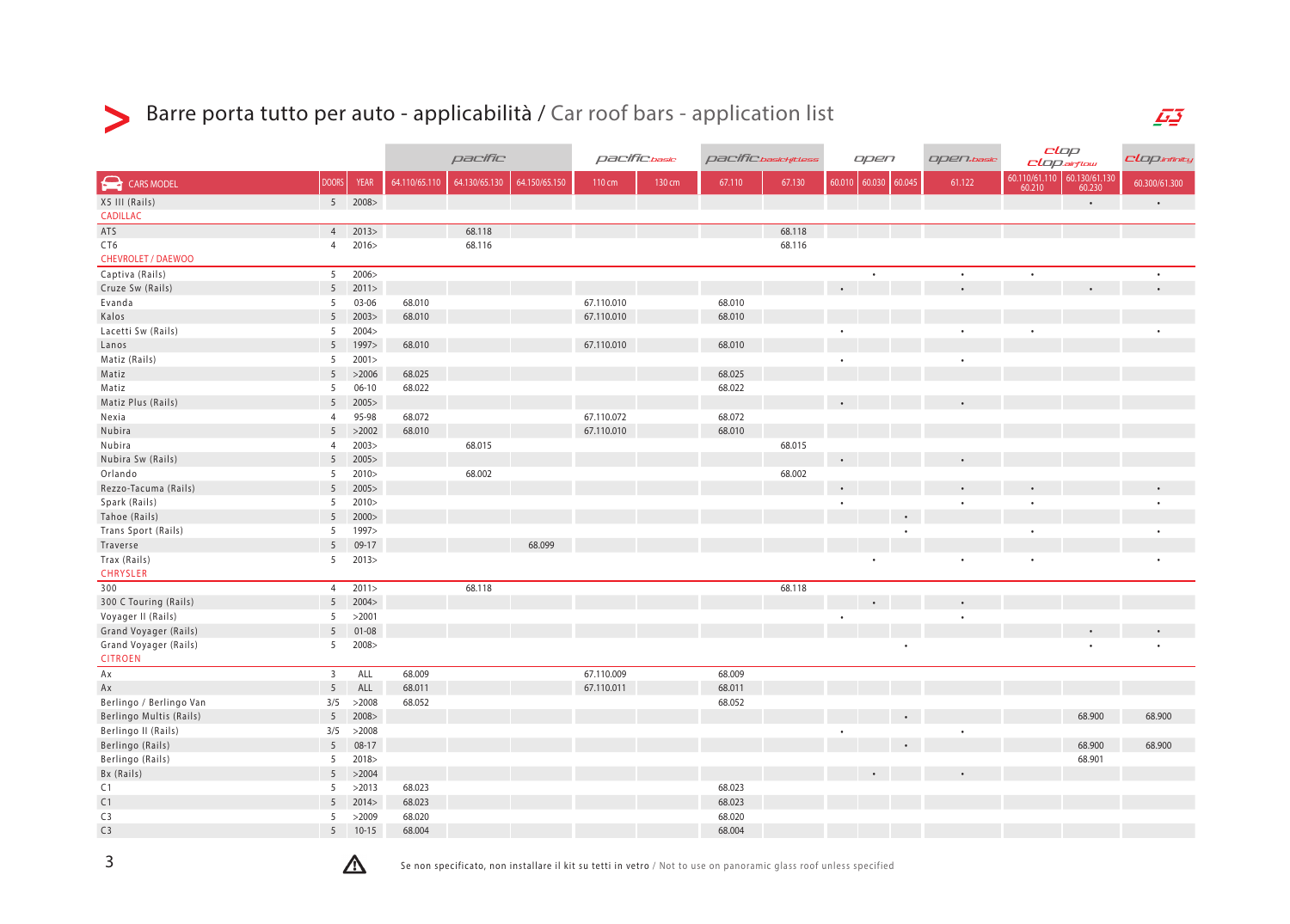|                         |                 |             |               | pacific       |               | <i>pacific.basic</i> |        | pacific.basicHitless |        |           | open            |        | Open.basic |                                       | clap<br><b>CLOP</b> .airflow | CLOp.infinity |
|-------------------------|-----------------|-------------|---------------|---------------|---------------|----------------------|--------|----------------------|--------|-----------|-----------------|--------|------------|---------------------------------------|------------------------------|---------------|
| CARS MODEL              | <b>DOORS</b>    | <b>YEAR</b> | 64.110/65.110 | 64.130/65.130 | 64.150/65.150 | 110 cm               | 130 cm | 67.110               | 67.130 |           | $60.010$ 60.030 | 60.045 | 61.122     | 60.110/61.110 60.130/61.130<br>60.210 | 60.230                       | 60.300/61.300 |
| X5 III (Rails)          |                 | $5$ 2008>   |               |               |               |                      |        |                      |        |           |                 |        |            |                                       |                              |               |
| CADILLAC                |                 |             |               |               |               |                      |        |                      |        |           |                 |        |            |                                       |                              |               |
| ATS                     | 4               | 2013 >      |               | 68.118        |               |                      |        |                      | 68.118 |           |                 |        |            |                                       |                              |               |
| CT6                     | $\overline{4}$  | 2016>       |               | 68.116        |               |                      |        |                      | 68.116 |           |                 |        |            |                                       |                              |               |
| CHEVROLET / DAEWOO      |                 |             |               |               |               |                      |        |                      |        |           |                 |        |            |                                       |                              |               |
| Captiva (Rails)         | $5\phantom{.0}$ | 2006>       |               |               |               |                      |        |                      |        |           | $\bullet$       |        | $\bullet$  | $\bullet$                             |                              | $\bullet$     |
| Cruze Sw (Rails)        | $5\phantom{.0}$ | 2011 >      |               |               |               |                      |        |                      |        |           |                 |        |            |                                       |                              |               |
| Evanda                  | 5               | 03-06       | 68.010        |               |               | 67.110.010           |        | 68.010               |        |           |                 |        |            |                                       |                              |               |
| Kalos                   | 5               | 2003>       | 68.010        |               |               | 67.110.010           |        | 68.010               |        |           |                 |        |            |                                       |                              |               |
| Lacetti Sw (Rails)      | 5               | 2004 >      |               |               |               |                      |        |                      |        |           |                 |        | ٠          | $\bullet$                             |                              |               |
| Lanos                   | 5               | 1997>       | 68.010        |               |               | 67.110.010           |        | 68.010               |        |           |                 |        |            |                                       |                              |               |
| Matiz (Rails)           | 5               | 2001 >      |               |               |               |                      |        |                      |        |           |                 |        | $\bullet$  |                                       |                              |               |
| Matiz                   | $5\overline{)}$ | >2006       | 68.025        |               |               |                      |        | 68.025               |        |           |                 |        |            |                                       |                              |               |
| Matiz                   | 5 <sup>5</sup>  | $06-10$     | 68.022        |               |               |                      |        | 68.022               |        |           |                 |        |            |                                       |                              |               |
| Matiz Plus (Rails)      | 5               | 2005 >      |               |               |               |                      |        |                      |        |           |                 |        |            |                                       |                              |               |
| Nexia                   | $\overline{4}$  | 95-98       | 68.072        |               |               | 67.110.072           |        | 68.072               |        |           |                 |        |            |                                       |                              |               |
| Nubira                  | 5               | >2002       | 68.010        |               |               | 67.110.010           |        | 68.010               |        |           |                 |        |            |                                       |                              |               |
| Nubira                  | $\overline{4}$  | 2003>       |               | 68.015        |               |                      |        |                      | 68.015 |           |                 |        |            |                                       |                              |               |
| Nubira Sw (Rails)       | 5               | 2005 >      |               |               |               |                      |        |                      |        |           |                 |        |            |                                       |                              |               |
| Orlando                 | 5               | 2010>       |               | 68.002        |               |                      |        |                      | 68.002 |           |                 |        |            |                                       |                              |               |
| Rezzo-Tacuma (Rails)    | $\overline{5}$  | 2005        |               |               |               |                      |        |                      |        |           |                 |        |            |                                       |                              |               |
| Spark (Rails)           | 5               | 2010>       |               |               |               |                      |        |                      |        | $\bullet$ |                 |        | $\bullet$  | $\bullet$                             |                              | $\bullet$     |
| Tahoe (Rails)           | 5               | 2000 >      |               |               |               |                      |        |                      |        |           |                 |        |            |                                       |                              |               |
| Trans Sport (Rails)     | 5 <sup>5</sup>  | 1997>       |               |               |               |                      |        |                      |        |           |                 |        |            | $\bullet$                             |                              | $\bullet$     |
| Traverse                | 5               | $09-17$     |               |               | 68.099        |                      |        |                      |        |           |                 |        |            |                                       |                              |               |
| Trax (Rails)            | 5 <sub>5</sub>  | 2013>       |               |               |               |                      |        |                      |        |           |                 |        |            |                                       |                              | $\bullet$     |
| CHRYSLER                |                 |             |               |               |               |                      |        |                      |        |           |                 |        |            |                                       |                              |               |
| 300                     | $\overline{4}$  | 2011        |               | 68.118        |               |                      |        |                      | 68.118 |           |                 |        |            |                                       |                              |               |
| 300 C Touring (Rails)   | $5\overline{)}$ | 2004 >      |               |               |               |                      |        |                      |        |           | $\bullet$       |        |            |                                       |                              |               |
| Voyager II (Rails)      | 5               | >2001       |               |               |               |                      |        |                      |        |           |                 |        | $\bullet$  |                                       |                              |               |
| Grand Voyager (Rails)   | $5\overline{)}$ | $01 - 08$   |               |               |               |                      |        |                      |        |           |                 |        |            |                                       |                              |               |
| Grand Voyager (Rails)   | 5               | 2008>       |               |               |               |                      |        |                      |        |           |                 |        |            |                                       |                              |               |
| <b>CITROEN</b>          |                 |             |               |               |               |                      |        |                      |        |           |                 |        |            |                                       |                              |               |
| $\mathsf{A}\mathsf{x}$  | $\overline{3}$  | ALL         | 68.009        |               |               | 67.110.009           |        | 68.009               |        |           |                 |        |            |                                       |                              |               |
| Ax                      | $5\phantom{.0}$ | ALL         | 68.011        |               |               | 67.110.011           |        | 68.011               |        |           |                 |        |            |                                       |                              |               |
| Berlingo / Berlingo Van | 3/5             | >2008       | 68.052        |               |               |                      |        | 68.052               |        |           |                 |        |            |                                       |                              |               |
| Berlingo Multis (Rails) | $\overline{5}$  | 2008>       |               |               |               |                      |        |                      |        |           |                 |        |            |                                       | 68.900                       | 68.900        |
| Berlingo II (Rails)     | 3/5             | >2008       |               |               |               |                      |        |                      |        |           |                 |        | $\bullet$  |                                       |                              |               |
| Berlingo (Rails)        | 5               | 08-17       |               |               |               |                      |        |                      |        |           |                 |        |            |                                       | 68.900                       | 68.900        |
| Berlingo (Rails)        | 5               | 2018>       |               |               |               |                      |        |                      |        |           |                 |        |            |                                       | 68.901                       |               |
| Bx (Rails)              | $5\overline{)}$ | >2004       |               |               |               |                      |        |                      |        |           |                 |        |            |                                       |                              |               |
| C1                      | 5               | >2013       | 68.023        |               |               |                      |        | 68.023               |        |           |                 |        |            |                                       |                              |               |
| C1                      | $\sqrt{5}$      | 2014 >      | 68.023        |               |               |                      |        | 68.023               |        |           |                 |        |            |                                       |                              |               |
| C3                      | 5               | >2009       | 68.020        |               |               |                      |        | 68.020               |        |           |                 |        |            |                                       |                              |               |
| C3                      | 5 <sup>5</sup>  | $10 - 15$   | 68.004        |               |               |                      |        | 68.004               |        |           |                 |        |            |                                       |                              |               |
|                         |                 |             |               |               |               |                      |        |                      |        |           |                 |        |            |                                       |                              |               |

 $\overline{F}$ 



3 Se non specificato, non installare il kit su tetti in vetro / Not to use on panoramic glass roof unless specified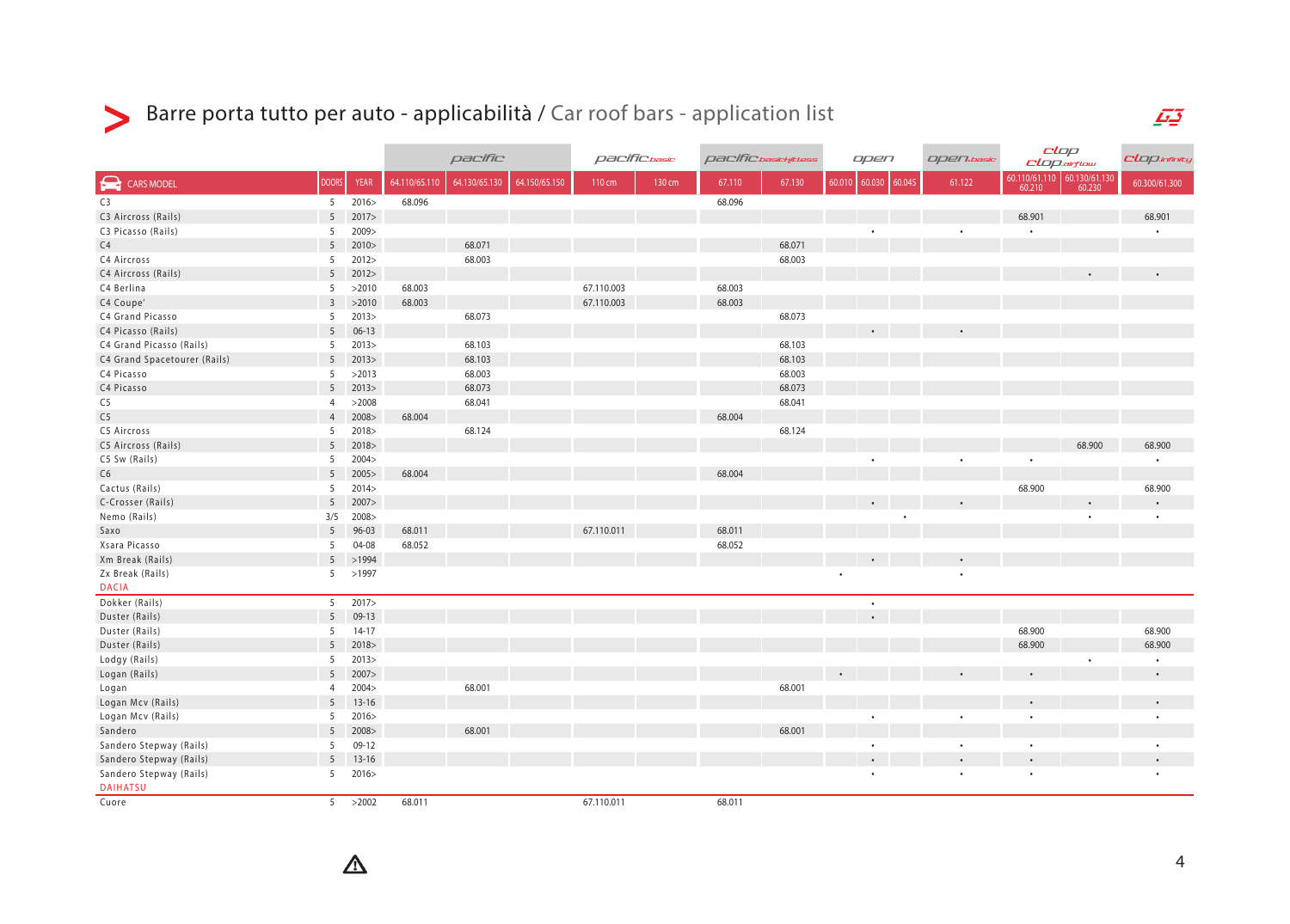|                              |                |           |               | pacific       |               | <i>pacific.basic</i> |        | <i><b>Pacific.basicHitless</b></i> |        |                 | open      | Open.basic |                         | clap<br>$cl$ D $D$ airflow                                                   | CLop.infinity |
|------------------------------|----------------|-----------|---------------|---------------|---------------|----------------------|--------|------------------------------------|--------|-----------------|-----------|------------|-------------------------|------------------------------------------------------------------------------|---------------|
| CARS MODEL                   | <b>DOORS</b>   | YEAR      | 64.110/65.110 | 64.130/65.130 | 64.150/65.150 | 110 cm               | 130 cm | 67.110                             | 67.130 | $60.010$ 60.030 | 60.045    | 61.122     | 60.110/61.110<br>60.210 | $\begin{array}{ c c }\n\hline\n60.130/61.130 \\ \hline\n60.230\n\end{array}$ | 60.300/61.300 |
| C3                           |                | 5 2016>   | 68.096        |               |               |                      |        | 68.096                             |        |                 |           |            |                         |                                                                              |               |
| C3 Aircross (Rails)          | 5              | 2017      |               |               |               |                      |        |                                    |        |                 |           |            | 68.901                  |                                                                              | 68.901        |
| C3 Picasso (Rails)           | 5              | 2009>     |               |               |               |                      |        |                                    |        |                 |           |            | $\bullet$               |                                                                              | $\bullet$     |
| C <sub>4</sub>               | 5              | 2010 >    |               | 68.071        |               |                      |        |                                    | 68.071 |                 |           |            |                         |                                                                              |               |
| C4 Aircross                  | 5              | 2012      |               | 68.003        |               |                      |        |                                    | 68.003 |                 |           |            |                         |                                                                              |               |
| C4 Aircross (Rails)          | 5              | 2012      |               |               |               |                      |        |                                    |        |                 |           |            |                         |                                                                              |               |
| C4 Berlina                   | 5 <sup>5</sup> | >2010     | 68.003        |               |               | 67.110.003           |        | 68.003                             |        |                 |           |            |                         |                                                                              |               |
| C4 Coupe'                    | $\overline{3}$ | >2010     | 68.003        |               |               | 67.110.003           |        | 68.003                             |        |                 |           |            |                         |                                                                              |               |
| C4 Grand Picasso             | 5              | 2013      |               | 68.073        |               |                      |        |                                    | 68.073 |                 |           |            |                         |                                                                              |               |
| C4 Picasso (Rails)           | 5              | $06-13$   |               |               |               |                      |        |                                    |        |                 | $\bullet$ |            |                         |                                                                              |               |
| C4 Grand Picasso (Rails)     | 5              | 2013      |               | 68.103        |               |                      |        |                                    | 68.103 |                 |           |            |                         |                                                                              |               |
| C4 Grand Spacetourer (Rails) | 5              | 2013>     |               | 68.103        |               |                      |        |                                    | 68.103 |                 |           |            |                         |                                                                              |               |
| C4 Picasso                   | 5              | >2013     |               | 68.003        |               |                      |        |                                    | 68.003 |                 |           |            |                         |                                                                              |               |
| C4 Picasso                   | 5              | 2013 >    |               | 68.073        |               |                      |        |                                    | 68.073 |                 |           |            |                         |                                                                              |               |
| C <sub>5</sub>               | $\overline{4}$ | >2008     |               | 68.041        |               |                      |        |                                    | 68.041 |                 |           |            |                         |                                                                              |               |
| $\mathsf{C}5$                | $\overline{4}$ | 2008>     | 68.004        |               |               |                      |        | 68.004                             |        |                 |           |            |                         |                                                                              |               |
| C5 Aircross                  | 5              | 2018>     |               | 68.124        |               |                      |        |                                    | 68.124 |                 |           |            |                         |                                                                              |               |
| C5 Aircross (Rails)          | 5              | 2018>     |               |               |               |                      |        |                                    |        |                 |           |            |                         | 68.900                                                                       | 68.900        |
| C5 Sw (Rails)                | 5 <sup>5</sup> | 2004>     |               |               |               |                      |        |                                    |        |                 |           |            |                         |                                                                              | $\bullet$     |
| C6                           | 5              | 2005      | 68.004        |               |               |                      |        | 68.004                             |        |                 |           |            |                         |                                                                              |               |
| Cactus (Rails)               | 5              | 2014      |               |               |               |                      |        |                                    |        |                 |           |            | 68.900                  |                                                                              | 68.900        |
| C-Crosser (Rails)            | 5              | 2007      |               |               |               |                      |        |                                    |        |                 |           |            |                         |                                                                              |               |
| Nemo (Rails)                 | 3/5            | 2008>     |               |               |               |                      |        |                                    |        |                 |           |            |                         |                                                                              | $\bullet$     |
| Saxo                         | 5              | $96 - 03$ | 68.011        |               |               | 67.110.011           |        | 68.011                             |        |                 |           |            |                         |                                                                              |               |
| Xsara Picasso                | 5 <sup>5</sup> | 04-08     | 68.052        |               |               |                      |        | 68.052                             |        |                 |           |            |                         |                                                                              |               |
| Xm Break (Rails)             | 5              | >1994     |               |               |               |                      |        |                                    |        |                 |           |            |                         |                                                                              |               |
| Zx Break (Rails)             |                | 5 >1997   |               |               |               |                      |        |                                    |        | $\bullet$       |           | $\bullet$  |                         |                                                                              |               |
| <b>DACIA</b>                 |                |           |               |               |               |                      |        |                                    |        |                 |           |            |                         |                                                                              |               |
| Dokker (Rails)               | 5 <sup>5</sup> | 2017>     |               |               |               |                      |        |                                    |        |                 | $\bullet$ |            |                         |                                                                              |               |
| Duster (Rails)               | 5 <sup>5</sup> | $09-13$   |               |               |               |                      |        |                                    |        |                 |           |            |                         |                                                                              |               |
| Duster (Rails)               | 5              | $14-17$   |               |               |               |                      |        |                                    |        |                 |           |            | 68.900                  |                                                                              | 68.900        |
| Duster (Rails)               | 5 <sup>7</sup> | 2018>     |               |               |               |                      |        |                                    |        |                 |           |            | 68.900                  |                                                                              | 68.900        |
| Lodgy (Rails)                | 5              | 2013      |               |               |               |                      |        |                                    |        |                 |           |            |                         |                                                                              | $\bullet$     |
| Logan (Rails)                | 5              | 2007      |               |               |               |                      |        |                                    |        |                 |           |            |                         |                                                                              | $\bullet$     |
| Logan                        | $\overline{4}$ | 2004>     |               | 68.001        |               |                      |        |                                    | 68.001 |                 |           |            |                         |                                                                              |               |
| Logan Mcv (Rails)            | 5              | $13 - 16$ |               |               |               |                      |        |                                    |        |                 |           |            |                         |                                                                              |               |
| Logan Mcv (Rails)            | 5              | 2016>     |               |               |               |                      |        |                                    |        |                 |           |            |                         |                                                                              | $\bullet$     |
| Sandero                      | 5              | 2008>     |               | 68.001        |               |                      |        |                                    | 68.001 |                 |           |            |                         |                                                                              |               |
| Sandero Stepway (Rails)      | 5              | $09-12$   |               |               |               |                      |        |                                    |        |                 |           |            |                         |                                                                              |               |
| Sandero Stepway (Rails)      | 5              | $13 - 16$ |               |               |               |                      |        |                                    |        |                 |           |            |                         |                                                                              | $\bullet$     |
| Sandero Stepway (Rails)      | 5 <sup>5</sup> | 2016>     |               |               |               |                      |        |                                    |        |                 | $\bullet$ |            | $\bullet$               |                                                                              | $\bullet$     |
| <b>DAIHATSU</b>              |                |           |               |               |               |                      |        |                                    |        |                 |           |            |                         |                                                                              |               |
| Cuore                        | 5 <sub>5</sub> | >2002     | 68.011        |               |               | 67.110.011           |        | 68.011                             |        |                 |           |            |                         |                                                                              |               |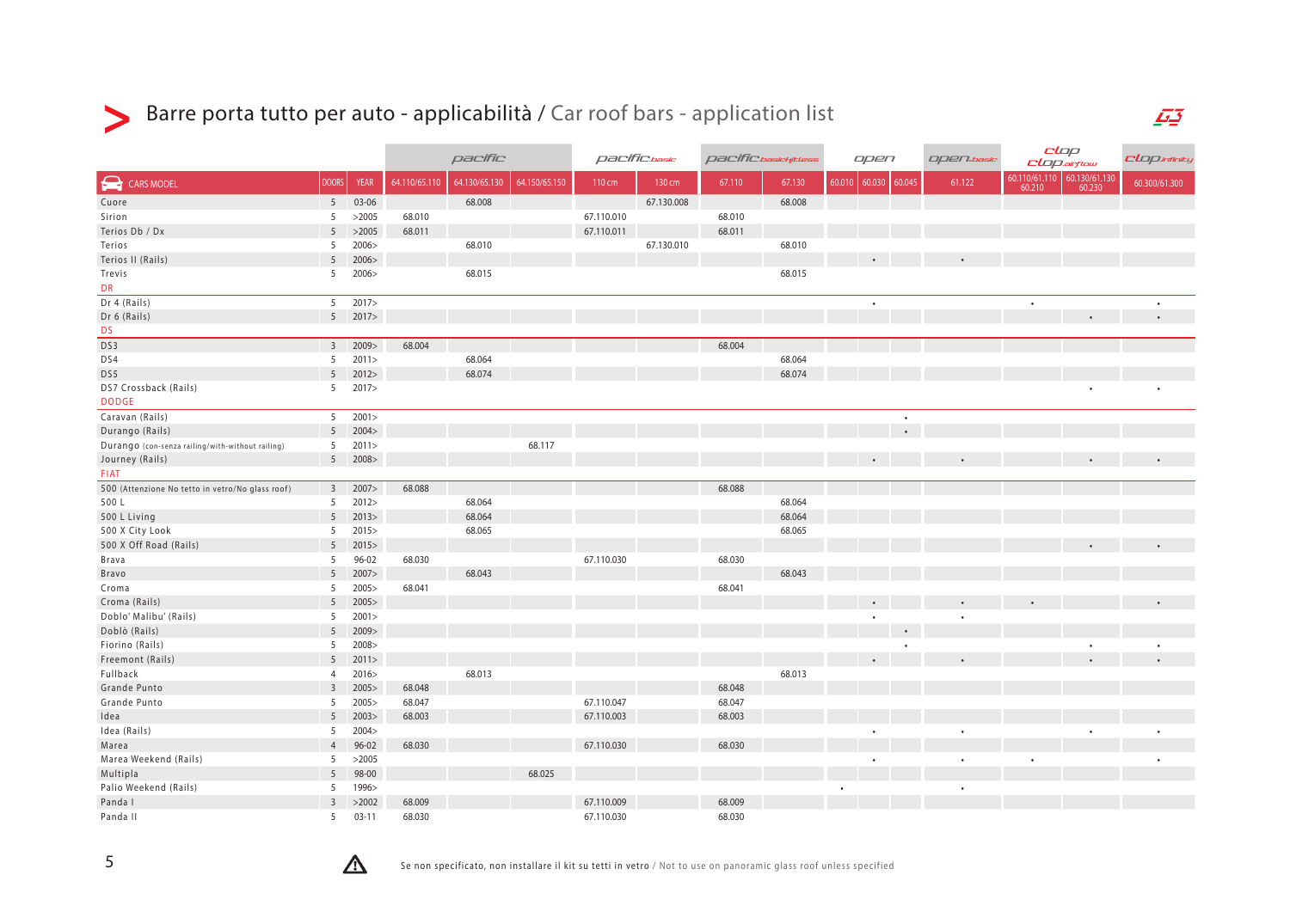|                                                  |                 |                |               | pacific       |               | <i>pacific.basic</i> |            |        | <i><b>Pacific.basicHtless</b></i> |        | open            |           | <b>Open.basic</b> |           | clap<br><b>CLOP</b> .airflow                                                             | <b>CL</b> OP.infinity |
|--------------------------------------------------|-----------------|----------------|---------------|---------------|---------------|----------------------|------------|--------|-----------------------------------|--------|-----------------|-----------|-------------------|-----------|------------------------------------------------------------------------------------------|-----------------------|
| CARS MODEL                                       | <b>DOORS</b>    | <b>YEAR</b>    | 64.110/65.110 | 64.130/65.130 | 64.150/65.150 | 110 cm               | 130 cm     | 67.110 | 67.130                            | 60.010 | 60.030   60.045 |           | 61.122            |           | $\begin{array}{c c} 60.110/61.110 & 60.130/61.130 \\ \hline 60.210 & 60.230 \end{array}$ | 60.300/61.300         |
| Cuore                                            |                 | 5 03-06        |               | 68.008        |               |                      | 67.130.008 |        | 68.008                            |        |                 |           |                   |           |                                                                                          |                       |
| Sirion                                           | 5               | >2005          | 68.010        |               |               | 67.110.010           |            | 68.010 |                                   |        |                 |           |                   |           |                                                                                          |                       |
| Terios Db / Dx                                   | 5 <sup>5</sup>  | >2005          | 68.011        |               |               | 67.110.011           |            | 68.011 |                                   |        |                 |           |                   |           |                                                                                          |                       |
| Terios                                           | 5               | 2006>          |               | 68.010        |               |                      | 67.130.010 |        | 68.010                            |        |                 |           |                   |           |                                                                                          |                       |
| Terios II (Rails)                                | 5               | 2006 >         |               |               |               |                      |            |        |                                   |        | $\bullet$       |           |                   |           |                                                                                          |                       |
| Trevis                                           | 5               | 2006>          |               | 68.015        |               |                      |            |        | 68.015                            |        |                 |           |                   |           |                                                                                          |                       |
| <b>DR</b>                                        |                 |                |               |               |               |                      |            |        |                                   |        |                 |           |                   |           |                                                                                          |                       |
| Dr 4 (Rails)                                     |                 | 5 2017>        |               |               |               |                      |            |        |                                   |        | $\bullet$       |           |                   | $\bullet$ |                                                                                          | $\bullet$             |
| Dr 6 (Rails)                                     |                 | 5 2017>        |               |               |               |                      |            |        |                                   |        |                 |           |                   |           | $\bullet$                                                                                | $\bullet$             |
| <b>DS</b>                                        |                 |                |               |               |               |                      |            |        |                                   |        |                 |           |                   |           |                                                                                          |                       |
| DS3                                              |                 | 3 2009>        | 68.004        |               |               |                      |            | 68.004 |                                   |        |                 |           |                   |           |                                                                                          |                       |
| DS4                                              | 5               | 2011 >         |               | 68.064        |               |                      |            |        | 68.064                            |        |                 |           |                   |           |                                                                                          |                       |
| DS5                                              | $5\phantom{.0}$ | 2012           |               | 68.074        |               |                      |            |        | 68.074                            |        |                 |           |                   |           |                                                                                          |                       |
| DS7 Crossback (Rails)                            | 5 <sup>5</sup>  | 2017>          |               |               |               |                      |            |        |                                   |        |                 |           |                   |           |                                                                                          |                       |
| <b>DODGE</b>                                     |                 |                |               |               |               |                      |            |        |                                   |        |                 |           |                   |           |                                                                                          |                       |
| Caravan (Rails)                                  | 5 <sup>7</sup>  | 2001 >         |               |               |               |                      |            |        |                                   |        |                 | $\bullet$ |                   |           |                                                                                          |                       |
| Durango (Rails)                                  | 5               | 2004 >         |               |               |               |                      |            |        |                                   |        |                 |           |                   |           |                                                                                          |                       |
| Durango (con-senza railing/with-without railing) | 5               | 2011>          |               |               | 68.117        |                      |            |        |                                   |        |                 |           |                   |           |                                                                                          |                       |
| Journey (Rails)                                  |                 | 5 2008>        |               |               |               |                      |            |        |                                   |        |                 |           |                   |           |                                                                                          |                       |
| <b>FIAT</b>                                      |                 |                |               |               |               |                      |            |        |                                   |        |                 |           |                   |           |                                                                                          |                       |
| 500 (Attenzione No tetto in vetro/No glass roof) | 3 <sup>7</sup>  | 2007           | 68.088        |               |               |                      |            | 68.088 |                                   |        |                 |           |                   |           |                                                                                          |                       |
| 500L                                             | 5 <sup>5</sup>  | 2012           |               | 68.064        |               |                      |            |        | 68.064                            |        |                 |           |                   |           |                                                                                          |                       |
| 500 L Living                                     | 5               | 2013>          |               | 68.064        |               |                      |            |        | 68.064                            |        |                 |           |                   |           |                                                                                          |                       |
| 500 X City Look                                  | 5               | 2015           |               | 68.065        |               |                      |            |        | 68.065                            |        |                 |           |                   |           |                                                                                          |                       |
| 500 X Off Road (Rails)                           | 5               | 2015           |               |               |               |                      |            |        |                                   |        |                 |           |                   |           |                                                                                          |                       |
| Brava                                            | 5               | $96 - 02$      | 68.030        |               |               | 67.110.030           |            | 68.030 |                                   |        |                 |           |                   |           |                                                                                          |                       |
| Bravo                                            | 5               | 2007           |               | 68.043        |               |                      |            |        | 68.043                            |        |                 |           |                   |           |                                                                                          |                       |
| Croma                                            | 5<br>5          | 2005>          | 68.041        |               |               |                      |            | 68.041 |                                   |        |                 |           |                   |           |                                                                                          |                       |
| Croma (Rails)<br>Doblo' Malibu' (Rails)          | 5               | 2005<br>2001 > |               |               |               |                      |            |        |                                   |        | $\bullet$       |           | $\bullet$         |           |                                                                                          |                       |
| Doblò (Rails)                                    | 5               | 2009>          |               |               |               |                      |            |        |                                   |        |                 | $\bullet$ |                   |           |                                                                                          |                       |
| Fiorino (Rails)                                  | 5               | 2008>          |               |               |               |                      |            |        |                                   |        |                 |           |                   |           |                                                                                          |                       |
| Freemont (Rails)                                 | 5               | 2011 >         |               |               |               |                      |            |        |                                   |        | $\bullet$       |           |                   |           |                                                                                          |                       |
| Fullback                                         | $\overline{4}$  | 2016>          |               | 68.013        |               |                      |            |        | 68.013                            |        |                 |           |                   |           |                                                                                          |                       |
| Grande Punto                                     | $\overline{3}$  | 2005           | 68.048        |               |               |                      |            | 68.048 |                                   |        |                 |           |                   |           |                                                                                          |                       |
| Grande Punto                                     | 5               | 2005>          | 68.047        |               |               | 67.110.047           |            | 68.047 |                                   |        |                 |           |                   |           |                                                                                          |                       |
| Idea                                             | 5               | 2003>          | 68.003        |               |               | 67.110.003           |            | 68.003 |                                   |        |                 |           |                   |           |                                                                                          |                       |
| Idea (Rails)                                     | 5               | 2004>          |               |               |               |                      |            |        |                                   |        | $\bullet$       |           | $\bullet$         |           |                                                                                          |                       |
| Marea                                            | $\overline{4}$  | $96 - 02$      | 68.030        |               |               | 67.110.030           |            | 68.030 |                                   |        |                 |           |                   |           |                                                                                          |                       |
| Marea Weekend (Rails)                            | 5 <sup>5</sup>  | >2005          |               |               |               |                      |            |        |                                   |        | $\bullet$       |           | $\bullet$         |           |                                                                                          |                       |
| Multipla                                         | 5 <sup>5</sup>  | 98-00          |               |               | 68.025        |                      |            |        |                                   |        |                 |           |                   |           |                                                                                          |                       |
| Palio Weekend (Rails)                            | 5               | 1996>          |               |               |               |                      |            |        |                                   |        |                 |           |                   |           |                                                                                          |                       |
| Panda I                                          | $\overline{3}$  | >2002          | 68.009        |               |               | 67.110.009           |            | 68.009 |                                   |        |                 |           |                   |           |                                                                                          |                       |
| Panda II                                         | 5               | $03 - 11$      | 68.030        |               |               | 67.110.030           |            | 68.030 |                                   |        |                 |           |                   |           |                                                                                          |                       |

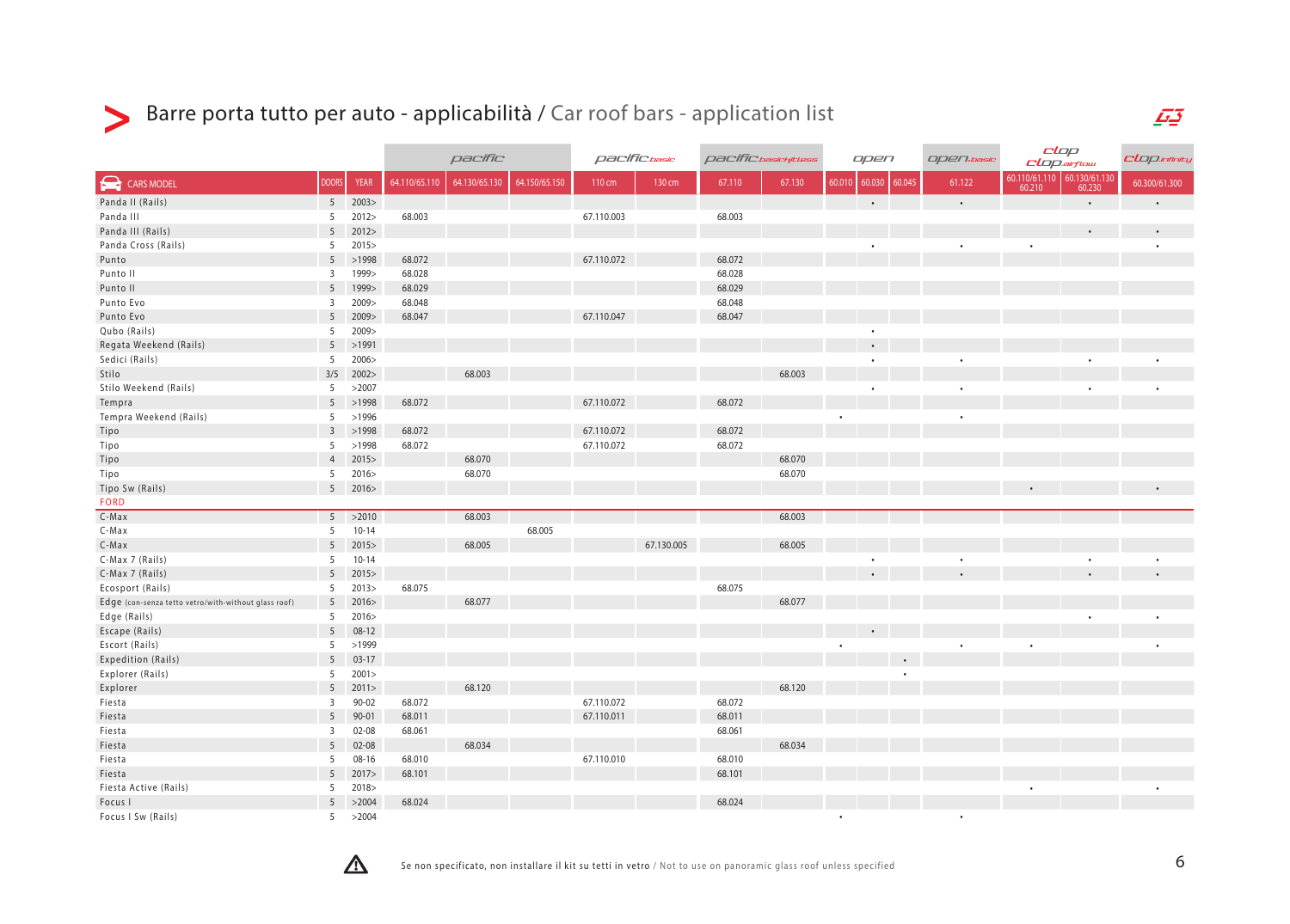|                                                      |                 |             |               | pacific       |               | <i>pacific.basic</i> |            |        | <i><b>Pacific.basicHitless</b></i> |                 | open      |        | Open.basic |                         | clop<br><b>CLOP</b> .airflow | CLop.infinity |
|------------------------------------------------------|-----------------|-------------|---------------|---------------|---------------|----------------------|------------|--------|------------------------------------|-----------------|-----------|--------|------------|-------------------------|------------------------------|---------------|
| CARS MODEL                                           | <b>DOORS</b>    | <b>YEAR</b> | 64.110/65.110 | 64.130/65.130 | 64.150/65.150 | 110 cm               | 130 cm     | 67.110 | 67.130                             | $60.010$ 60.030 |           | 60.045 | 61.122     | 60.110/61.110<br>60.210 | 60.130/61.130<br>60.230      | 60.300/61.300 |
| Panda II (Rails)                                     |                 | $5$ 2003>   |               |               |               |                      |            |        |                                    |                 |           |        |            |                         |                              |               |
| Panda III                                            | 5               | 2012        | 68.003        |               |               | 67.110.003           |            | 68.003 |                                    |                 |           |        |            |                         |                              |               |
| Panda III (Rails)                                    | $5\overline{)}$ | 2012        |               |               |               |                      |            |        |                                    |                 |           |        |            |                         |                              |               |
| Panda Cross (Rails)                                  | 5               | 2015        |               |               |               |                      |            |        |                                    |                 |           |        |            |                         |                              |               |
| Punto                                                | $5\overline{)}$ | >1998       | 68.072        |               |               | 67.110.072           |            | 68.072 |                                    |                 |           |        |            |                         |                              |               |
| Punto II                                             | 3               | 1999>       | 68.028        |               |               |                      |            | 68.028 |                                    |                 |           |        |            |                         |                              |               |
| Punto II                                             | 5               | 1999>       | 68.029        |               |               |                      |            | 68.029 |                                    |                 |           |        |            |                         |                              |               |
| Punto Evo                                            | 3               | 2009>       | 68.048        |               |               |                      |            | 68.048 |                                    |                 |           |        |            |                         |                              |               |
| Punto Evo                                            | 5               | 2009>       | 68.047        |               |               | 67.110.047           |            | 68.047 |                                    |                 |           |        |            |                         |                              |               |
| Qubo (Rails)                                         | 5               | 2009>       |               |               |               |                      |            |        |                                    |                 | $\bullet$ |        |            |                         |                              |               |
| Regata Weekend (Rails)                               | 5 <sup>5</sup>  | >1991       |               |               |               |                      |            |        |                                    |                 | $\bullet$ |        |            |                         |                              |               |
| Sedici (Rails)                                       | 5               | 2006>       |               |               |               |                      |            |        |                                    |                 |           |        |            |                         |                              |               |
| Stilo                                                | 3/5             | 2002        |               | 68.003        |               |                      |            |        | 68.003                             |                 |           |        |            |                         |                              |               |
| Stilo Weekend (Rails)                                | 5               | >2007       |               |               |               |                      |            |        |                                    |                 |           |        |            |                         |                              |               |
| Tempra                                               | 5               | >1998       | 68.072        |               |               | 67.110.072           |            | 68.072 |                                    |                 |           |        |            |                         |                              |               |
| Tempra Weekend (Rails)                               | 5               | >1996       |               |               |               |                      |            |        |                                    |                 |           |        |            |                         |                              |               |
| Tipo                                                 | $\overline{3}$  | >1998       | 68.072        |               |               | 67.110.072           |            | 68.072 |                                    |                 |           |        |            |                         |                              |               |
| Tipo                                                 | 5               | >1998       | 68.072        |               |               | 67.110.072           |            | 68.072 |                                    |                 |           |        |            |                         |                              |               |
| Tipo                                                 | $\overline{4}$  | 2015        |               | 68.070        |               |                      |            |        | 68.070                             |                 |           |        |            |                         |                              |               |
| Tipo                                                 | 5               | 2016>       |               | 68.070        |               |                      |            |        | 68.070                             |                 |           |        |            |                         |                              |               |
| Tipo Sw (Rails)                                      | 5               | 2016        |               |               |               |                      |            |        |                                    |                 |           |        |            |                         |                              |               |
| <b>FORD</b>                                          |                 |             |               |               |               |                      |            |        |                                    |                 |           |        |            |                         |                              |               |
| C-Max                                                | 5 <sub>5</sub>  | >2010       |               | 68.003        |               |                      |            |        | 68.003                             |                 |           |        |            |                         |                              |               |
| C-Max                                                | 5               | $10 - 14$   |               |               | 68.005        |                      |            |        |                                    |                 |           |        |            |                         |                              |               |
| C-Max                                                | 5               | 2015        |               | 68.005        |               |                      | 67.130.005 |        | 68.005                             |                 |           |        |            |                         |                              |               |
| C-Max 7 (Rails)                                      | 5               | $10-14$     |               |               |               |                      |            |        |                                    |                 |           |        |            |                         |                              |               |
| C-Max 7 (Rails)                                      | 5               | 2015        |               |               |               |                      |            |        |                                    |                 |           |        |            |                         |                              |               |
| Ecosport (Rails)                                     | 5               | 2013        | 68.075        |               |               |                      |            | 68.075 |                                    |                 |           |        |            |                         |                              |               |
| Edge (con-senza tetto vetro/with-without glass roof) | 5               | 2016        |               | 68.077        |               |                      |            |        | 68.077                             |                 |           |        |            |                         |                              |               |
| Edge (Rails)                                         | 5               | 2016>       |               |               |               |                      |            |        |                                    |                 |           |        |            |                         |                              |               |
| Escape (Rails)                                       | 5               | $08-12$     |               |               |               |                      |            |        |                                    |                 |           |        |            |                         |                              |               |
| Escort (Rails)                                       | 5               | >1999       |               |               |               |                      |            |        |                                    |                 |           |        |            |                         |                              |               |
| Expedition (Rails)                                   | 5               | $03 - 17$   |               |               |               |                      |            |        |                                    |                 |           |        |            |                         |                              |               |
| Explorer (Rails)                                     | 5               | 2001 >      |               |               |               |                      |            |        |                                    |                 |           |        |            |                         |                              |               |
| Explorer                                             | 5               | 2011>       |               | 68.120        |               |                      |            |        | 68.120                             |                 |           |        |            |                         |                              |               |
| Fiesta                                               | 3               | $90 - 02$   | 68.072        |               |               | 67.110.072           |            | 68.072 |                                    |                 |           |        |            |                         |                              |               |
| Fiesta                                               | 5               | $90 - 01$   | 68.011        |               |               | 67.110.011           |            | 68.011 |                                    |                 |           |        |            |                         |                              |               |
| Fiesta                                               | $\overline{3}$  | $02 - 08$   | 68.061        |               |               |                      |            | 68.061 |                                    |                 |           |        |            |                         |                              |               |
| Fiesta                                               | 5               | $02 - 08$   |               | 68.034        |               |                      |            |        | 68.034                             |                 |           |        |            |                         |                              |               |
| Fiesta                                               | 5               | 08-16       | 68.010        |               |               | 67.110.010           |            | 68.010 |                                    |                 |           |        |            |                         |                              |               |
| Fiesta                                               | 5               | 2017        | 68.101        |               |               |                      |            | 68.101 |                                    |                 |           |        |            |                         |                              |               |
| Fiesta Active (Rails)                                | 5               | 2018>       |               |               |               |                      |            |        |                                    |                 |           |        |            |                         |                              |               |
| Focus I                                              | 5               | >2004       | 68.024        |               |               |                      |            | 68.024 |                                    |                 |           |        |            |                         |                              |               |
| Focus I Sw (Rails)                                   | 5 <sup>5</sup>  | >2004       |               |               |               |                      |            |        |                                    | $\bullet$       |           |        | $\bullet$  |                         |                              |               |

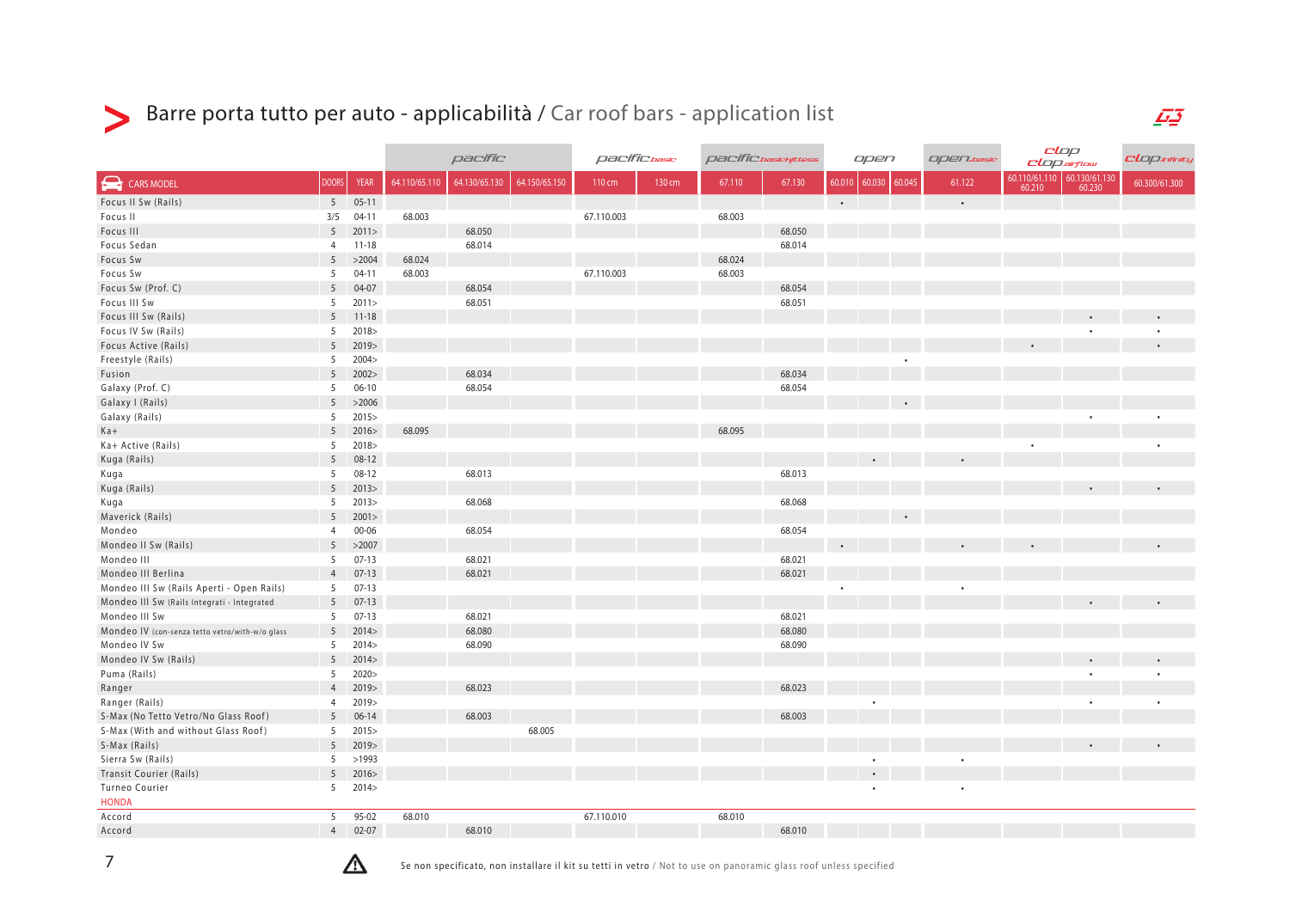|                                                 |                 |             |               | pacific       |               | pacific.basic |        |        | <i>pacific.basicHtless</i> |        | open             | Open.basic | clop                                                                                     | <b>CLOP</b> .airflow | <b>CL</b> OP.infinity |
|-------------------------------------------------|-----------------|-------------|---------------|---------------|---------------|---------------|--------|--------|----------------------------|--------|------------------|------------|------------------------------------------------------------------------------------------|----------------------|-----------------------|
| CARS MODEL                                      | <b>DOORS</b>    | <b>YEAR</b> | 64.110/65.110 | 64.130/65.130 | 64.150/65.150 | 110 cm        | 130 cm | 67.110 | 67.130                     | 60.010 | 60.045<br>60.030 | 61.122     | $\begin{array}{c c} 60.110/61.110 & 60.130/61.130 \\ \hline 60.210 & 60.230 \end{array}$ |                      | 60.300/61.300         |
| Focus II Sw (Rails)                             | 5 <sup>5</sup>  | $05 - 11$   |               |               |               |               |        |        |                            |        |                  |            |                                                                                          |                      |                       |
| Focus II                                        | 3/5             | $04-11$     | 68.003        |               |               | 67.110.003    |        | 68.003 |                            |        |                  |            |                                                                                          |                      |                       |
| Focus III                                       | 5               | 2011 >      |               | 68.050        |               |               |        |        | 68.050                     |        |                  |            |                                                                                          |                      |                       |
| Focus Sedan                                     | 4               | $11 - 18$   |               | 68.014        |               |               |        |        | 68.014                     |        |                  |            |                                                                                          |                      |                       |
| Focus Sw                                        | $5\overline{)}$ | >2004       | 68.024        |               |               |               |        | 68.024 |                            |        |                  |            |                                                                                          |                      |                       |
| Focus Sw                                        | 5               | $04-11$     | 68.003        |               |               | 67.110.003    |        | 68.003 |                            |        |                  |            |                                                                                          |                      |                       |
| Focus Sw (Prof. C)                              | 5               | 04-07       |               | 68.054        |               |               |        |        | 68.054                     |        |                  |            |                                                                                          |                      |                       |
| Focus III Sw                                    | 5               | 2011 >      |               | 68.051        |               |               |        |        | 68.051                     |        |                  |            |                                                                                          |                      |                       |
| Focus III Sw (Rails)                            | 5               | $11 - 18$   |               |               |               |               |        |        |                            |        |                  |            |                                                                                          |                      |                       |
| Focus IV Sw (Rails)                             | 5               | 2018>       |               |               |               |               |        |        |                            |        |                  |            |                                                                                          |                      |                       |
| Focus Active (Rails)                            | 5               | 2019>       |               |               |               |               |        |        |                            |        |                  |            |                                                                                          |                      |                       |
| Freestyle (Rails)                               | 5               | 2004        |               |               |               |               |        |        |                            |        |                  |            |                                                                                          |                      |                       |
| Fusion                                          | $5\phantom{.0}$ | 2002 >      |               | 68.034        |               |               |        |        | 68.034                     |        |                  |            |                                                                                          |                      |                       |
| Galaxy (Prof. C)                                | 5               | $06-10$     |               | 68.054        |               |               |        |        | 68.054                     |        |                  |            |                                                                                          |                      |                       |
| Galaxy I (Rails)                                | 5               | >2006       |               |               |               |               |        |        |                            |        |                  |            |                                                                                          |                      |                       |
| Galaxy (Rails)                                  | 5               | 2015        |               |               |               |               |        |        |                            |        |                  |            |                                                                                          |                      |                       |
| $Ka+$                                           | $5\phantom{.0}$ | 2016        | 68.095        |               |               |               |        | 68.095 |                            |        |                  |            |                                                                                          |                      |                       |
| Ka+ Active (Rails)                              | 5               | 2018>       |               |               |               |               |        |        |                            |        |                  |            |                                                                                          |                      |                       |
| Kuga (Rails)                                    | 5               | $08-12$     |               |               |               |               |        |        |                            |        |                  |            |                                                                                          |                      |                       |
| Kuga                                            | 5               | 08-12       |               | 68.013        |               |               |        |        | 68.013                     |        |                  |            |                                                                                          |                      |                       |
| Kuga (Rails)                                    | 5               | 2013>       |               |               |               |               |        |        |                            |        |                  |            |                                                                                          |                      |                       |
| Kuga                                            | 5               | 2013>       |               | 68.068        |               |               |        |        | 68.068                     |        |                  |            |                                                                                          |                      |                       |
| Maverick (Rails)                                | 5               | 2001 >      |               |               |               |               |        |        |                            |        |                  |            |                                                                                          |                      |                       |
| Mondeo                                          | $\overline{4}$  | 00-06       |               | 68.054        |               |               |        |        | 68.054                     |        |                  |            |                                                                                          |                      |                       |
| Mondeo II Sw (Rails)                            | 5               | >2007       |               |               |               |               |        |        |                            |        |                  |            |                                                                                          |                      |                       |
| Mondeo III                                      | 5 <sup>5</sup>  | $07-13$     |               | 68.021        |               |               |        |        | 68.021                     |        |                  |            |                                                                                          |                      |                       |
| Mondeo III Berlina                              | $\overline{4}$  | $07-13$     |               | 68.021        |               |               |        |        | 68.021                     |        |                  |            |                                                                                          |                      |                       |
| Mondeo III Sw (Rails Aperti - Open Rails)       | 5               | $07-13$     |               |               |               |               |        |        |                            |        |                  |            |                                                                                          |                      |                       |
| Mondeo III Sw (Rails Integrati - Integrated     | 5 <sup>5</sup>  | $07-13$     |               |               |               |               |        |        |                            |        |                  |            |                                                                                          |                      |                       |
| Mondeo III Sw                                   | 5               | $07-13$     |               | 68.021        |               |               |        |        | 68.021                     |        |                  |            |                                                                                          |                      |                       |
| Mondeo IV (con-senza tetto vetro/with-w/o glass | 5 <sup>5</sup>  | 2014        |               | 68.080        |               |               |        |        | 68.080                     |        |                  |            |                                                                                          |                      |                       |
| Mondeo IV Sw                                    | 5               | 2014        |               | 68.090        |               |               |        |        | 68.090                     |        |                  |            |                                                                                          |                      |                       |
| Mondeo IV Sw (Rails)                            | 5               | 2014        |               |               |               |               |        |        |                            |        |                  |            |                                                                                          |                      |                       |
| Puma (Rails)                                    | 5               | 2020>       |               |               |               |               |        |        |                            |        |                  |            |                                                                                          |                      |                       |
| Ranger                                          | $\overline{4}$  | 2019>       |               | 68.023        |               |               |        |        | 68.023                     |        |                  |            |                                                                                          |                      |                       |
| Ranger (Rails)                                  | $\overline{4}$  | 2019>       |               |               |               |               |        |        |                            |        |                  |            |                                                                                          | ٠                    | ٠                     |
| S-Max (No Tetto Vetro/No Glass Roof)            | $5\phantom{.0}$ | $06-14$     |               | 68.003        |               |               |        |        | 68.003                     |        |                  |            |                                                                                          |                      |                       |
| S-Max (With and without Glass Roof)             | 5               | 2015        |               |               | 68.005        |               |        |        |                            |        |                  |            |                                                                                          |                      |                       |
| S-Max (Rails)                                   | 5 <sup>5</sup>  | 2019>       |               |               |               |               |        |        |                            |        |                  |            |                                                                                          |                      |                       |
| Sierra Sw (Rails)                               | 5               | >1993       |               |               |               |               |        |        |                            |        |                  |            |                                                                                          |                      |                       |
| Transit Courier (Rails)                         | 5               | 2016 >      |               |               |               |               |        |        |                            |        |                  |            |                                                                                          |                      |                       |
| Turneo Courier                                  | 5               | 2014        |               |               |               |               |        |        |                            |        | $\bullet$        | $\bullet$  |                                                                                          |                      |                       |
| <b>HONDA</b>                                    |                 |             |               |               |               |               |        |        |                            |        |                  |            |                                                                                          |                      |                       |
| Accord                                          | 5               | 95-02       | 68.010        |               |               | 67.110.010    |        | 68.010 |                            |        |                  |            |                                                                                          |                      |                       |
| Accord                                          | 4               | $02 - 07$   |               | 68.010        |               |               |        |        | 68.010                     |        |                  |            |                                                                                          |                      |                       |
|                                                 |                 |             |               |               |               |               |        |        |                            |        |                  |            |                                                                                          |                      |                       |

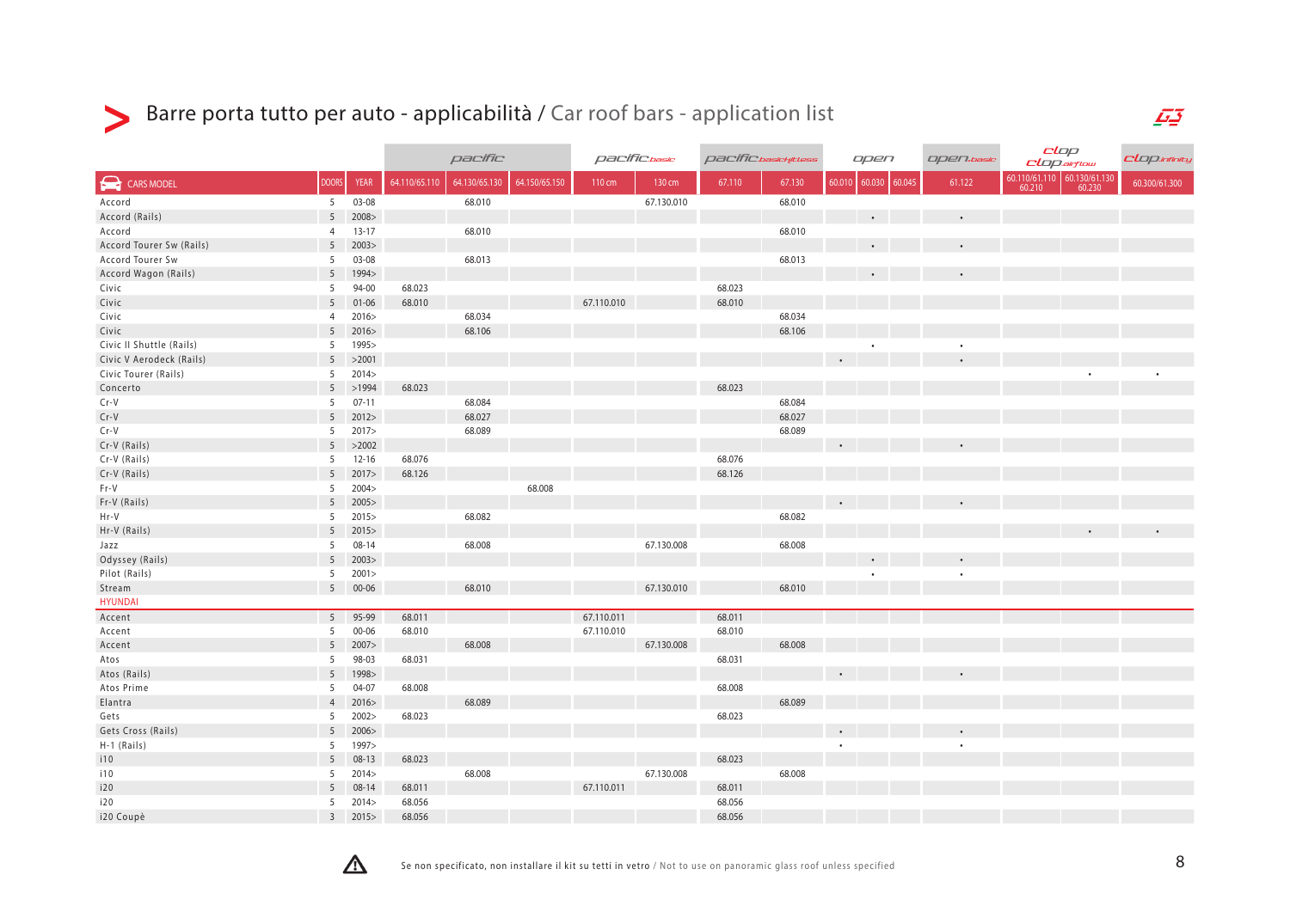|                          |                |             |               | pacific       |               | <i>pacific.basic</i> |            |        | <i>pacific.basicHttess</i> |                 | open        | Open.basic | clop<br><b>CLOP</b> .airflow                                                      | CLop.infinity |
|--------------------------|----------------|-------------|---------------|---------------|---------------|----------------------|------------|--------|----------------------------|-----------------|-------------|------------|-----------------------------------------------------------------------------------|---------------|
| CARS MODEL               | <b>DOORS</b>   | <b>YEAR</b> | 64.110/65.110 | 64.130/65.130 | 64.150/65.150 | 110 cm               | 130 cm     | 67.110 | 67.130                     | $60.010$ 60.030 | 60.045      | 61.122     | $\begin{array}{c c} 60.110/61.110 & 60.130/61.130 \\ 60.210 & 60.230 \end{array}$ | 60.300/61.300 |
| Accord                   | 5 <sup>5</sup> | 03-08       |               | 68.010        |               |                      | 67.130.010 |        | 68.010                     |                 |             |            |                                                                                   |               |
| Accord (Rails)           | 5              | 2008>       |               |               |               |                      |            |        |                            |                 |             |            |                                                                                   |               |
| Accord                   | $\overline{4}$ | $13 - 17$   |               | 68.010        |               |                      |            |        | 68.010                     |                 |             |            |                                                                                   |               |
| Accord Tourer Sw (Rails) | 5              | 2003>       |               |               |               |                      |            |        |                            |                 | $\bullet$ . |            |                                                                                   |               |
| Accord Tourer Sw         | 5              | 03-08       |               | 68.013        |               |                      |            |        | 68.013                     |                 |             |            |                                                                                   |               |
| Accord Wagon (Rails)     | 5              | 1994>       |               |               |               |                      |            |        |                            |                 |             |            |                                                                                   |               |
| Civic                    | 5              | 94-00       | 68.023        |               |               |                      |            | 68.023 |                            |                 |             |            |                                                                                   |               |
| Civic                    | 5              | $01 - 06$   | 68.010        |               |               | 67.110.010           |            | 68.010 |                            |                 |             |            |                                                                                   |               |
| Civic                    | $\overline{4}$ | 2016>       |               | 68.034        |               |                      |            |        | 68.034                     |                 |             |            |                                                                                   |               |
| Civic                    | 5              | 2016>       |               | 68.106        |               |                      |            |        | 68.106                     |                 |             |            |                                                                                   |               |
| Civic II Shuttle (Rails) | 5              | 1995>       |               |               |               |                      |            |        |                            |                 |             |            |                                                                                   |               |
| Civic V Aerodeck (Rails) | 5              | >2001       |               |               |               |                      |            |        |                            |                 |             |            |                                                                                   |               |
| Civic Tourer (Rails)     | 5              | 2014        |               |               |               |                      |            |        |                            |                 |             |            |                                                                                   |               |
| Concerto                 | 5              | >1994       | 68.023        |               |               |                      |            | 68.023 |                            |                 |             |            |                                                                                   |               |
| $Cr-V$                   | 5              | $07 - 11$   |               | 68.084        |               |                      |            |        | 68.084                     |                 |             |            |                                                                                   |               |
| $Cr-V$                   | 5              | 2012        |               | 68.027        |               |                      |            |        | 68.027                     |                 |             |            |                                                                                   |               |
| $Cr-V$                   | 5              | 2017>       |               | 68.089        |               |                      |            |        | 68.089                     |                 |             |            |                                                                                   |               |
| Cr-V (Rails)             | 5              | >2002       |               |               |               |                      |            |        |                            |                 |             |            |                                                                                   |               |
| Cr-V (Rails)             | 5 <sup>5</sup> | $12 - 16$   | 68.076        |               |               |                      |            | 68.076 |                            |                 |             |            |                                                                                   |               |
| Cr-V (Rails)             | 5              | 2017        | 68.126        |               |               |                      |            | 68.126 |                            |                 |             |            |                                                                                   |               |
| $Fr-V$                   | 5              | 2004 >      |               |               | 68.008        |                      |            |        |                            |                 |             |            |                                                                                   |               |
| Fr-V (Rails)             | 5              | 2005        |               |               |               |                      |            |        |                            |                 |             |            |                                                                                   |               |
| $Hr-V$                   | 5              | 2015        |               | 68.082        |               |                      |            |        | 68.082                     |                 |             |            |                                                                                   |               |
| Hr-V (Rails)             | 5              | 2015>       |               |               |               |                      |            |        |                            |                 |             |            |                                                                                   |               |
| Jazz                     | 5              | 08-14       |               | 68.008        |               |                      | 67.130.008 |        | 68.008                     |                 |             |            |                                                                                   |               |
| Odyssey (Rails)          | 5              | 2003 >      |               |               |               |                      |            |        |                            |                 |             |            |                                                                                   |               |
| Pilot (Rails)            | 5              | 2001 >      |               |               |               |                      |            |        |                            |                 |             |            |                                                                                   |               |
| Stream                   | 5 <sup>5</sup> | $00 - 06$   |               | 68.010        |               |                      | 67.130.010 |        | 68.010                     |                 |             |            |                                                                                   |               |
| <b>HYUNDAI</b>           |                |             |               |               |               |                      |            |        |                            |                 |             |            |                                                                                   |               |
| Accent                   | 5              | 95-99       | 68.011        |               |               | 67.110.011           |            | 68.011 |                            |                 |             |            |                                                                                   |               |
| Accent                   | 5              | $00 - 06$   | 68.010        |               |               | 67.110.010           |            | 68.010 |                            |                 |             |            |                                                                                   |               |
| Accent                   | 5              | 2007>       |               | 68.008        |               |                      | 67.130.008 |        | 68.008                     |                 |             |            |                                                                                   |               |
| Atos                     | 5              | 98-03       | 68.031        |               |               |                      |            | 68.031 |                            |                 |             |            |                                                                                   |               |
| Atos (Rails)             | 5 <sup>5</sup> | 1998>       |               |               |               |                      |            |        |                            |                 |             |            |                                                                                   |               |
| Atos Prime               | 5              | $04 - 07$   | 68.008        |               |               |                      |            | 68.008 |                            |                 |             |            |                                                                                   |               |
| Elantra                  | 4              | 2016>       |               | 68.089        |               |                      |            |        | 68.089                     |                 |             |            |                                                                                   |               |
| Gets                     | 5              | 2002>       | 68.023        |               |               |                      |            | 68.023 |                            |                 |             |            |                                                                                   |               |
| Gets Cross (Rails)       | 5              | 2006>       |               |               |               |                      |            |        |                            |                 |             |            |                                                                                   |               |
| H-1 (Rails)              | 5              | 1997>       |               |               |               |                      |            |        |                            |                 |             | $\bullet$  |                                                                                   |               |
| i10                      | 5              | $08-13$     | 68.023        |               |               |                      |            | 68.023 |                            |                 |             |            |                                                                                   |               |
| i10                      | 5              | 2014        |               | 68.008        |               |                      | 67.130.008 |        | 68.008                     |                 |             |            |                                                                                   |               |
| i20                      | 5              | $08 - 14$   | 68.011        |               |               | 67.110.011           |            | 68.011 |                            |                 |             |            |                                                                                   |               |
| i20                      | 5              | 2014        | 68.056        |               |               |                      |            | 68.056 |                            |                 |             |            |                                                                                   |               |
| i20 Coupè                | 3 <sup>7</sup> | 2015        | 68.056        |               |               |                      |            | 68.056 |                            |                 |             |            |                                                                                   |               |

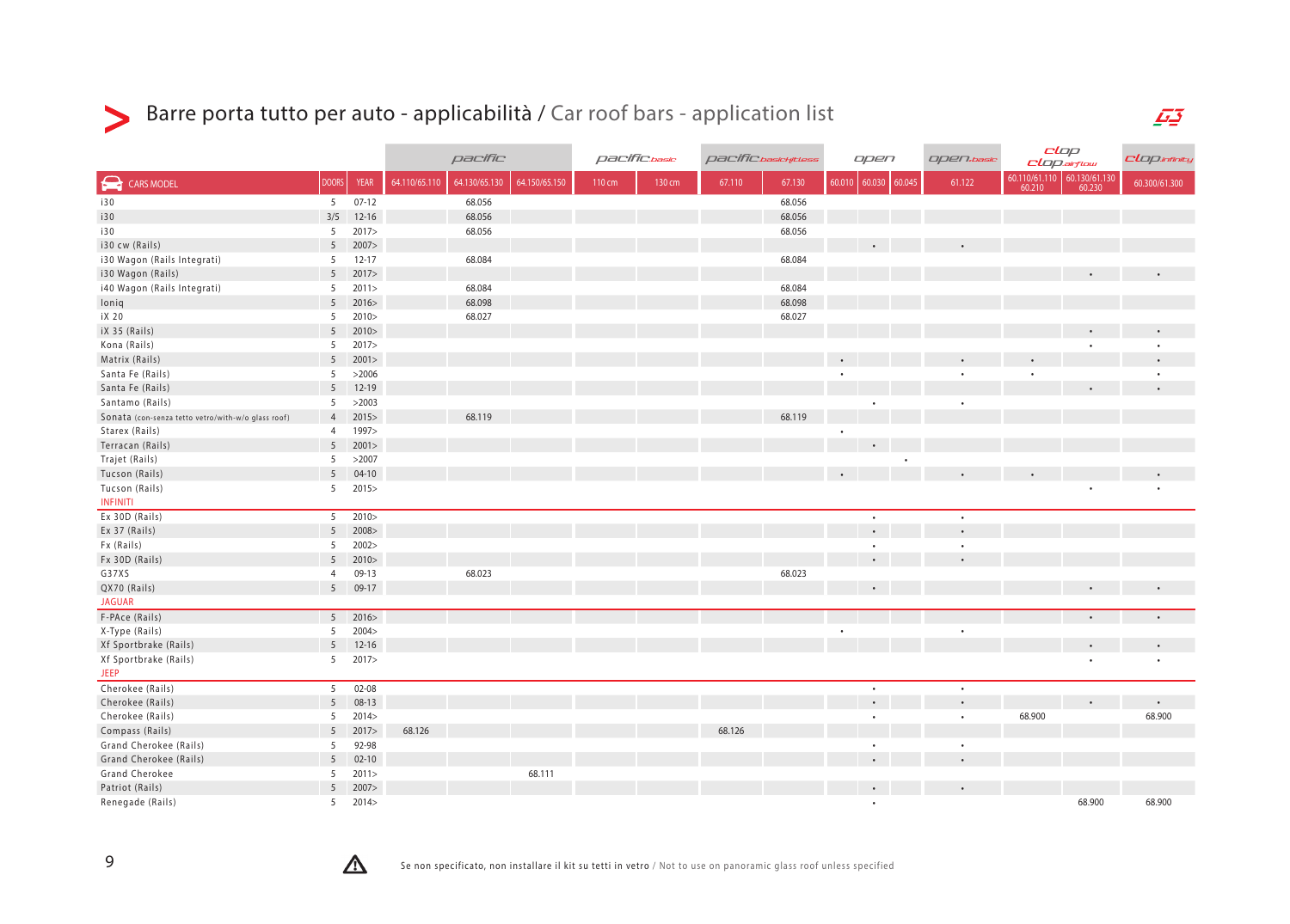|                                                    |                 |             | pacific                        |               |        | <i>pacific.basic</i> | <i><b>Pacific.basicHitless</b></i> |        | open             |        | Open.basic | clap<br><b>CL</b> OP.airflow                                                             |           | CLop.infinity |
|----------------------------------------------------|-----------------|-------------|--------------------------------|---------------|--------|----------------------|------------------------------------|--------|------------------|--------|------------|------------------------------------------------------------------------------------------|-----------|---------------|
| CARS MODEL                                         | <b>DOORS</b>    | <b>YEAR</b> | 64.110/65.110<br>64.130/65.130 | 64.150/65.150 | 110 cm | 130 cm               | 67.110                             | 67.130 | 60.010<br>60.030 | 60.045 | 61.122     | $\begin{array}{c c} 60.110/61.110 & 60.130/61.130 \\ \hline 60.210 & 60.230 \end{array}$ |           | 60.300/61.300 |
| i30                                                | 5 <sup>5</sup>  | $07-12$     | 68.056                         |               |        |                      |                                    | 68.056 |                  |        |            |                                                                                          |           |               |
| i30                                                | 3/5             | $12 - 16$   | 68.056                         |               |        |                      |                                    | 68.056 |                  |        |            |                                                                                          |           |               |
| i30                                                | 5               | 2017>       | 68.056                         |               |        |                      |                                    | 68.056 |                  |        |            |                                                                                          |           |               |
| i30 cw (Rails)                                     | 5               | 2007        |                                |               |        |                      |                                    |        |                  |        |            |                                                                                          |           |               |
| i30 Wagon (Rails Integrati)                        | 5               | $12 - 17$   | 68.084                         |               |        |                      |                                    | 68.084 |                  |        |            |                                                                                          |           |               |
| i30 Wagon (Rails)                                  | $5\overline{)}$ | 2017        |                                |               |        |                      |                                    |        |                  |        |            |                                                                                          |           |               |
| i40 Wagon (Rails Integrati)                        | 5               | 2011        | 68.084                         |               |        |                      |                                    | 68.084 |                  |        |            |                                                                                          |           |               |
| loniq                                              | 5               | 2016 >      | 68.098                         |               |        |                      |                                    | 68.098 |                  |        |            |                                                                                          |           |               |
| iX 20                                              | 5               | 2010>       | 68.027                         |               |        |                      |                                    | 68.027 |                  |        |            |                                                                                          |           |               |
| iX 35 (Rails)                                      | 5               | 2010>       |                                |               |        |                      |                                    |        |                  |        |            |                                                                                          | $\bullet$ |               |
| Kona (Rails)                                       | 5 <sup>5</sup>  | 2017>       |                                |               |        |                      |                                    |        |                  |        |            |                                                                                          |           |               |
| Matrix (Rails)                                     | $5\overline{)}$ | 2001 >      |                                |               |        |                      |                                    |        |                  |        |            |                                                                                          |           |               |
| Santa Fe (Rails)                                   | 5               | >2006       |                                |               |        |                      |                                    |        |                  |        | $\bullet$  |                                                                                          |           |               |
| Santa Fe (Rails)                                   | $5\overline{)}$ | 12-19       |                                |               |        |                      |                                    |        |                  |        |            |                                                                                          |           |               |
| Santamo (Rails)                                    | 5 <sup>5</sup>  | >2003       |                                |               |        |                      |                                    |        |                  |        |            |                                                                                          |           |               |
| Sonata (con-senza tetto vetro/with-w/o glass roof) | $\overline{4}$  | 2015        | 68.119                         |               |        |                      |                                    | 68.119 |                  |        |            |                                                                                          |           |               |
| Starex (Rails)                                     | 4               | 1997>       |                                |               |        |                      |                                    |        |                  |        |            |                                                                                          |           |               |
| Terracan (Rails)                                   | 5               | 2001 >      |                                |               |        |                      |                                    |        |                  |        |            |                                                                                          |           |               |
| Trajet (Rails)                                     | 5 <sup>5</sup>  | >2007       |                                |               |        |                      |                                    |        |                  |        |            |                                                                                          |           |               |
| Tucson (Rails)                                     | 5               | $04-10$     |                                |               |        |                      |                                    |        | $\bullet$        |        | $\bullet$  | $\bullet$                                                                                |           |               |
| Tucson (Rails)                                     | 5 <sup>5</sup>  | 2015>       |                                |               |        |                      |                                    |        |                  |        |            |                                                                                          |           |               |
| <b>INFINITI</b>                                    |                 |             |                                |               |        |                      |                                    |        |                  |        |            |                                                                                          |           |               |
| Ex 30D (Rails)                                     | 5               | 2010>       |                                |               |        |                      |                                    |        | $\bullet$        |        | $\bullet$  |                                                                                          |           |               |
| Ex 37 (Rails)                                      | $5\overline{)}$ | 2008>       |                                |               |        |                      |                                    |        | $\bullet$        |        | $\bullet$  |                                                                                          |           |               |
| Fx (Rails)                                         | 5               | 2002>       |                                |               |        |                      |                                    |        | $\bullet$        |        | $\bullet$  |                                                                                          |           |               |
| Fx 30D (Rails)                                     | 5               | 2010 >      |                                |               |        |                      |                                    |        | $\bullet$        |        |            |                                                                                          |           |               |
| G37XS                                              | $\overline{4}$  | 09-13       | 68.023                         |               |        |                      |                                    | 68.023 |                  |        |            |                                                                                          |           |               |
| QX70 (Rails)                                       | 5 <sup>5</sup>  | 09-17       |                                |               |        |                      |                                    |        |                  |        |            |                                                                                          |           |               |
| <b>JAGUAR</b>                                      |                 |             |                                |               |        |                      |                                    |        |                  |        |            |                                                                                          |           |               |
| F-PAce (Rails)                                     |                 | 5 2016>     |                                |               |        |                      |                                    |        |                  |        |            |                                                                                          |           |               |
| X-Type (Rails)                                     | 5               | 2004 >      |                                |               |        |                      |                                    |        |                  |        | $\bullet$  |                                                                                          |           |               |
| Xf Sportbrake (Rails)                              | $5\phantom{.0}$ | $12 - 16$   |                                |               |        |                      |                                    |        |                  |        |            |                                                                                          |           |               |
| Xf Sportbrake (Rails)                              | 5               | 2017>       |                                |               |        |                      |                                    |        |                  |        |            |                                                                                          |           | $\bullet$     |
| <b>JEEP</b>                                        |                 |             |                                |               |        |                      |                                    |        |                  |        |            |                                                                                          |           |               |
| Cherokee (Rails)                                   | 5               | 02-08       |                                |               |        |                      |                                    |        | $\bullet$        |        | $\bullet$  |                                                                                          |           |               |
| Cherokee (Rails)                                   | 5               | $08-13$     |                                |               |        |                      |                                    |        | $\bullet$        |        | $\bullet$  |                                                                                          |           | $\bullet$     |
| Cherokee (Rails)                                   | 5               | 2014        |                                |               |        |                      |                                    |        | $\bullet$        |        | $\bullet$  | 68.900                                                                                   |           | 68.900        |
| Compass (Rails)                                    | 5               | 2017        | 68.126                         |               |        |                      | 68.126                             |        |                  |        |            |                                                                                          |           |               |
| Grand Cherokee (Rails)                             | 5               | 92-98       |                                |               |        |                      |                                    |        |                  |        |            |                                                                                          |           |               |
| Grand Cherokee (Rails)                             | $5\overline{)}$ | $02 - 10$   |                                |               |        |                      |                                    |        |                  |        |            |                                                                                          |           |               |
| Grand Cherokee                                     | 5               | 2011 >      |                                | 68.111        |        |                      |                                    |        |                  |        |            |                                                                                          |           |               |
| Patriot (Rails)                                    | 5               | 2007        |                                |               |        |                      |                                    |        |                  |        |            |                                                                                          |           |               |
| Renegade (Rails)                                   | 5               | 2014        |                                |               |        |                      |                                    |        | $\bullet$        |        |            |                                                                                          | 68.900    | 68.900        |



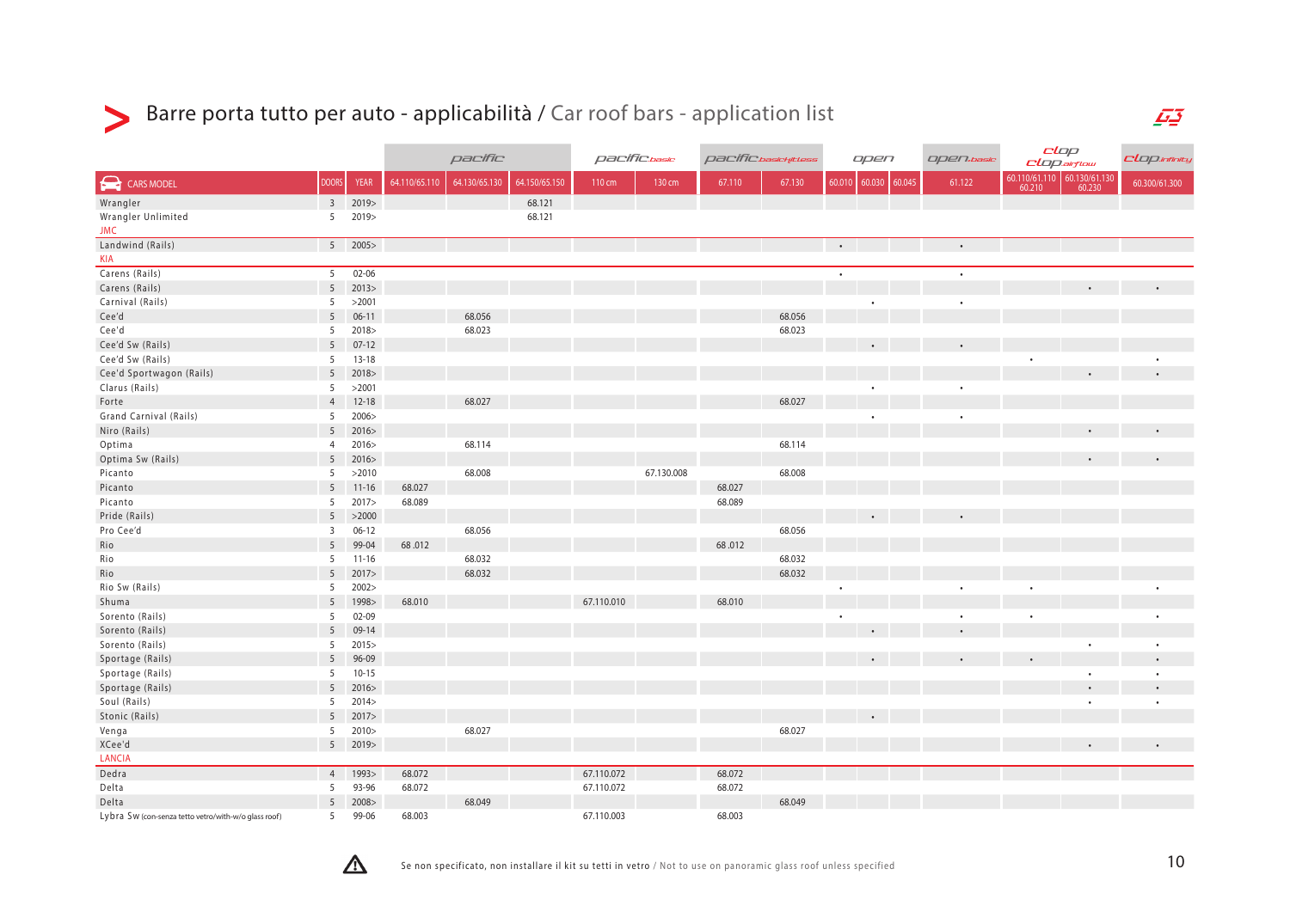|                                                      |                 |             |               | pacific       |               | <i><b>Pacific.basic</b></i> |            | <i>pacific.basicHtless</i> |        |           | open      |        | Open.basic | <b>CLOP</b> .airflow        | clop      | <b>CL</b> OP.infinity |
|------------------------------------------------------|-----------------|-------------|---------------|---------------|---------------|-----------------------------|------------|----------------------------|--------|-----------|-----------|--------|------------|-----------------------------|-----------|-----------------------|
| $\bigcirc$ CARS MODEL                                | <b>DOORS</b>    | <b>YEAR</b> | 64.110/65.110 | 64.130/65.130 | 64.150/65.150 | 110 cm                      | 130 cm     | 67.110                     | 67.130 | 60.010    | 60.030    | 60.045 | 61.122     | 60.110/61.110 60.130/61.130 |           | 60.300/61.300         |
| Wrangler                                             | 3 <sup>7</sup>  | 2019>       |               |               | 68.121        |                             |            |                            |        |           |           |        |            |                             |           |                       |
| Wrangler Unlimited<br><b>JMC</b>                     | 5               | 2019>       |               |               | 68.121        |                             |            |                            |        |           |           |        |            |                             |           |                       |
| Landwind (Rails)                                     | 5 <sup>7</sup>  | 2005 >      |               |               |               |                             |            |                            |        |           |           |        |            |                             |           |                       |
| KIA                                                  |                 |             |               |               |               |                             |            |                            |        |           |           |        |            |                             |           |                       |
| Carens (Rails)                                       | 5               | 02-06       |               |               |               |                             |            |                            |        | $\bullet$ |           |        | ٠          |                             |           |                       |
| Carens (Rails)                                       | 5               | 2013>       |               |               |               |                             |            |                            |        |           |           |        |            |                             |           |                       |
| Carnival (Rails)                                     | 5               | >2001       |               |               |               |                             |            |                            |        |           | $\bullet$ |        | $\bullet$  |                             |           |                       |
| Cee'd                                                | 5               | $06-11$     |               | 68.056        |               |                             |            |                            | 68.056 |           |           |        |            |                             |           |                       |
| Cee'd                                                | 5 <sup>5</sup>  | 2018>       |               | 68.023        |               |                             |            |                            | 68.023 |           |           |        |            |                             |           |                       |
| Cee'd Sw (Rails)                                     | 5               | $07-12$     |               |               |               |                             |            |                            |        |           |           |        |            |                             |           |                       |
| Cee'd Sw (Rails)                                     | 5               | $13 - 18$   |               |               |               |                             |            |                            |        |           |           |        |            |                             |           |                       |
| Cee'd Sportwagon (Rails)                             | 5               | 2018>       |               |               |               |                             |            |                            |        |           |           |        |            |                             |           |                       |
| Clarus (Rails)                                       | 5               | >2001       |               |               |               |                             |            |                            |        |           |           |        |            |                             |           |                       |
| Forte                                                | $\overline{4}$  | $12 - 18$   |               | 68.027        |               |                             |            |                            | 68.027 |           |           |        |            |                             |           |                       |
| Grand Carnival (Rails)                               | 5               | 2006>       |               |               |               |                             |            |                            |        |           |           |        | $\Delta$   |                             |           |                       |
| Niro (Rails)                                         | 5               | 2016 >      |               |               |               |                             |            |                            |        |           |           |        |            |                             |           |                       |
| Optima                                               | 4               | 2016>       |               | 68.114        |               |                             |            |                            | 68.114 |           |           |        |            |                             |           |                       |
| Optima Sw (Rails)                                    | 5               | 2016        |               |               |               |                             |            |                            |        |           |           |        |            |                             |           |                       |
| Picanto                                              | 5               | >2010       |               | 68.008        |               |                             | 67.130.008 |                            | 68.008 |           |           |        |            |                             |           |                       |
| Picanto                                              | 5               | $11 - 16$   | 68.027        |               |               |                             |            | 68.027                     |        |           |           |        |            |                             |           |                       |
| Picanto                                              | 5               | 2017>       | 68.089        |               |               |                             |            | 68.089                     |        |           |           |        |            |                             |           |                       |
| Pride (Rails)                                        | 5               | >2000       |               |               |               |                             |            |                            |        |           |           |        |            |                             |           |                       |
| Pro Cee'd                                            | $\mathbf{3}$    | $06-12$     |               | 68.056        |               |                             |            |                            | 68.056 |           |           |        |            |                             |           |                       |
| Rio                                                  | $5\overline{)}$ | 99-04       | 68.012        |               |               |                             |            | 68.012                     |        |           |           |        |            |                             |           |                       |
| Rio                                                  | 5               | $11 - 16$   |               | 68.032        |               |                             |            |                            | 68.032 |           |           |        |            |                             |           |                       |
| Rio                                                  | 5               | 2017        |               | 68.032        |               |                             |            |                            | 68.032 |           |           |        |            |                             |           |                       |
| Rio Sw (Rails)                                       | 5               | 2002        |               |               |               |                             |            |                            |        |           |           |        |            |                             |           | $\bullet$             |
| Shuma                                                | 5               | 1998>       | 68.010        |               |               | 67.110.010                  |            | 68.010                     |        |           |           |        |            |                             |           |                       |
| Sorento (Rails)                                      | 5               | $02 - 09$   |               |               |               |                             |            |                            |        |           |           |        |            |                             |           | $\bullet$             |
| Sorento (Rails)                                      | 5               | 09-14       |               |               |               |                             |            |                            |        |           |           |        |            |                             |           |                       |
| Sorento (Rails)                                      | 5               | 2015>       |               |               |               |                             |            |                            |        |           |           |        |            |                             |           | $\bullet$             |
| Sportage (Rails)                                     | 5               | 96-09       |               |               |               |                             |            |                            |        |           |           |        |            |                             |           |                       |
| Sportage (Rails)                                     | 5               | $10 - 15$   |               |               |               |                             |            |                            |        |           |           |        |            |                             |           | $\bullet$             |
| Sportage (Rails)                                     | 5               | 2016        |               |               |               |                             |            |                            |        |           |           |        |            |                             |           |                       |
| Soul (Rails)                                         | 5               | 2014        |               |               |               |                             |            |                            |        |           |           |        |            |                             | $\bullet$ | $\bullet$             |
| Stonic (Rails)                                       | 5               | 2017        |               |               |               |                             |            |                            |        |           | $\bullet$ |        |            |                             |           |                       |
| Venga                                                | 5               | 2010>       |               | 68.027        |               |                             |            |                            | 68.027 |           |           |        |            |                             |           |                       |
| XCee'd                                               | 5               | 2019>       |               |               |               |                             |            |                            |        |           |           |        |            |                             |           |                       |
| <b>LANCIA</b>                                        |                 |             |               |               |               |                             |            |                            |        |           |           |        |            |                             |           |                       |
| Dedra                                                | 4               | 1993>       | 68.072        |               |               | 67.110.072                  |            | 68.072                     |        |           |           |        |            |                             |           |                       |
| Delta                                                | 5               | 93-96       | 68.072        |               |               | 67.110.072                  |            | 68.072                     |        |           |           |        |            |                             |           |                       |
| Delta                                                | 5               | 2008>       |               | 68.049        |               |                             |            |                            | 68.049 |           |           |        |            |                             |           |                       |
| Lybra Sw (con-senza tetto vetro/with-w/o glass roof) | 5               | 99-06       | 68.003        |               |               | 67.110.003                  |            | 68.003                     |        |           |           |        |            |                             |           |                       |

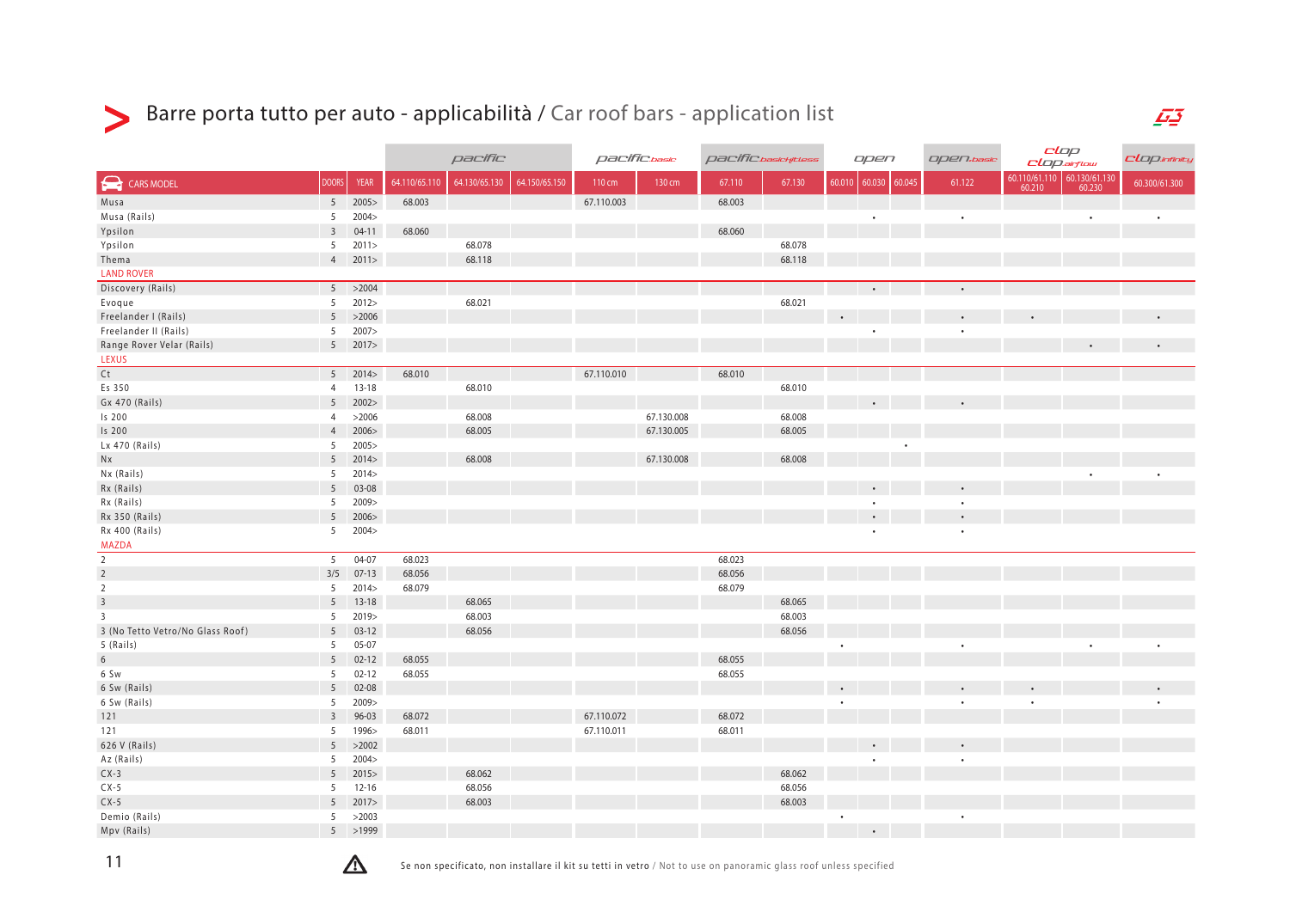|                                  |                 |             |               | pacific       |               | <i>pacific.basic</i> |            |        | pacific.basicHtless | open            |        | Open.basic | clap<br><b>CLOP</b> .airflow                                                             | CLOp.infinity |
|----------------------------------|-----------------|-------------|---------------|---------------|---------------|----------------------|------------|--------|---------------------|-----------------|--------|------------|------------------------------------------------------------------------------------------|---------------|
| CARS MODEL                       | <b>DOORS</b>    | <b>YEAR</b> | 64.110/65.110 | 64.130/65.130 | 64.150/65.150 | 110 cm               | 130 cm     | 67.110 | 67.130              | $60.010$ 60.030 | 60.045 | 61.122     | $\begin{array}{c c} 60.110/61.110 & 60.130/61.130 \\ \hline 60.210 & 60.230 \end{array}$ | 60.300/61.300 |
| Musa                             | 5 <sup>5</sup>  | 2005        | 68.003        |               |               | 67.110.003           |            | 68.003 |                     |                 |        |            |                                                                                          |               |
| Musa (Rails)                     | 5               | 2004 >      |               |               |               |                      |            |        |                     |                 |        |            |                                                                                          |               |
| Ypsilon                          | $\overline{3}$  | $04-11$     | 68.060        |               |               |                      |            | 68.060 |                     |                 |        |            |                                                                                          |               |
| Ypsilon                          | 5               | 2011>       |               | 68.078        |               |                      |            |        | 68.078              |                 |        |            |                                                                                          |               |
| Thema                            | $\overline{4}$  | 2011 >      |               | 68.118        |               |                      |            |        | 68.118              |                 |        |            |                                                                                          |               |
| <b>LAND ROVER</b>                |                 |             |               |               |               |                      |            |        |                     |                 |        |            |                                                                                          |               |
| Discovery (Rails)                | 5 <sup>5</sup>  | >2004       |               |               |               |                      |            |        |                     |                 |        |            |                                                                                          |               |
| Evoque                           | 5               | 2012 >      |               | 68.021        |               |                      |            |        | 68.021              |                 |        |            |                                                                                          |               |
| Freelander I (Rails)             | $5\overline{5}$ | >2006       |               |               |               |                      |            |        |                     |                 |        |            |                                                                                          |               |
| Freelander II (Rails)            | 5               | 2007>       |               |               |               |                      |            |        |                     |                 |        |            |                                                                                          |               |
| Range Rover Velar (Rails)        |                 | $5$ 2017>   |               |               |               |                      |            |        |                     |                 |        |            |                                                                                          |               |
| <b>LEXUS</b>                     |                 |             |               |               |               |                      |            |        |                     |                 |        |            |                                                                                          |               |
| Ct                               | 5 <sup>5</sup>  | 2014 >      | 68.010        |               |               | 67.110.010           |            | 68.010 |                     |                 |        |            |                                                                                          |               |
| Es 350                           | 4               | $13 - 18$   |               | 68.010        |               |                      |            |        | 68.010              |                 |        |            |                                                                                          |               |
| Gx 470 (Rails)                   | 5               | 2002 >      |               |               |               |                      |            |        |                     |                 |        |            |                                                                                          |               |
| Is 200                           | $\overline{4}$  | >2006       |               | 68.008        |               |                      | 67.130.008 |        | 68.008              |                 |        |            |                                                                                          |               |
| Is 200                           | $\overline{4}$  | 2006 >      |               | 68.005        |               |                      | 67.130.005 |        | 68.005              |                 |        |            |                                                                                          |               |
| Lx 470 (Rails)                   | 5               | 2005        |               |               |               |                      |            |        |                     |                 |        |            |                                                                                          |               |
| Nx                               | 5               | 2014        |               | 68.008        |               |                      | 67.130.008 |        | 68.008              |                 |        |            |                                                                                          |               |
| Nx (Rails)                       | 5               | 2014        |               |               |               |                      |            |        |                     |                 |        |            |                                                                                          |               |
| Rx (Rails)                       | 5               | 03-08       |               |               |               |                      |            |        |                     |                 |        |            |                                                                                          |               |
| Rx (Rails)                       | 5               | 2009>       |               |               |               |                      |            |        |                     | $\bullet$       |        | $\bullet$  |                                                                                          |               |
| Rx 350 (Rails)                   | 5               | 2006 >      |               |               |               |                      |            |        |                     |                 |        |            |                                                                                          |               |
| Rx 400 (Rails)                   | 5 <sup>5</sup>  | 2004 >      |               |               |               |                      |            |        |                     | $\bullet$       |        |            |                                                                                          |               |
| <b>MAZDA</b>                     |                 |             |               |               |               |                      |            |        |                     |                 |        |            |                                                                                          |               |
| $\overline{2}$                   | 5 <sup>5</sup>  | 04-07       | 68.023        |               |               |                      |            | 68.023 |                     |                 |        |            |                                                                                          |               |
| $\overline{2}$                   | 3/5             | $07-13$     | 68.056        |               |               |                      |            | 68.056 |                     |                 |        |            |                                                                                          |               |
| $\overline{2}$                   | 5               | 2014        | 68.079        |               |               |                      |            | 68.079 |                     |                 |        |            |                                                                                          |               |
| $\overline{3}$                   | 5               | $13 - 18$   |               | 68.065        |               |                      |            |        | 68.065              |                 |        |            |                                                                                          |               |
| $\overline{3}$                   | 5               | 2019>       |               | 68.003        |               |                      |            |        | 68.003              |                 |        |            |                                                                                          |               |
| 3 (No Tetto Vetro/No Glass Roof) | $5\overline{)}$ | $03-12$     |               | 68.056        |               |                      |            |        | 68.056              |                 |        |            |                                                                                          |               |
| 5 (Rails)                        | 5               | $05 - 07$   |               |               |               |                      |            |        |                     |                 |        |            |                                                                                          |               |
| $6\overline{6}$                  | $5\overline{)}$ | $02 - 12$   | 68.055        |               |               |                      |            | 68.055 |                     |                 |        |            |                                                                                          |               |
| 6 Sw                             | 5               | $02 - 12$   | 68.055        |               |               |                      |            | 68.055 |                     |                 |        |            |                                                                                          |               |
| 6 Sw (Rails)                     | $5\phantom{.0}$ | 02-08       |               |               |               |                      |            |        |                     |                 |        |            |                                                                                          |               |
| 6 Sw (Rails)                     | 5               | 2009>       |               |               |               |                      |            |        |                     |                 |        | $\bullet$  |                                                                                          |               |
| 121                              | $\overline{3}$  | $96 - 03$   | 68.072        |               |               | 67.110.072           |            | 68.072 |                     |                 |        |            |                                                                                          |               |
| 121                              | 5               | 1996>       | 68.011        |               |               | 67.110.011           |            | 68.011 |                     |                 |        |            |                                                                                          |               |
| 626 V (Rails)                    | 5               | >2002       |               |               |               |                      |            |        |                     |                 |        |            |                                                                                          |               |
| Az (Rails)                       | 5               | 2004>       |               |               |               |                      |            |        |                     |                 |        |            |                                                                                          |               |
| $CX-3$                           | 5               | 2015        |               | 68.062        |               |                      |            |        | 68.062              |                 |        |            |                                                                                          |               |
| $CX-5$                           | 5               | $12 - 16$   |               | 68.056        |               |                      |            |        | 68.056              |                 |        |            |                                                                                          |               |
| $CX-5$                           | 5               | 2017        |               | 68.003        |               |                      |            |        | 68.003              |                 |        |            |                                                                                          |               |
| Demio (Rails)                    | 5               | >2003       |               |               |               |                      |            |        |                     |                 |        | $\bullet$  |                                                                                          |               |
| Mpv (Rails)                      |                 | 5 > 1999    |               |               |               |                      |            |        |                     | $\bullet$ .     |        |            |                                                                                          |               |





11 **1** Se non specificato, non installare il kit su tetti in vetro / Not to use on panoramic glass roof unless specified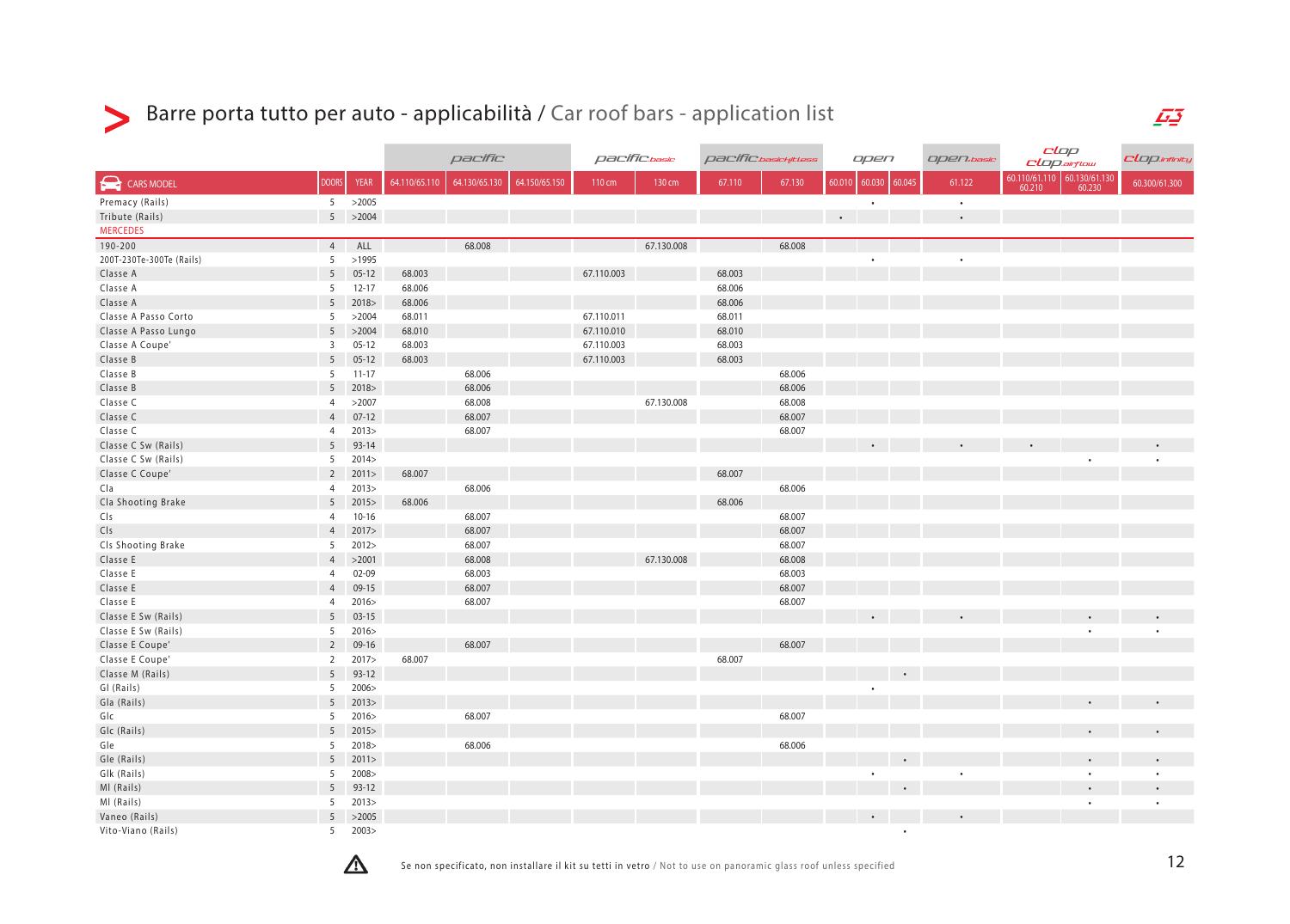|                                                                           |               | pacific                        |            | pacific.basic |        | pacific.basichitless |                 | open      | <b>Open.basic</b> | clop<br><b>CLOP</b> .airflow                    | CLop.infinity |
|---------------------------------------------------------------------------|---------------|--------------------------------|------------|---------------|--------|----------------------|-----------------|-----------|-------------------|-------------------------------------------------|---------------|
| $\blacktriangleright$<br><b>YEAR</b><br><b>DOORS</b><br><b>CARS MODEL</b> | 64.110/65.110 | 64.130/65.130<br>64.150/65.150 | 110 cm     | 130 cm        | 67.110 | 67.130               | $60.010$ 60.030 | 60.045    | 61.122            | 60.110/61.110 60.130/61.130<br>60.210<br>60.230 | 60.300/61.300 |
| Premacy (Rails)<br>5 > 2005                                               |               |                                |            |               |        |                      |                 | $\bullet$ | $\bullet$         |                                                 |               |
| 5 <sup>5</sup><br>>2004<br>Tribute (Rails)                                |               |                                |            |               |        |                      |                 |           | $\bullet$         |                                                 |               |
| <b>MERCEDES</b>                                                           |               |                                |            |               |        |                      |                 |           |                   |                                                 |               |
| 190-200<br>ALL<br>$\overline{4}$                                          |               | 68.008                         |            | 67.130.008    |        | 68.008               |                 |           |                   |                                                 |               |
| >1995<br>200T-230Te-300Te (Rails)<br>5 <sup>5</sup>                       |               |                                |            |               |        |                      |                 | $\bullet$ | $\bullet$         |                                                 |               |
| $05-12$<br>5<br>Classe A                                                  | 68.003        |                                | 67.110.003 |               | 68.003 |                      |                 |           |                   |                                                 |               |
| Classe A<br>5 <sup>5</sup><br>$12 - 17$                                   | 68.006        |                                |            |               | 68.006 |                      |                 |           |                   |                                                 |               |
| Classe A<br>2018><br>5                                                    | 68.006        |                                |            |               | 68.006 |                      |                 |           |                   |                                                 |               |
| Classe A Passo Corto<br>5 <sup>5</sup><br>>2004                           | 68.011        |                                | 67.110.011 |               | 68.011 |                      |                 |           |                   |                                                 |               |
| 5<br>Classe A Passo Lungo<br>>2004                                        | 68.010        |                                | 67.110.010 |               | 68.010 |                      |                 |           |                   |                                                 |               |
| Classe A Coupe'<br>$05 - 12$<br>$\overline{3}$                            | 68.003        |                                | 67.110.003 |               | 68.003 |                      |                 |           |                   |                                                 |               |
| 5<br>Classe B<br>$05 - 12$                                                | 68.003        |                                | 67.110.003 |               | 68.003 |                      |                 |           |                   |                                                 |               |
| Classe B<br>5<br>$11 - 17$                                                |               | 68.006                         |            |               |        | 68.006               |                 |           |                   |                                                 |               |
| Classe B<br>5<br>2018>                                                    |               | 68.006                         |            |               |        | 68.006               |                 |           |                   |                                                 |               |
| Classe C<br>>2007<br>$\overline{4}$                                       |               | 68.008                         |            | 67.130.008    |        | 68.008               |                 |           |                   |                                                 |               |
| $07 - 12$<br>Classe C<br>$\overline{4}$                                   |               | 68.007                         |            |               |        | 68.007               |                 |           |                   |                                                 |               |
| Classe C<br>2013><br>4                                                    |               | 68.007                         |            |               |        | 68.007               |                 |           |                   |                                                 |               |
| 93-14<br>Classe C Sw (Rails)<br>5                                         |               |                                |            |               |        |                      |                 | $\bullet$ |                   |                                                 |               |
| Classe C Sw (Rails)<br>2014<br>5                                          |               |                                |            |               |        |                      |                 |           |                   |                                                 |               |
| Classe C Coupe'<br>$\overline{2}$<br>2011>                                | 68.007        |                                |            |               | 68.007 |                      |                 |           |                   |                                                 |               |
| 2013<br>Cla<br>4                                                          |               | 68.006                         |            |               |        | 68.006               |                 |           |                   |                                                 |               |
| Cla Shooting Brake<br>5<br>2015                                           | 68.006        |                                |            |               | 68.006 |                      |                 |           |                   |                                                 |               |
| Cls<br>$10 - 16$<br>$\overline{4}$                                        |               | 68.007                         |            |               |        | 68.007               |                 |           |                   |                                                 |               |
| C1s<br>2017<br>$\overline{4}$                                             |               | 68.007                         |            |               |        | 68.007               |                 |           |                   |                                                 |               |
| Cls Shooting Brake<br>2012<br>5                                           |               | 68.007                         |            |               |        | 68.007               |                 |           |                   |                                                 |               |
| Classe E<br>>2001<br>$\overline{4}$                                       |               | 68.008                         |            | 67.130.008    |        | 68.008               |                 |           |                   |                                                 |               |
| $02 - 09$<br>Classe E<br>4                                                |               | 68.003                         |            |               |        | 68.003               |                 |           |                   |                                                 |               |
| Classe E<br>$09-15$<br>$\overline{4}$                                     |               | 68.007                         |            |               |        | 68.007               |                 |           |                   |                                                 |               |
| Classe E<br>2016><br>4                                                    |               | 68.007                         |            |               |        | 68.007               |                 |           |                   |                                                 |               |
| Classe E Sw (Rails)<br>$5\phantom{.0}$<br>$03 - 15$                       |               |                                |            |               |        |                      |                 |           |                   |                                                 |               |
| Classe E Sw (Rails)<br>2016><br>5                                         |               |                                |            |               |        |                      |                 |           |                   |                                                 |               |
| Classe E Coupe'<br>$\overline{2}$<br>$09-16$                              |               | 68.007                         |            |               |        | 68.007               |                 |           |                   |                                                 |               |
| Classe E Coupe'<br>$\overline{2}$<br>2017>                                | 68.007        |                                |            |               | 68.007 |                      |                 |           |                   |                                                 |               |
| $5\overline{)}$<br>$93 - 12$<br>Classe M (Rails)                          |               |                                |            |               |        |                      |                 |           |                   |                                                 |               |
| 2006><br>GI (Rails)<br>5                                                  |               |                                |            |               |        |                      |                 |           |                   |                                                 |               |
| Gla (Rails)<br>2013 ><br>5                                                |               |                                |            |               |        |                      |                 |           |                   |                                                 |               |
| Glc<br>5<br>2016>                                                         |               | 68.007                         |            |               |        | 68.007               |                 |           |                   |                                                 |               |
| Glc (Rails)<br>2015><br>$5\phantom{.0}$                                   |               |                                |            |               |        |                      |                 |           |                   |                                                 |               |
| Gle<br>2018><br>5                                                         |               | 68.006                         |            |               |        | 68.006               |                 |           |                   |                                                 |               |
| Gle (Rails)<br>$5\phantom{.0}$<br>2011>                                   |               |                                |            |               |        |                      |                 |           |                   |                                                 | $\bullet$     |
| Glk (Rails)<br>5<br>2008>                                                 |               |                                |            |               |        |                      |                 |           |                   |                                                 |               |
| MI (Rails)<br>5<br>$93 - 12$                                              |               |                                |            |               |        |                      |                 |           |                   |                                                 |               |
| MI (Rails)<br>5<br>2013                                                   |               |                                |            |               |        |                      |                 |           |                   |                                                 |               |
| Vaneo (Rails)<br>5<br>>2005                                               |               |                                |            |               |        |                      |                 |           |                   |                                                 |               |
|                                                                           |               |                                |            |               |        |                      |                 |           |                   |                                                 |               |

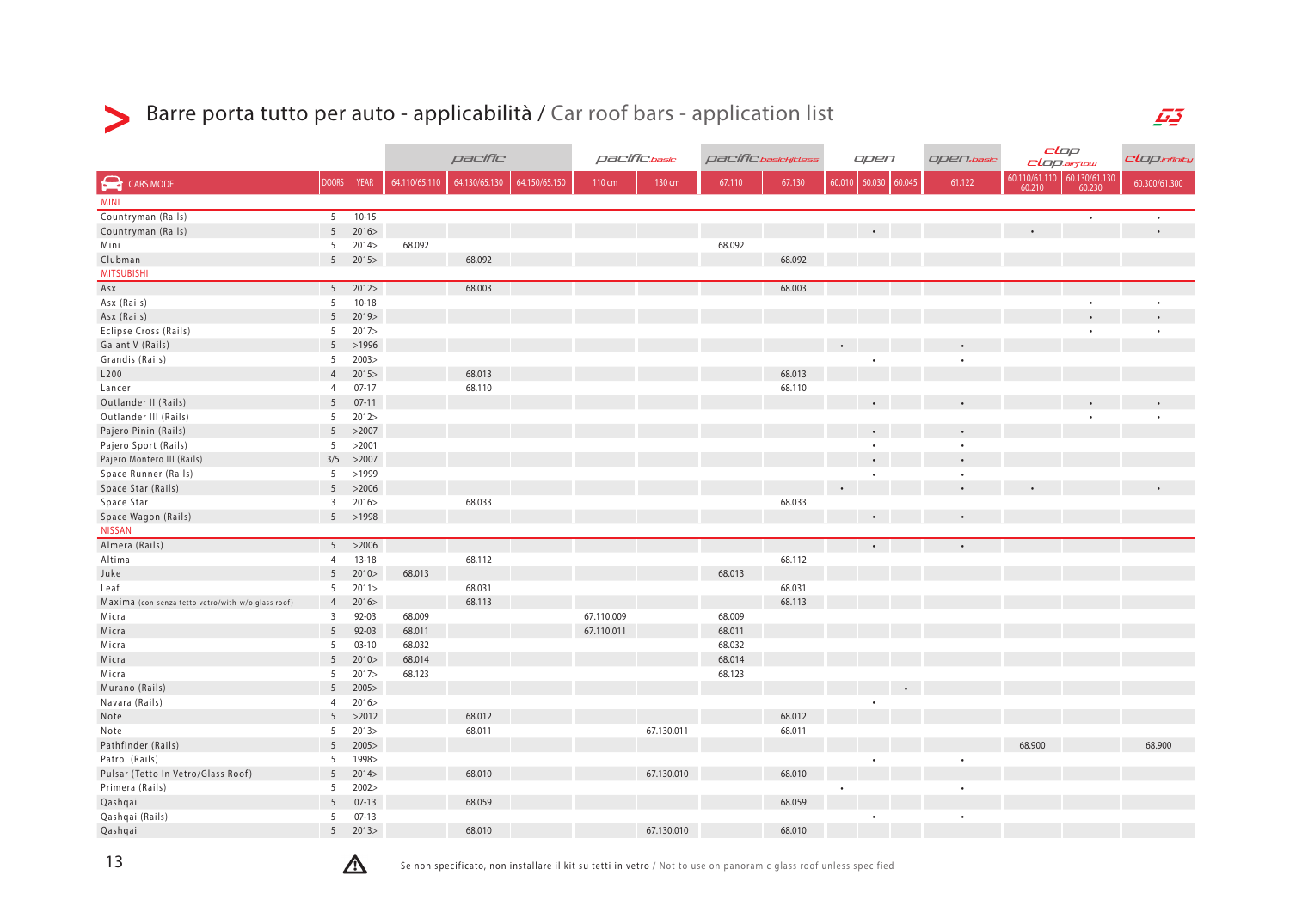|                                                    |                 |           |               | pacific       |               | <i>pacific.basic</i> |            | <i>pacific.basicHitless</i> |        |           | open                   | Open.basic |        | clop<br><b>CLOP</b> .airflow          | CLop.infinity |
|----------------------------------------------------|-----------------|-----------|---------------|---------------|---------------|----------------------|------------|-----------------------------|--------|-----------|------------------------|------------|--------|---------------------------------------|---------------|
| CARS MODEL                                         | <b>DOORS</b>    | YEAR      | 64.110/65.110 | 64.130/65.130 | 64.150/65.150 | 110 cm               | 130 cm     | 67.110                      | 67.130 |           | $60.010$ 60.030 60.045 | 61.122     | 60.210 | 60.110/61.110 60.130/61.130<br>60.230 | 60.300/61.300 |
| <b>MINI</b>                                        |                 |           |               |               |               |                      |            |                             |        |           |                        |            |        |                                       |               |
| Countryman (Rails)                                 | 5               | $10 - 15$ |               |               |               |                      |            |                             |        |           |                        |            |        | $\bullet$                             | $\bullet$     |
| Countryman (Rails)                                 | $5\overline{)}$ | 2016 >    |               |               |               |                      |            |                             |        |           |                        |            |        |                                       |               |
| Mini                                               | 5               | 2014      | 68.092        |               |               |                      |            | 68.092                      |        |           |                        |            |        |                                       |               |
| Clubman                                            | 5 <sup>5</sup>  | 2015      |               | 68.092        |               |                      |            |                             | 68.092 |           |                        |            |        |                                       |               |
| <b>MITSUBISHI</b>                                  |                 |           |               |               |               |                      |            |                             |        |           |                        |            |        |                                       |               |
| Asx                                                |                 | $5$ 2012> |               | 68.003        |               |                      |            |                             | 68.003 |           |                        |            |        |                                       |               |
| Asx (Rails)                                        | 5               | $10 - 18$ |               |               |               |                      |            |                             |        |           |                        |            |        |                                       |               |
| Asx (Rails)                                        | 5               | 2019>     |               |               |               |                      |            |                             |        |           |                        |            |        |                                       |               |
| Eclipse Cross (Rails)                              | 5               | 2017>     |               |               |               |                      |            |                             |        |           |                        |            |        |                                       |               |
| Galant V (Rails)                                   | $5\overline{)}$ | >1996     |               |               |               |                      |            |                             |        |           |                        |            |        |                                       |               |
| Grandis (Rails)                                    | 5               | 2003>     |               |               |               |                      |            |                             |        |           |                        |            |        |                                       |               |
| L200                                               | $\overline{4}$  | 2015      |               | 68.013        |               |                      |            |                             | 68.013 |           |                        |            |        |                                       |               |
| Lancer                                             | $\overline{4}$  | $07-17$   |               | 68.110        |               |                      |            |                             | 68.110 |           |                        |            |        |                                       |               |
| Outlander II (Rails)                               | $5\overline{5}$ | $07-11$   |               |               |               |                      |            |                             |        |           |                        |            |        |                                       |               |
| Outlander III (Rails)                              | 5               | 2012      |               |               |               |                      |            |                             |        |           |                        |            |        |                                       |               |
| Pajero Pinin (Rails)                               | 5               | >2007     |               |               |               |                      |            |                             |        |           |                        |            |        |                                       |               |
| Pajero Sport (Rails)                               | 5 <sup>5</sup>  | >2001     |               |               |               |                      |            |                             |        |           |                        | $\bullet$  |        |                                       |               |
| Pajero Montero III (Rails)                         | 3/5             | >2007     |               |               |               |                      |            |                             |        |           |                        |            |        |                                       |               |
| Space Runner (Rails)                               | 5 <sup>5</sup>  | >1999     |               |               |               |                      |            |                             |        |           |                        |            |        |                                       |               |
| Space Star (Rails)                                 | 5               | >2006     |               |               |               |                      |            |                             |        | $\bullet$ |                        |            |        |                                       |               |
| Space Star                                         | $\mathbf{3}$    | 2016      |               | 68.033        |               |                      |            |                             | 68.033 |           |                        |            |        |                                       |               |
| Space Wagon (Rails)                                | 5 <sup>7</sup>  | >1998     |               |               |               |                      |            |                             |        |           |                        |            |        |                                       |               |
| <b>NISSAN</b>                                      |                 |           |               |               |               |                      |            |                             |        |           |                        |            |        |                                       |               |
| Almera (Rails)                                     | $5-1$           | >2006     |               |               |               |                      |            |                             |        |           |                        |            |        |                                       |               |
| Altima                                             | $\overline{4}$  | $13 - 18$ |               | 68.112        |               |                      |            |                             | 68.112 |           |                        |            |        |                                       |               |
| Juke                                               | $5\phantom{.0}$ | 2010 >    | 68.013        |               |               |                      |            | 68.013                      |        |           |                        |            |        |                                       |               |
| Leaf                                               | 5               | 2011      |               | 68.031        |               |                      |            |                             | 68.031 |           |                        |            |        |                                       |               |
| Maxima (con-senza tetto vetro/with-w/o glass roof) | $\overline{4}$  | 2016 >    |               | 68.113        |               |                      |            |                             | 68.113 |           |                        |            |        |                                       |               |
| Micra                                              | $\mathbf{3}$    | $92 - 03$ | 68.009        |               |               | 67.110.009           |            | 68.009                      |        |           |                        |            |        |                                       |               |
| Micra                                              | 5               | $92 - 03$ | 68.011        |               |               | 67.110.011           |            | 68.011                      |        |           |                        |            |        |                                       |               |
| Micra                                              | 5               | $03-10$   | 68.032        |               |               |                      |            | 68.032                      |        |           |                        |            |        |                                       |               |
| Micra                                              | 5               | 2010>     | 68.014        |               |               |                      |            | 68.014                      |        |           |                        |            |        |                                       |               |
| Micra                                              | 5               | 2017>     | 68.123        |               |               |                      |            | 68.123                      |        |           |                        |            |        |                                       |               |
| Murano (Rails)                                     | 5               | 2005 >    |               |               |               |                      |            |                             |        |           |                        |            |        |                                       |               |
| Navara (Rails)                                     | 4               | 2016      |               |               |               |                      |            |                             |        |           |                        |            |        |                                       |               |
| Note                                               | $5\overline{)}$ | >2012     |               | 68.012        |               |                      |            |                             | 68.012 |           |                        |            |        |                                       |               |
| Note                                               | 5               | 2013>     |               | 68.011        |               |                      | 67.130.011 |                             | 68.011 |           |                        |            |        |                                       |               |
| Pathfinder (Rails)                                 | 5               | 2005 >    |               |               |               |                      |            |                             |        |           |                        |            | 68.900 |                                       | 68.900        |
| Patrol (Rails)                                     | 5               | 1998>     |               |               |               |                      |            |                             |        |           |                        |            |        |                                       |               |
| Pulsar (Tetto In Vetro/Glass Roof)                 | 5               | 2014 >    |               | 68.010        |               |                      | 67.130.010 |                             | 68.010 |           |                        |            |        |                                       |               |
| Primera (Rails)                                    | 5               | 2002>     |               |               |               |                      |            |                             |        |           |                        |            |        |                                       |               |
| Qashqai                                            | $5\phantom{.0}$ | $07-13$   |               | 68.059        |               |                      |            |                             | 68.059 |           |                        |            |        |                                       |               |
| Qashqai (Rails)                                    | 5               | $07-13$   |               |               |               |                      |            |                             |        |           |                        |            |        |                                       |               |
| Qashqai                                            | 5 <sup>5</sup>  | 2013>     |               | 68.010        |               |                      | 67.130.010 |                             | 68.010 |           |                        |            |        |                                       |               |
|                                                    |                 |           |               |               |               |                      |            |                             |        |           |                        |            |        |                                       |               |



13 **Se non specificato, non installare il kit su tetti in vetro** / Not to use on panoramic glass roof unless specified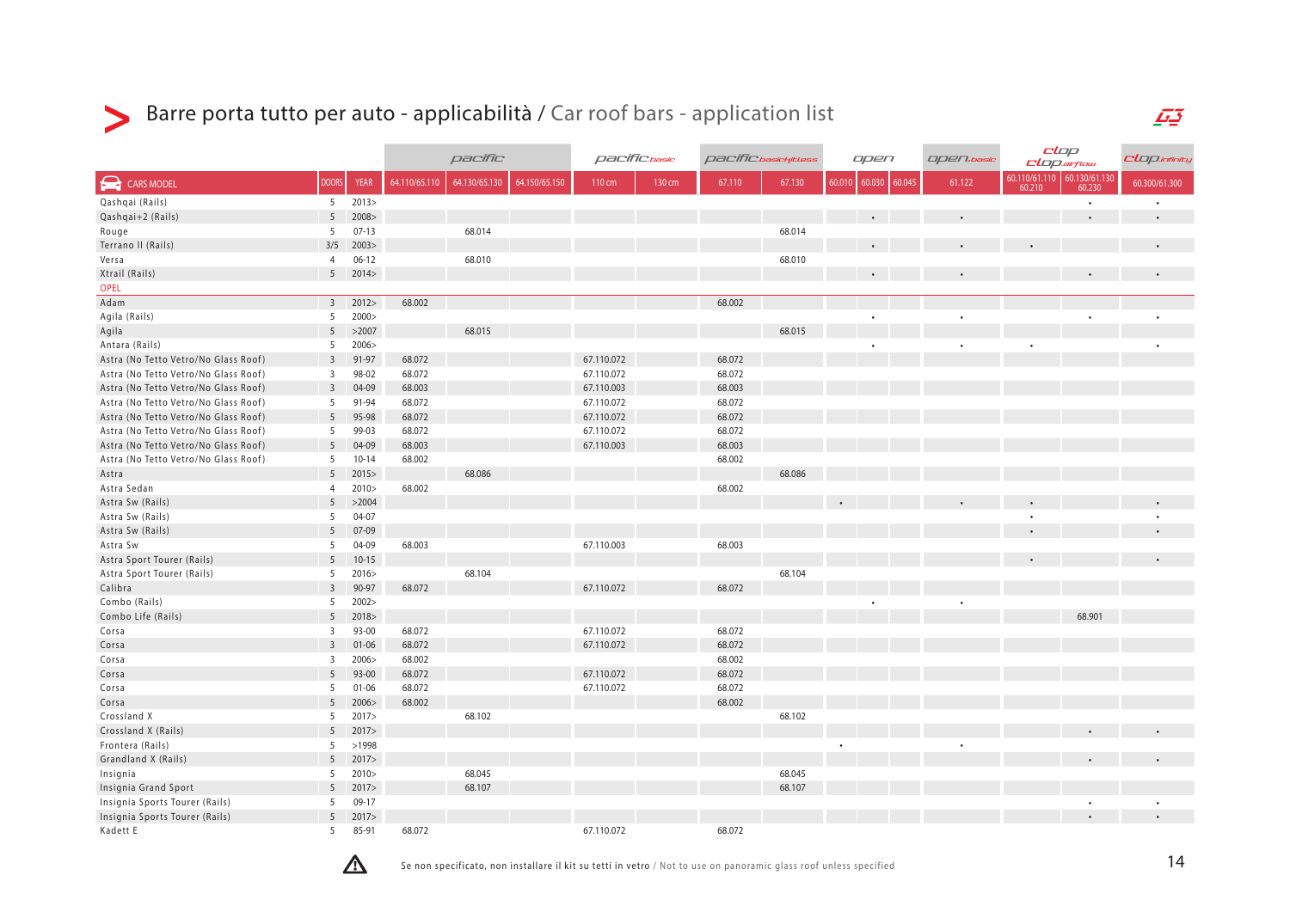|                                            |                 |             |               | pacific       |               | pacific.basic |        |        | pacific.basicHitless | open             |        | Open.basic |                         | clop<br><b>CLOP</b> .airflow | <b>CL</b> OP.Infinity |
|--------------------------------------------|-----------------|-------------|---------------|---------------|---------------|---------------|--------|--------|----------------------|------------------|--------|------------|-------------------------|------------------------------|-----------------------|
| $\blacktriangleright$<br><b>CARS MODEL</b> | <b>DOORS</b>    | <b>YEAR</b> | 64.110/65.110 | 64.130/65.130 | 64.150/65.150 | 110 cm        | 130 cm | 67.110 | 67.130               | 60.010<br>60.030 | 60.045 | 61.122     | 60.110/61.110<br>60.210 | 60.130/61.130<br>60.230      | 60.300/61.300         |
| Qashqai (Rails)                            | 5               | 2013        |               |               |               |               |        |        |                      |                  |        |            |                         |                              | $\bullet$             |
| Qashqai+2 (Rails)                          | 5               | 2008>       |               |               |               |               |        |        |                      |                  |        |            |                         |                              |                       |
| Rouge                                      | 5               | $07-13$     |               | 68.014        |               |               |        |        | 68.014               |                  |        |            |                         |                              |                       |
| Terrano II (Rails)                         | 3/5             | 2003>       |               |               |               |               |        |        |                      |                  |        |            |                         |                              |                       |
| Versa                                      | $\overline{4}$  | $06-12$     |               | 68.010        |               |               |        |        | 68.010               |                  |        |            |                         |                              |                       |
| Xtrail (Rails)                             | 5 <sup>5</sup>  | 2014        |               |               |               |               |        |        |                      |                  |        |            |                         |                              |                       |
| <b>OPEL</b>                                |                 |             |               |               |               |               |        |        |                      |                  |        |            |                         |                              |                       |
| Adam                                       | $\overline{3}$  | 2012 >      | 68.002        |               |               |               |        | 68.002 |                      |                  |        |            |                         |                              |                       |
| Agila (Rails)                              | 5               | 2000>       |               |               |               |               |        |        |                      |                  |        | $\bullet$  |                         |                              |                       |
| Agila                                      | 5               | >2007       |               | 68.015        |               |               |        |        | 68.015               |                  |        |            |                         |                              |                       |
| Antara (Rails)                             | 5               | 2006>       |               |               |               |               |        |        |                      |                  |        |            |                         |                              |                       |
| Astra (No Tetto Vetro/No Glass Roof)       | $\overline{3}$  | 91-97       | 68.072        |               |               | 67.110.072    |        | 68.072 |                      |                  |        |            |                         |                              |                       |
| Astra (No Tetto Vetro/No Glass Roof)       | $\overline{3}$  | 98-02       | 68.072        |               |               | 67.110.072    |        | 68.072 |                      |                  |        |            |                         |                              |                       |
| Astra (No Tetto Vetro/No Glass Roof)       | $\overline{3}$  | 04-09       | 68.003        |               |               | 67.110.003    |        | 68.003 |                      |                  |        |            |                         |                              |                       |
| Astra (No Tetto Vetro/No Glass Roof)       | 5 <sup>5</sup>  | 91-94       | 68.072        |               |               | 67.110.072    |        | 68.072 |                      |                  |        |            |                         |                              |                       |
| Astra (No Tetto Vetro/No Glass Roof)       | 5               | 95-98       | 68.072        |               |               | 67.110.072    |        | 68.072 |                      |                  |        |            |                         |                              |                       |
| Astra (No Tetto Vetro/No Glass Roof)       | 5               | 99-03       | 68.072        |               |               | 67.110.072    |        | 68.072 |                      |                  |        |            |                         |                              |                       |
| Astra (No Tetto Vetro/No Glass Roof)       | 5               | 04-09       | 68.003        |               |               | 67.110.003    |        | 68.003 |                      |                  |        |            |                         |                              |                       |
| Astra (No Tetto Vetro/No Glass Roof)       | 5               | $10-14$     | 68.002        |               |               |               |        | 68.002 |                      |                  |        |            |                         |                              |                       |
|                                            | $5\overline{)}$ | 2015        |               | 68.086        |               |               |        |        | 68.086               |                  |        |            |                         |                              |                       |
| Astra                                      |                 |             | 68.002        |               |               |               |        | 68.002 |                      |                  |        |            |                         |                              |                       |
| Astra Sedan                                | $\overline{4}$  | 2010>       |               |               |               |               |        |        |                      |                  |        |            |                         |                              |                       |
| Astra Sw (Rails)                           | 5               | >2004       |               |               |               |               |        |        |                      |                  |        |            |                         |                              |                       |
| Astra Sw (Rails)                           | 5               | $04-07$     |               |               |               |               |        |        |                      |                  |        |            |                         |                              |                       |
| Astra Sw (Rails)                           | 5               | $07-09$     |               |               |               |               |        |        |                      |                  |        |            |                         |                              |                       |
| Astra Sw                                   | 5               | 04-09       | 68.003        |               |               | 67.110.003    |        | 68.003 |                      |                  |        |            |                         |                              |                       |
| Astra Sport Tourer (Rails)                 | 5               | $10 - 15$   |               |               |               |               |        |        |                      |                  |        |            |                         |                              |                       |
| Astra Sport Tourer (Rails)                 | 5               | 2016>       |               | 68.104        |               |               |        |        | 68.104               |                  |        |            |                         |                              |                       |
| Calibra                                    | $\overline{3}$  | 90-97       | 68.072        |               |               | 67.110.072    |        | 68.072 |                      |                  |        |            |                         |                              |                       |
| Combo (Rails)                              | 5               | 2002        |               |               |               |               |        |        |                      |                  |        |            |                         |                              |                       |
| Combo Life (Rails)                         | 5               | 2018>       |               |               |               |               |        |        |                      |                  |        |            |                         | 68.901                       |                       |
| Corsa                                      | $\overline{3}$  | 93-00       | 68.072        |               |               | 67.110.072    |        | 68.072 |                      |                  |        |            |                         |                              |                       |
| Corsa                                      | $\overline{3}$  | $01 - 06$   | 68.072        |               |               | 67.110.072    |        | 68.072 |                      |                  |        |            |                         |                              |                       |
| Corsa                                      | $\overline{3}$  | 2006>       | 68.002        |               |               |               |        | 68.002 |                      |                  |        |            |                         |                              |                       |
| Corsa                                      | 5               | 93-00       | 68.072        |               |               | 67.110.072    |        | 68.072 |                      |                  |        |            |                         |                              |                       |
| Corsa                                      | 5               | $01 - 06$   | 68.072        |               |               | 67.110.072    |        | 68.072 |                      |                  |        |            |                         |                              |                       |
| Corsa                                      | 5               | 2006 >      | 68.002        |               |               |               |        | 68.002 |                      |                  |        |            |                         |                              |                       |
| Crossland X                                | 5               | 2017>       |               | 68.102        |               |               |        |        | 68.102               |                  |        |            |                         |                              |                       |
| Crossland X (Rails)                        | 5               | 2017        |               |               |               |               |        |        |                      |                  |        |            |                         |                              |                       |
| Frontera (Rails)                           | 5               | >1998       |               |               |               |               |        |        |                      |                  |        |            |                         |                              |                       |
| Grandland X (Rails)                        | 5               | 2017        |               |               |               |               |        |        |                      |                  |        |            |                         |                              |                       |
| Insignia                                   | 5               | 2010>       |               | 68.045        |               |               |        |        | 68.045               |                  |        |            |                         |                              |                       |
| Insignia Grand Sport                       | 5               | 2017        |               | 68.107        |               |               |        |        | 68.107               |                  |        |            |                         |                              |                       |
| Insignia Sports Tourer (Rails)             | 5               | 09-17       |               |               |               |               |        |        |                      |                  |        |            |                         |                              |                       |
| Insignia Sports Tourer (Rails)             | 5               | 2017        |               |               |               |               |        |        |                      |                  |        |            |                         |                              |                       |
| Kadett E                                   | 5               | 85-91       | 68.072        |               |               | 67.110.072    |        | 68.072 |                      |                  |        |            |                         |                              |                       |

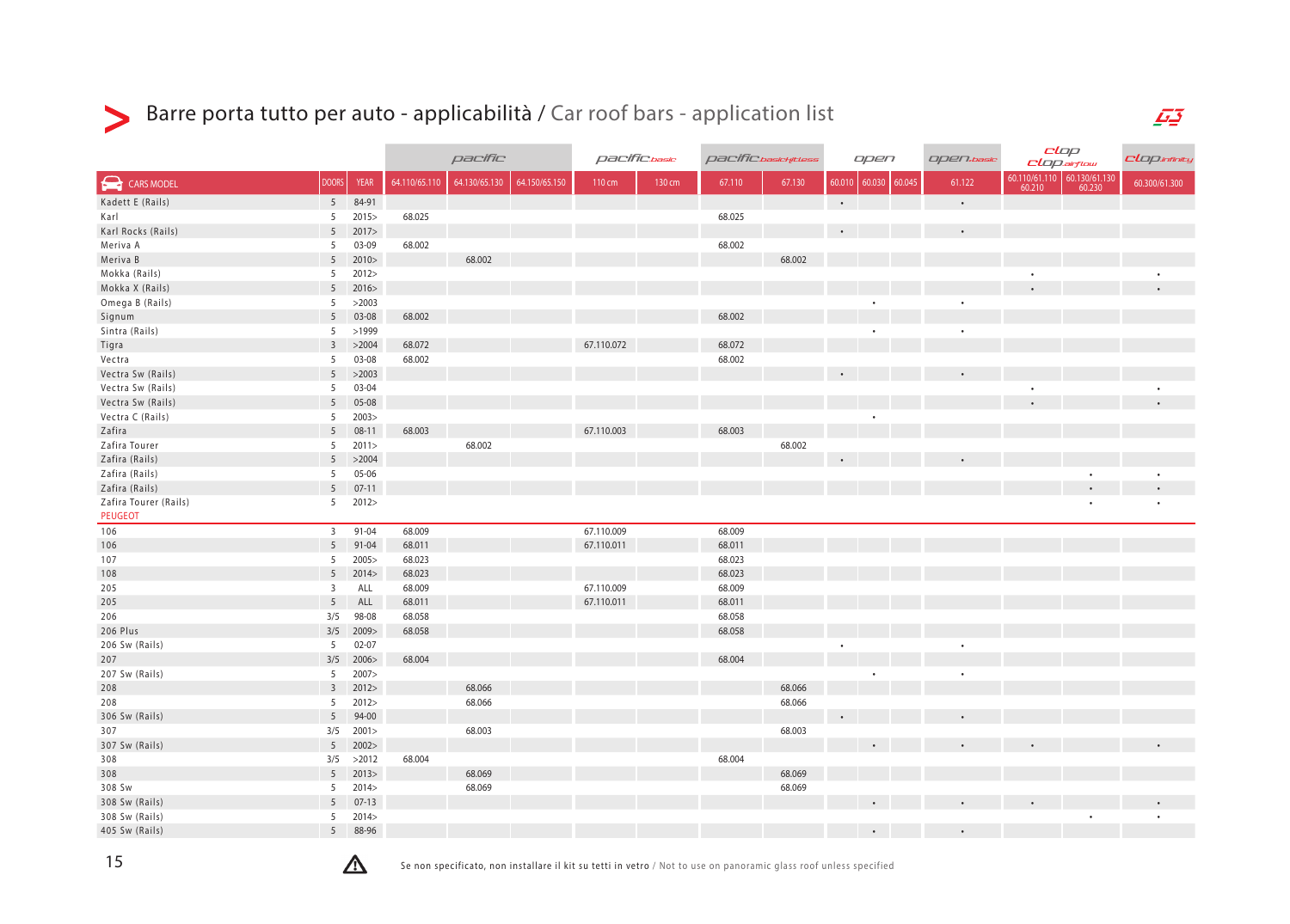|                       |                 |           |               | pacific       |               | <i>pacific.basic</i> |        | <i>pacific.basicHitless</i> |        |           | open            |        | Open.basic | clop<br><b>CLOP</b> .airflow                                                             | <b>CL</b> OP.infinity |
|-----------------------|-----------------|-----------|---------------|---------------|---------------|----------------------|--------|-----------------------------|--------|-----------|-----------------|--------|------------|------------------------------------------------------------------------------------------|-----------------------|
| CARS MODEL            | <b>DOORS</b>    | YEAR      | 64.110/65.110 | 64.130/65.130 | 64.150/65.150 | 110 cm               | 130 cm | 67.110                      | 67.130 |           | $60.010$ 60.030 | 60.045 | 61.122     | $\begin{array}{c c} 60.110/61.110 & 60.130/61.130 \\ \hline 60.210 & 60.230 \end{array}$ | 60.300/61.300         |
| Kadett E (Rails)      | 5 <sup>5</sup>  | 84-91     |               |               |               |                      |        |                             |        |           |                 |        |            |                                                                                          |                       |
| Karl                  | 5               | 2015>     | 68.025        |               |               |                      |        | 68.025                      |        |           |                 |        |            |                                                                                          |                       |
| Karl Rocks (Rails)    | 5               | 2017>     |               |               |               |                      |        |                             |        |           |                 |        |            |                                                                                          |                       |
| Meriva A              | 5               | 03-09     | 68.002        |               |               |                      |        | 68.002                      |        |           |                 |        |            |                                                                                          |                       |
| Meriva B              | 5               | 2010 >    |               | 68.002        |               |                      |        |                             | 68.002 |           |                 |        |            |                                                                                          |                       |
| Mokka (Rails)         | 5               | 2012      |               |               |               |                      |        |                             |        |           |                 |        |            |                                                                                          |                       |
| Mokka X (Rails)       | 5               | 2016 >    |               |               |               |                      |        |                             |        |           |                 |        |            |                                                                                          |                       |
| Omega B (Rails)       | 5               | >2003     |               |               |               |                      |        |                             |        |           |                 |        |            |                                                                                          |                       |
| Signum                | 5 <sup>5</sup>  | 03-08     | 68.002        |               |               |                      |        | 68.002                      |        |           |                 |        |            |                                                                                          |                       |
| Sintra (Rails)        | 5               | >1999     |               |               |               |                      |        |                             |        |           |                 |        |            |                                                                                          |                       |
| Tigra                 | $\overline{3}$  | >2004     | 68.072        |               |               | 67.110.072           |        | 68.072                      |        |           |                 |        |            |                                                                                          |                       |
| Vectra                | 5               | 03-08     | 68.002        |               |               |                      |        | 68.002                      |        |           |                 |        |            |                                                                                          |                       |
| Vectra Sw (Rails)     | 5               | >2003     |               |               |               |                      |        |                             |        | $\bullet$ |                 |        |            |                                                                                          |                       |
| Vectra Sw (Rails)     | 5               | 03-04     |               |               |               |                      |        |                             |        |           |                 |        |            |                                                                                          |                       |
| Vectra Sw (Rails)     | $5\overline{)}$ | 05-08     |               |               |               |                      |        |                             |        |           |                 |        |            |                                                                                          |                       |
| Vectra C (Rails)      | 5               | 2003>     |               |               |               |                      |        |                             |        |           |                 |        |            |                                                                                          |                       |
| Zafira                | $\overline{5}$  | $08-11$   | 68.003        |               |               | 67.110.003           |        | 68.003                      |        |           |                 |        |            |                                                                                          |                       |
| Zafira Tourer         | 5               | 2011>     |               | 68.002        |               |                      |        |                             | 68.002 |           |                 |        |            |                                                                                          |                       |
| Zafira (Rails)        | $\overline{5}$  | >2004     |               |               |               |                      |        |                             |        |           |                 |        |            |                                                                                          |                       |
| Zafira (Rails)        | 5               | 05-06     |               |               |               |                      |        |                             |        |           |                 |        |            |                                                                                          |                       |
| Zafira (Rails)        | 5               | $07-11$   |               |               |               |                      |        |                             |        |           |                 |        |            |                                                                                          |                       |
| Zafira Tourer (Rails) | 5 <sup>5</sup>  | 2012 >    |               |               |               |                      |        |                             |        |           |                 |        |            |                                                                                          |                       |
| <b>PEUGEOT</b>        |                 |           |               |               |               |                      |        |                             |        |           |                 |        |            |                                                                                          |                       |
| 106                   | 3 <sup>1</sup>  | $91 - 04$ | 68.009        |               |               | 67.110.009           |        | 68.009                      |        |           |                 |        |            |                                                                                          |                       |
| 106                   | 5 <sup>5</sup>  | $91 - 04$ | 68.011        |               |               | 67.110.011           |        | 68.011                      |        |           |                 |        |            |                                                                                          |                       |
| 107                   | 5               | 2005 >    | 68.023        |               |               |                      |        | 68.023                      |        |           |                 |        |            |                                                                                          |                       |
| 108                   | $5\overline{)}$ | 2014 >    | 68.023        |               |               |                      |        | 68.023                      |        |           |                 |        |            |                                                                                          |                       |
| 205                   | $\overline{3}$  | ALL       | 68.009        |               |               | 67.110.009           |        | 68.009                      |        |           |                 |        |            |                                                                                          |                       |
| 205                   | 5 <sup>5</sup>  | ALL       | 68.011        |               |               | 67.110.011           |        | 68.011                      |        |           |                 |        |            |                                                                                          |                       |
| 206                   | 3/5             | 98-08     | 68.058        |               |               |                      |        | 68.058                      |        |           |                 |        |            |                                                                                          |                       |
| 206 Plus              | 3/5             | 2009>     | 68.058        |               |               |                      |        | 68.058                      |        |           |                 |        |            |                                                                                          |                       |
| 206 Sw (Rails)        | 5               | $02 - 07$ |               |               |               |                      |        |                             |        |           |                 |        |            |                                                                                          |                       |
| 207                   | 3/5             | 2006>     | 68.004        |               |               |                      |        | 68.004                      |        |           |                 |        |            |                                                                                          |                       |
| 207 Sw (Rails)        | 5               | 2007>     |               |               |               |                      |        |                             |        |           |                 |        |            |                                                                                          |                       |
| 208                   | $\overline{3}$  | 2012 >    |               | 68.066        |               |                      |        |                             | 68.066 |           |                 |        |            |                                                                                          |                       |
| 208                   | 5               | 2012      |               | 68.066        |               |                      |        |                             | 68.066 |           |                 |        |            |                                                                                          |                       |
| 306 Sw (Rails)        | 5               | 94-00     |               |               |               |                      |        |                             |        |           |                 |        |            |                                                                                          |                       |
| 307                   | 3/5             | 2001 >    |               | 68.003        |               |                      |        |                             | 68.003 |           |                 |        |            |                                                                                          |                       |
| 307 Sw (Rails)        | 5               | 2002 >    |               |               |               |                      |        |                             |        |           |                 |        |            |                                                                                          |                       |
| 308                   | 3/5             | >2012     | 68.004        |               |               |                      |        | 68.004                      |        |           |                 |        |            |                                                                                          |                       |
| 308                   | 5               | 2013>     |               | 68.069        |               |                      |        |                             | 68.069 |           |                 |        |            |                                                                                          |                       |
| 308 Sw                | 5               | 2014 >    |               | 68.069        |               |                      |        |                             | 68.069 |           |                 |        |            |                                                                                          |                       |
| 308 Sw (Rails)        | 5               | $07-13$   |               |               |               |                      |        |                             |        |           |                 |        |            |                                                                                          |                       |
| 308 Sw (Rails)        | 5               | 2014 >    |               |               |               |                      |        |                             |        |           |                 |        |            |                                                                                          |                       |
| 405 Sw (Rails)        | 5 <sup>5</sup>  | 88-96     |               |               |               |                      |        |                             |        |           | $\bullet$       |        | $\bullet$  |                                                                                          |                       |
|                       |                 |           |               |               |               |                      |        |                             |        |           |                 |        |            |                                                                                          |                       |

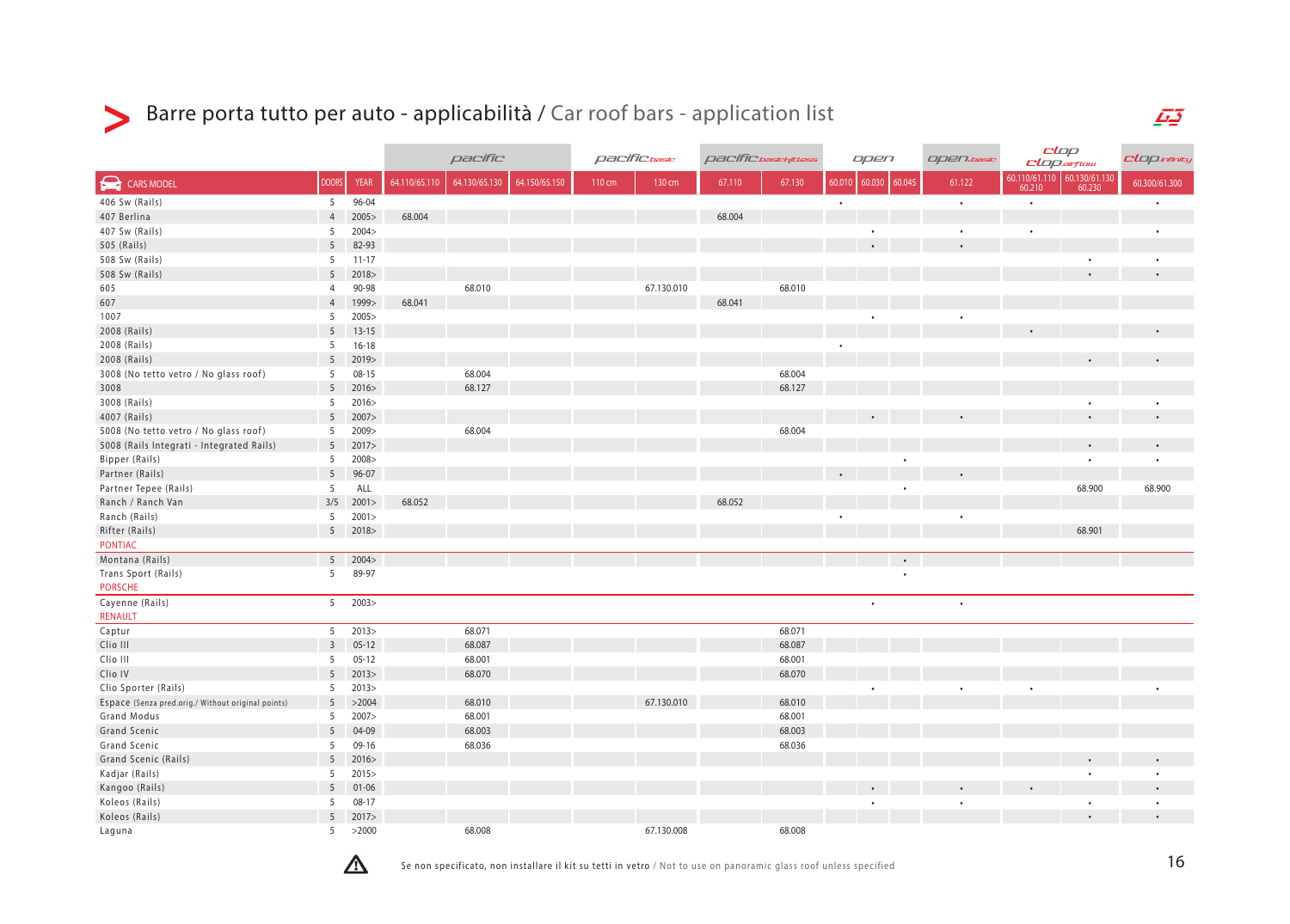|                                                    |                 |             |               | pacific       |               | <i>pacific.basic</i> |            | <i>pacific.basicHtLess</i> |        |           | open            | Open.basic |                                       | clop<br><b>CLOP</b> .airflow | <b>CL</b> OP.infinity |
|----------------------------------------------------|-----------------|-------------|---------------|---------------|---------------|----------------------|------------|----------------------------|--------|-----------|-----------------|------------|---------------------------------------|------------------------------|-----------------------|
| CARS MODEL                                         | <b>DOORS</b>    | <b>YEAR</b> | 64.110/65.110 | 64.130/65.130 | 64.150/65.150 | 110 cm               | 130 cm     | 67.110                     | 67.130 | 60.010    | 60.030   60.045 | 61.122     | 60.110/61.110 60.130/61.130<br>60.210 | 60.230                       | 60.300/61.300         |
| 406 Sw (Rails)                                     | 5 <sub>5</sub>  | 96-04       |               |               |               |                      |            |                            |        | $\bullet$ |                 | $\bullet$  |                                       |                              | $\bullet$             |
| 407 Berlina                                        | $\overline{4}$  | 2005>       | 68.004        |               |               |                      |            | 68.004                     |        |           |                 |            |                                       |                              |                       |
| 407 Sw (Rails)                                     | 5               | 2004>       |               |               |               |                      |            |                            |        |           |                 |            |                                       |                              | $\bullet$             |
| 505 (Rails)                                        | $5\phantom{.0}$ | 82-93       |               |               |               |                      |            |                            |        |           |                 |            |                                       |                              |                       |
| 508 Sw (Rails)                                     | 5               | $11 - 17$   |               |               |               |                      |            |                            |        |           |                 |            |                                       |                              | $\bullet$             |
| 508 Sw (Rails)                                     | 5               | 2018>       |               |               |               |                      |            |                            |        |           |                 |            |                                       |                              |                       |
| 605                                                | $\overline{4}$  | 90-98       |               | 68.010        |               |                      | 67.130.010 |                            | 68.010 |           |                 |            |                                       |                              |                       |
| 607                                                | $\overline{4}$  | 1999>       | 68.041        |               |               |                      |            | 68.041                     |        |           |                 |            |                                       |                              |                       |
| 1007                                               | 5 <sup>5</sup>  | 2005>       |               |               |               |                      |            |                            |        |           |                 | $\bullet$  |                                       |                              |                       |
| 2008 (Rails)                                       | 5               | $13 - 15$   |               |               |               |                      |            |                            |        |           |                 |            |                                       |                              |                       |
| 2008 (Rails)                                       | 5 <sup>5</sup>  | $16 - 18$   |               |               |               |                      |            |                            |        |           |                 |            |                                       |                              |                       |
| 2008 (Rails)                                       | 5 <sup>5</sup>  | 2019>       |               |               |               |                      |            |                            |        |           |                 |            |                                       |                              |                       |
| 3008 (No tetto vetro / No glass roof)              | 5               | $08 - 15$   |               | 68.004        |               |                      |            |                            | 68.004 |           |                 |            |                                       |                              |                       |
| 3008                                               | $5\overline{)}$ | 2016        |               | 68.127        |               |                      |            |                            | 68.127 |           |                 |            |                                       |                              |                       |
| 3008 (Rails)                                       | 5               | 2016>       |               |               |               |                      |            |                            |        |           |                 |            |                                       |                              |                       |
| 4007 (Rails)                                       | $5\phantom{.0}$ | 2007>       |               |               |               |                      |            |                            |        |           |                 |            |                                       |                              |                       |
| 5008 (No tetto vetro / No glass roof)              | 5               | 2009>       |               | 68.004        |               |                      |            |                            | 68.004 |           |                 |            |                                       |                              |                       |
| 5008 (Rails Integrati - Integrated Rails)          | 5               | 2017>       |               |               |               |                      |            |                            |        |           |                 |            |                                       |                              | $\bullet$             |
| Bipper (Rails)                                     | 5               | 2008>       |               |               |               |                      |            |                            |        |           |                 |            |                                       |                              | $\bullet$             |
| Partner (Rails)                                    | $5\phantom{.0}$ | $96 - 07$   |               |               |               |                      |            |                            |        |           |                 |            |                                       |                              |                       |
| Partner Tepee (Rails)                              | 5               | ALL         |               |               |               |                      |            |                            |        |           |                 |            |                                       | 68.900                       | 68.900                |
| Ranch / Ranch Van                                  | 3/5             | 2001 >      | 68.052        |               |               |                      |            | 68.052                     |        |           |                 |            |                                       |                              |                       |
| Ranch (Rails)                                      | 5               | 2001>       |               |               |               |                      |            |                            |        |           |                 |            |                                       |                              |                       |
| Rifter (Rails)                                     | 5 <sup>7</sup>  | 2018>       |               |               |               |                      |            |                            |        |           |                 |            |                                       | 68.901                       |                       |
| <b>PONTIAC</b>                                     |                 |             |               |               |               |                      |            |                            |        |           |                 |            |                                       |                              |                       |
| Montana (Rails)                                    | 5               | 2004 >      |               |               |               |                      |            |                            |        |           |                 |            |                                       |                              |                       |
| Trans Sport (Rails)                                | 5               | 89-97       |               |               |               |                      |            |                            |        |           | $\bullet$       |            |                                       |                              |                       |
| <b>PORSCHE</b>                                     |                 |             |               |               |               |                      |            |                            |        |           |                 |            |                                       |                              |                       |
| Cayenne (Rails)                                    | 5 <sup>5</sup>  | 2003>       |               |               |               |                      |            |                            |        |           | $\bullet$       | $\bullet$  |                                       |                              |                       |
| <b>RENAULT</b>                                     |                 |             |               |               |               |                      |            |                            |        |           |                 |            |                                       |                              |                       |
| Captur                                             | 5 <sup>5</sup>  | 2013>       |               | 68.071        |               |                      |            |                            | 68.071 |           |                 |            |                                       |                              |                       |
| Clio III                                           | $\overline{3}$  | $05-12$     |               | 68.087        |               |                      |            |                            | 68.087 |           |                 |            |                                       |                              |                       |
| Clio III                                           | 5               | $05 - 12$   |               | 68.001        |               |                      |            |                            | 68.001 |           |                 |            |                                       |                              |                       |
| Clio IV                                            | 5               | 2013        |               | 68.070        |               |                      |            |                            | 68.070 |           |                 |            |                                       |                              |                       |
| Clio Sporter (Rails)                               | 5               | 2013        |               |               |               |                      |            |                            |        |           |                 |            |                                       |                              |                       |
| Espace (Senza pred.orig./ Without original points) | 5               | >2004       |               | 68.010        |               |                      | 67.130.010 |                            | 68.010 |           |                 |            |                                       |                              |                       |
| Grand Modus                                        | 5               | 2007>       |               | 68.001        |               |                      |            |                            | 68.001 |           |                 |            |                                       |                              |                       |
| Grand Scenic                                       | 5               | 04-09       |               | 68.003        |               |                      |            |                            | 68.003 |           |                 |            |                                       |                              |                       |
| Grand Scenic                                       | 5               | 09-16       |               | 68.036        |               |                      |            |                            | 68.036 |           |                 |            |                                       |                              |                       |
| Grand Scenic (Rails)                               | 5               | 2016 >      |               |               |               |                      |            |                            |        |           |                 |            |                                       |                              |                       |
| Kadjar (Rails)                                     | 5               | 2015        |               |               |               |                      |            |                            |        |           |                 |            |                                       |                              | $\bullet$             |
| Kangoo (Rails)                                     | 5               | $01 - 06$   |               |               |               |                      |            |                            |        |           |                 |            |                                       |                              |                       |
| Koleos (Rails)                                     | 5               | $08 - 17$   |               |               |               |                      |            |                            |        |           |                 |            |                                       |                              | $\bullet$             |
| Koleos (Rails)                                     | 5               | 2017        |               |               |               |                      |            |                            |        |           |                 |            |                                       |                              | $\bullet$             |
| Laguna                                             | 5 <sup>7</sup>  | >2000       |               | 68.008        |               |                      | 67.130.008 |                            | 68.008 |           |                 |            |                                       |                              |                       |

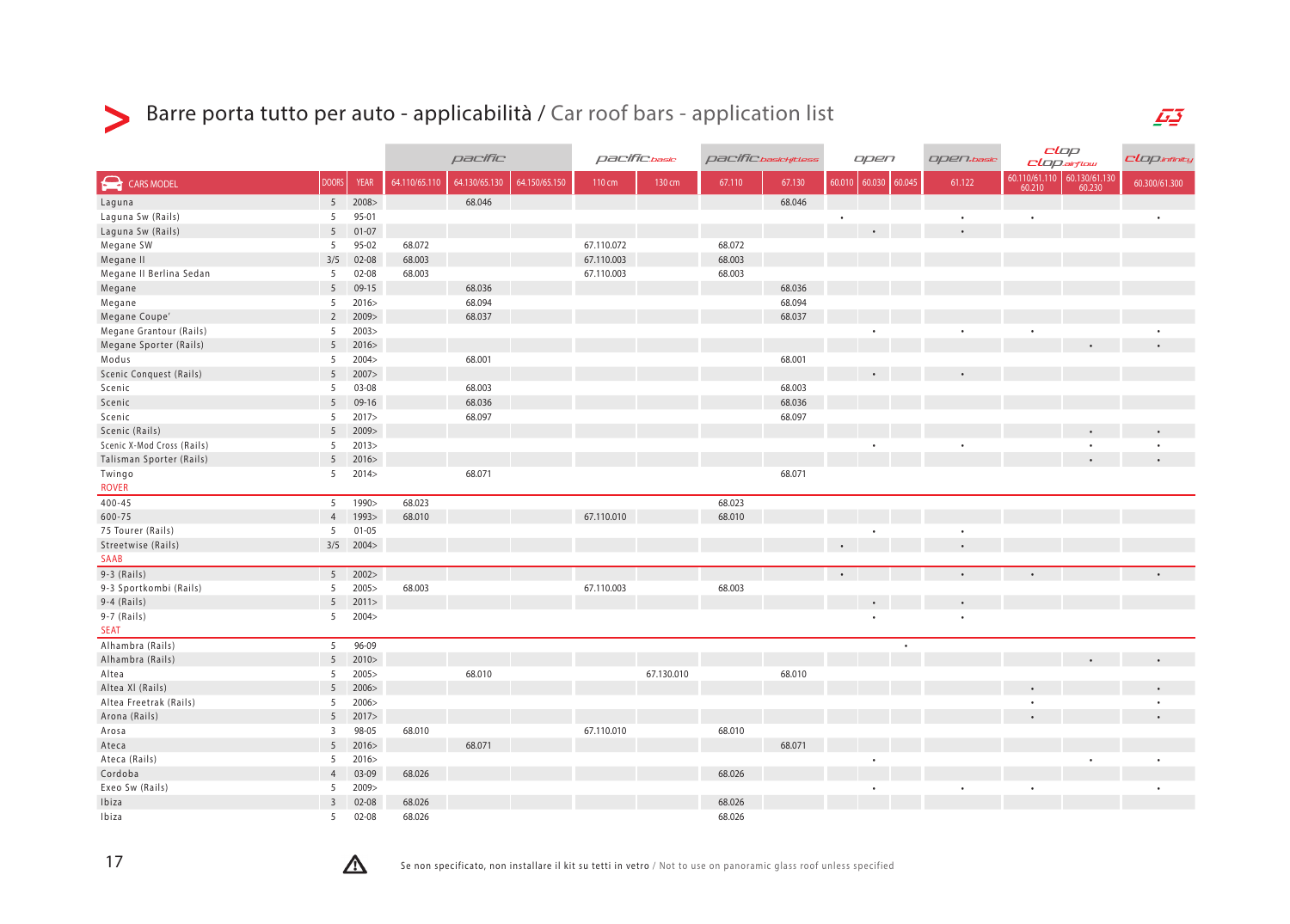|                            |                 |                |               | pacific       |               | <i>pacific.basic</i> |            |        | pacific. <sub>basicHi</sub> tless |                 | open                 |        | Open.basic |        | clop<br><b>CLOP</b> .airflow          | CLop.infinity |
|----------------------------|-----------------|----------------|---------------|---------------|---------------|----------------------|------------|--------|-----------------------------------|-----------------|----------------------|--------|------------|--------|---------------------------------------|---------------|
| CARS MODEL                 | <b>DOORS</b>    | YEAR           | 64.110/65.110 | 64.130/65.130 | 64.150/65.150 | 110 cm               | 130 cm     | 67.110 | 67.130                            | $60.010$ 60.030 |                      | 60.045 | 61.122     | 60.210 | 60.110/61.110 60.130/61.130<br>60.230 | 60.300/61.300 |
| Laguna                     |                 | 5 2008>        |               | 68.046        |               |                      |            |        | 68.046                            |                 |                      |        |            |        |                                       |               |
| Laguna Sw (Rails)          | 5               | 95-01          |               |               |               |                      |            |        |                                   |                 |                      |        |            |        |                                       |               |
| Laguna Sw (Rails)          | 5               | $01 - 07$      |               |               |               |                      |            |        |                                   |                 |                      |        |            |        |                                       |               |
| Megane SW                  | 5               | 95-02          | 68.072        |               |               | 67.110.072           |            | 68.072 |                                   |                 |                      |        |            |        |                                       |               |
| Megane II                  | 3/5             | 02-08          | 68.003        |               |               | 67.110.003           |            | 68.003 |                                   |                 |                      |        |            |        |                                       |               |
| Megane II Berlina Sedan    | 5 <sup>5</sup>  | 02-08          | 68.003        |               |               | 67.110.003           |            | 68.003 |                                   |                 |                      |        |            |        |                                       |               |
| Megane                     | $5\overline{)}$ | $09-15$        |               | 68.036        |               |                      |            |        | 68.036                            |                 |                      |        |            |        |                                       |               |
| Megane                     | 5               | 2016           |               | 68.094        |               |                      |            |        | 68.094                            |                 |                      |        |            |        |                                       |               |
| Megane Coupe'              | $\overline{2}$  | 2009>          |               | 68.037        |               |                      |            |        | 68.037                            |                 |                      |        |            |        |                                       |               |
| Megane Grantour (Rails)    | 5               | 2003>          |               |               |               |                      |            |        |                                   |                 |                      |        |            |        |                                       |               |
| Megane Sporter (Rails)     | 5               | 2016 >         |               |               |               |                      |            |        |                                   |                 |                      |        |            |        |                                       |               |
| Modus                      | 5               | 2004 >         |               | 68.001        |               |                      |            |        | 68.001                            |                 |                      |        |            |        |                                       |               |
| Scenic Conquest (Rails)    | 5               | 2007>          |               |               |               |                      |            |        |                                   |                 | $\bullet$            |        |            |        |                                       |               |
| Scenic                     | 5               | 03-08          |               | 68.003        |               |                      |            |        | 68.003                            |                 |                      |        |            |        |                                       |               |
| Scenic                     | $5\overline{)}$ | 09-16          |               | 68.036        |               |                      |            |        | 68.036                            |                 |                      |        |            |        |                                       |               |
| Scenic<br>Scenic (Rails)   | 5<br>5          | 2017><br>2009> |               | 68.097        |               |                      |            |        | 68.097                            |                 |                      |        |            |        |                                       |               |
| Scenic X-Mod Cross (Rails) | 5               | 2013>          |               |               |               |                      |            |        |                                   |                 |                      |        |            |        | $\bullet$                             | $\bullet$     |
| Talisman Sporter (Rails)   | $5\phantom{.0}$ | 2016 >         |               |               |               |                      |            |        |                                   |                 |                      |        |            |        |                                       |               |
| Twingo                     | 5               | 2014 >         |               | 68.071        |               |                      |            |        | 68.071                            |                 |                      |        |            |        |                                       |               |
| <b>ROVER</b>               |                 |                |               |               |               |                      |            |        |                                   |                 |                      |        |            |        |                                       |               |
| 400-45                     | 5 <sup>5</sup>  | 1990>          | 68.023        |               |               |                      |            | 68.023 |                                   |                 |                      |        |            |        |                                       |               |
| 600-75                     | $\overline{4}$  | 1993>          | 68.010        |               |               | 67.110.010           |            | 68.010 |                                   |                 |                      |        |            |        |                                       |               |
| 75 Tourer (Rails)          | 5               | $01 - 05$      |               |               |               |                      |            |        |                                   |                 | $\ddot{\phantom{a}}$ |        | $\bullet$  |        |                                       |               |
| Streetwise (Rails)         |                 | $3/5$ 2004>    |               |               |               |                      |            |        |                                   |                 |                      |        |            |        |                                       |               |
| SAAB                       |                 |                |               |               |               |                      |            |        |                                   |                 |                      |        |            |        |                                       |               |
| $9-3$ (Rails)              |                 | $5$ 2002>      |               |               |               |                      |            |        |                                   |                 |                      |        |            |        |                                       |               |
| 9-3 Sportkombi (Rails)     | 5               | 2005 >         | 68.003        |               |               | 67.110.003           |            | 68.003 |                                   |                 |                      |        |            |        |                                       |               |
| 9-4 (Rails)                | 5               | 2011 >         |               |               |               |                      |            |        |                                   |                 |                      |        |            |        |                                       |               |
| 9-7 (Rails)<br><b>SEAT</b> | 5               | 2004 >         |               |               |               |                      |            |        |                                   |                 | $\bullet$            |        | $\bullet$  |        |                                       |               |
| Alhambra (Rails)           | 5 <sup>5</sup>  | 96-09          |               |               |               |                      |            |        |                                   |                 |                      |        |            |        |                                       |               |
| Alhambra (Rails)           | $5\overline{)}$ | 2010 >         |               |               |               |                      |            |        |                                   |                 |                      |        |            |        |                                       |               |
| Altea                      | 5               | 2005>          |               | 68.010        |               |                      | 67.130.010 |        | 68.010                            |                 |                      |        |            |        |                                       |               |
| Altea XI (Rails)           | 5               | 2006>          |               |               |               |                      |            |        |                                   |                 |                      |        |            |        |                                       |               |
| Altea Freetrak (Rails)     | 5               | 2006>          |               |               |               |                      |            |        |                                   |                 |                      |        |            |        |                                       | $\bullet$     |
| Arona (Rails)              | 5               | 2017           |               |               |               |                      |            |        |                                   |                 |                      |        |            |        |                                       |               |
| Arosa                      | $\overline{3}$  | 98-05          | 68.010        |               |               | 67.110.010           |            | 68.010 |                                   |                 |                      |        |            |        |                                       |               |
| Ateca                      | 5               | 2016 >         |               | 68.071        |               |                      |            |        | 68.071                            |                 |                      |        |            |        |                                       |               |
| Ateca (Rails)              | 5               | 2016>          |               |               |               |                      |            |        |                                   |                 |                      |        |            |        |                                       |               |
| Cordoba                    | $\overline{4}$  | 03-09          | 68.026        |               |               |                      |            | 68.026 |                                   |                 |                      |        |            |        |                                       |               |
| Exeo Sw (Rails)            | 5               | 2009>          |               |               |               |                      |            |        |                                   |                 |                      |        |            |        |                                       |               |
| Ibiza                      | $\overline{3}$  | 02-08          | 68.026        |               |               |                      |            | 68.026 |                                   |                 |                      |        |            |        |                                       |               |
| Ibiza                      | 5               | $02 - 08$      | 68.026        |               |               |                      |            | 68.026 |                                   |                 |                      |        |            |        |                                       |               |

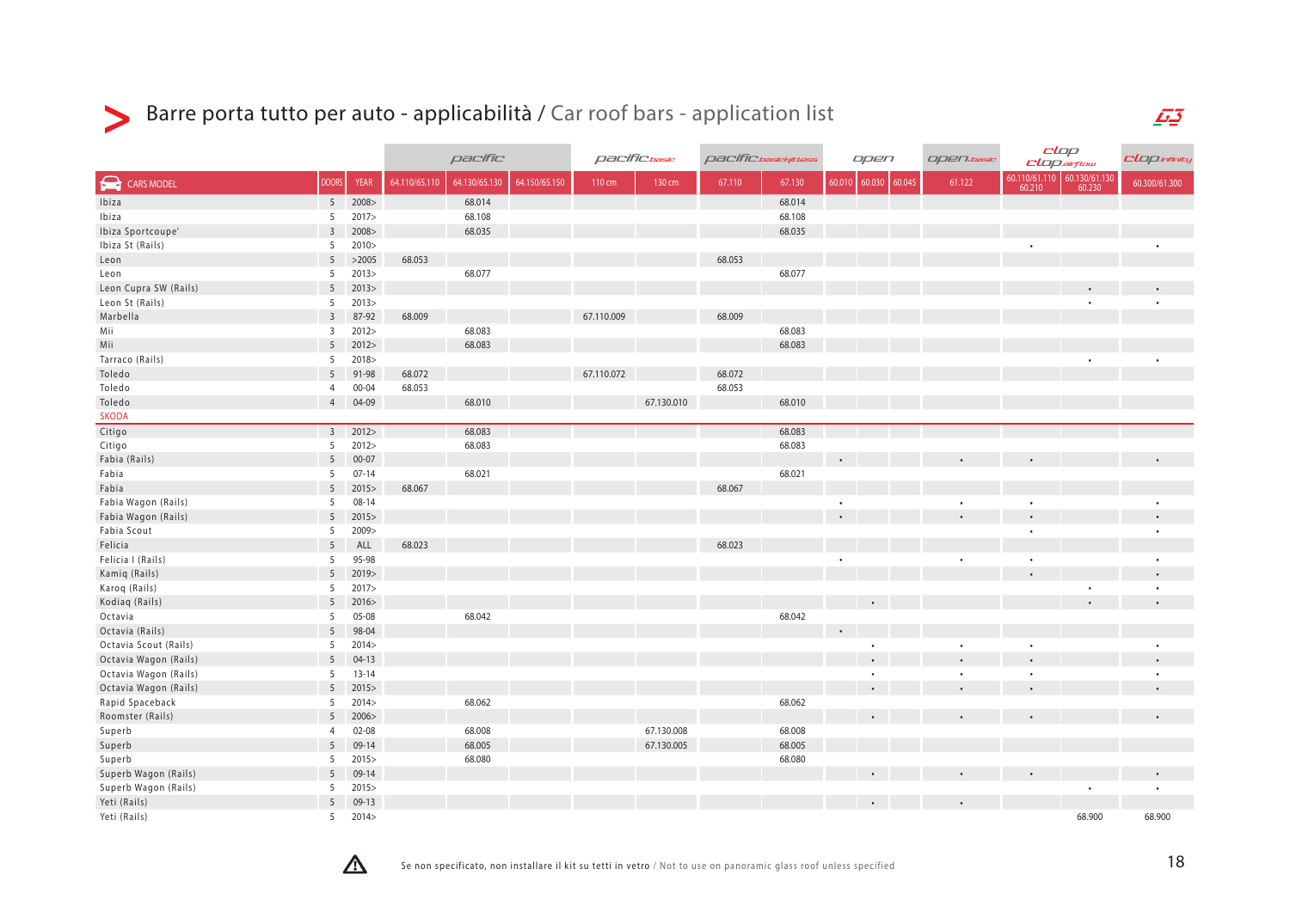|                        |                      |                    |               | pacific       |               | <i>pacific.basic</i> |            | <i>pacific.basicHtless</i> |        | open            |        | Open.basic | clop<br>$cl$ <sub>D</sub> $P$ <i>airflow</i>                                      |        | <b>CL</b> OP.infinity |
|------------------------|----------------------|--------------------|---------------|---------------|---------------|----------------------|------------|----------------------------|--------|-----------------|--------|------------|-----------------------------------------------------------------------------------|--------|-----------------------|
| CARS MODEL             | <b>DOORS</b>         | <b>YEAR</b>        | 64.110/65.110 | 64.130/65.130 | 64.150/65.150 | 110 cm               | 130 cm     | 67.110                     | 67.130 | $60.010$ 60.030 | 60.045 | 61.122     | $\begin{array}{c c} 60.110/61.110 & 60.130/61.130 \\ 60.210 & 60.230 \end{array}$ |        | 60.300/61.300         |
| Ibiza                  |                      | 5 2008>            |               | 68.014        |               |                      |            |                            | 68.014 |                 |        |            |                                                                                   |        |                       |
| Ibiza                  | 5                    | 2017>              |               | 68.108        |               |                      |            |                            | 68.108 |                 |        |            |                                                                                   |        |                       |
| Ibiza Sportcoupe'      | $\overline{3}$       | 2008>              |               | 68.035        |               |                      |            |                            | 68.035 |                 |        |            |                                                                                   |        |                       |
| Ibiza St (Rails)       | 5                    | 2010>              |               |               |               |                      |            |                            |        |                 |        |            |                                                                                   |        |                       |
| Leon                   | $5\overline{)}$      | >2005              | 68.053        |               |               |                      |            | 68.053                     |        |                 |        |            |                                                                                   |        |                       |
| Leon                   | 5 <sup>5</sup>       | 2013               |               | 68.077        |               |                      |            |                            | 68.077 |                 |        |            |                                                                                   |        |                       |
| Leon Cupra SW (Rails)  | 5                    | 2013>              |               |               |               |                      |            |                            |        |                 |        |            |                                                                                   |        |                       |
| Leon St (Rails)        | 5                    | 2013               |               |               |               |                      |            |                            |        |                 |        |            |                                                                                   |        |                       |
| Marbella               | $\overline{3}$       | 87-92              | 68.009        |               |               | 67.110.009           |            | 68.009                     |        |                 |        |            |                                                                                   |        |                       |
| Mii                    | $\overline{3}$       | 2012               |               | 68.083        |               |                      |            |                            | 68.083 |                 |        |            |                                                                                   |        |                       |
| $M$ i i                | 5                    | 2012               |               | 68.083        |               |                      |            |                            | 68.083 |                 |        |            |                                                                                   |        |                       |
| Tarraco (Rails)        | 5                    | 2018>              |               |               |               |                      |            |                            |        |                 |        |            |                                                                                   |        |                       |
| Toledo                 | $5\phantom{.0}$      | 91-98              | 68.072        |               |               | 67.110.072           |            | 68.072                     |        |                 |        |            |                                                                                   |        |                       |
| Toledo                 | $\overline{4}$       | $00 - 04$          | 68.053        |               |               |                      |            | 68.053                     |        |                 |        |            |                                                                                   |        |                       |
| Toledo                 | 4                    | 04-09              |               | 68.010        |               |                      | 67.130.010 |                            | 68.010 |                 |        |            |                                                                                   |        |                       |
| <b>SKODA</b>           |                      |                    |               |               |               |                      |            |                            |        |                 |        |            |                                                                                   |        |                       |
| Citigo                 | 3 <sup>7</sup>       | 2012               |               | 68.083        |               |                      |            |                            | 68.083 |                 |        |            |                                                                                   |        |                       |
| Citigo                 | $5\overline{)}$<br>5 | 2012><br>$00 - 07$ |               | 68.083        |               |                      |            |                            | 68.083 |                 |        |            |                                                                                   |        |                       |
| Fabia (Rails)<br>Fabia | 5                    | $07 - 14$          |               | 68.021        |               |                      |            |                            | 68.021 |                 |        |            |                                                                                   |        |                       |
| Fabia                  | 5                    | 2015               | 68.067        |               |               |                      |            | 68.067                     |        |                 |        |            |                                                                                   |        |                       |
| Fabia Wagon (Rails)    | 5                    | 08-14              |               |               |               |                      |            |                            |        |                 |        | $\bullet$  |                                                                                   |        |                       |
| Fabia Wagon (Rails)    | 5                    | 2015               |               |               |               |                      |            |                            |        |                 |        | $\bullet$  |                                                                                   |        |                       |
| Fabia Scout            | 5                    | 2009>              |               |               |               |                      |            |                            |        |                 |        |            | ٠                                                                                 |        | $\bullet$             |
| Felicia                | 5                    | ALL                | 68.023        |               |               |                      |            | 68.023                     |        |                 |        |            |                                                                                   |        |                       |
| Felicia I (Rails)      | 5                    | 95-98              |               |               |               |                      |            |                            |        |                 |        |            |                                                                                   |        |                       |
| Kamiq (Rails)          | 5 <sup>5</sup>       | 2019>              |               |               |               |                      |            |                            |        |                 |        |            |                                                                                   |        |                       |
| Karoq (Rails)          | 5                    | 2017>              |               |               |               |                      |            |                            |        |                 |        |            |                                                                                   |        | $\bullet$             |
| Kodiaq (Rails)         | $5\phantom{.0}$      | 2016 >             |               |               |               |                      |            |                            |        |                 |        |            |                                                                                   |        |                       |
| Octavia                | 5                    | $05 - 08$          |               | 68.042        |               |                      |            |                            | 68.042 |                 |        |            |                                                                                   |        |                       |
| Octavia (Rails)        | 5                    | 98-04              |               |               |               |                      |            |                            |        | $\bullet$       |        |            |                                                                                   |        |                       |
| Octavia Scout (Rails)  | 5                    | 2014>              |               |               |               |                      |            |                            |        |                 |        |            |                                                                                   |        |                       |
| Octavia Wagon (Rails)  | 5                    | $04-13$            |               |               |               |                      |            |                            |        |                 |        |            |                                                                                   |        |                       |
| Octavia Wagon (Rails)  | 5                    | $13 - 14$          |               |               |               |                      |            |                            |        |                 |        |            |                                                                                   |        |                       |
| Octavia Wagon (Rails)  | 5                    | 2015               |               |               |               |                      |            |                            |        |                 |        |            |                                                                                   |        |                       |
| Rapid Spaceback        | 5                    | 2014               |               | 68.062        |               |                      |            |                            | 68.062 |                 |        |            |                                                                                   |        |                       |
| Roomster (Rails)       | 5                    | 2006>              |               |               |               |                      |            |                            |        |                 |        |            |                                                                                   |        |                       |
| Superb                 | $\overline{4}$       | $02 - 08$          |               | 68.008        |               |                      | 67.130.008 |                            | 68.008 |                 |        |            |                                                                                   |        |                       |
| Superb                 | 5                    | $09-14$            |               | 68.005        |               |                      | 67.130.005 |                            | 68.005 |                 |        |            |                                                                                   |        |                       |
| Superb                 | 5                    | 2015>              |               | 68.080        |               |                      |            |                            | 68.080 |                 |        |            |                                                                                   |        |                       |
| Superb Wagon (Rails)   | $5\phantom{.0}$      | $09-14$            |               |               |               |                      |            |                            |        |                 |        |            |                                                                                   |        |                       |
| Superb Wagon (Rails)   | 5                    | 2015>              |               |               |               |                      |            |                            |        |                 |        |            |                                                                                   |        | $\bullet$             |
| Yeti (Rails)           | 5                    | $09-13$            |               |               |               |                      |            |                            |        |                 |        |            |                                                                                   |        |                       |
| Yeti (Rails)           | 5                    | 2014               |               |               |               |                      |            |                            |        |                 |        |            |                                                                                   | 68.900 | 68.900                |



 $\Delta$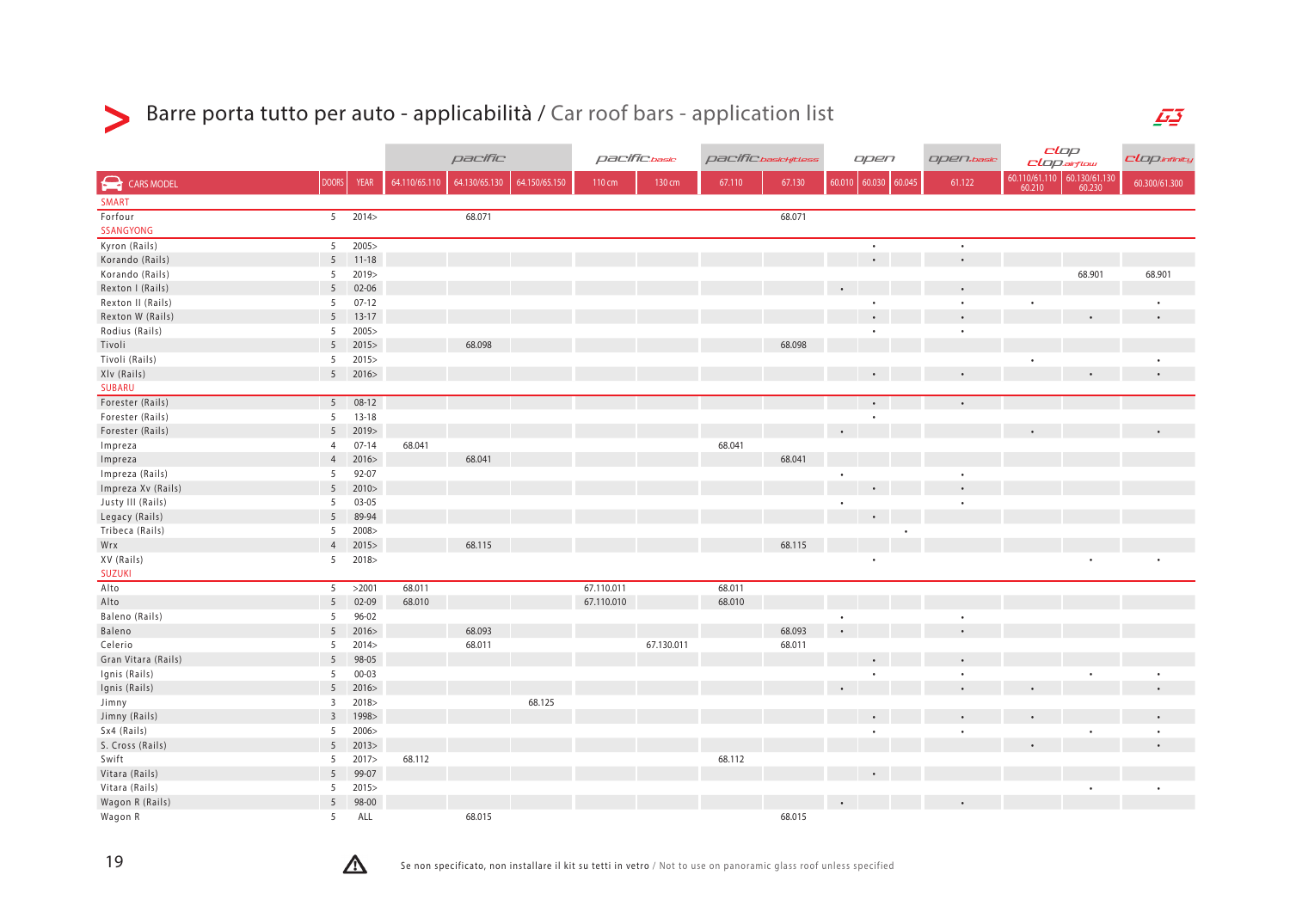|                                |                 |               |               | pacific       |               |            | <i>pacific.basic</i> |        | <i>pacific.basicHtless</i> |                 | open      | Open.basic | clop<br><b>CLOP</b> .airflow                                                      | <b>CL</b> OP.infinity |
|--------------------------------|-----------------|---------------|---------------|---------------|---------------|------------|----------------------|--------|----------------------------|-----------------|-----------|------------|-----------------------------------------------------------------------------------|-----------------------|
| CARS MODEL                     | <b>DOORS</b>    | <b>YEAR</b>   | 64.110/65.110 | 64.130/65.130 | 64.150/65.150 | 110 cm     | 130 cm               | 67.110 | 67.130                     | $60.010$ 60.030 | 60.045    | 61.122     | $\begin{array}{c c} 60.110/61.110 & 60.130/61.130 \\ 60.210 & 60.230 \end{array}$ | 60.300/61.300         |
| SMART                          |                 |               |               |               |               |            |                      |        |                            |                 |           |            |                                                                                   |                       |
| Forfour                        | 5 <sup>5</sup>  | 2014 >        |               | 68.071        |               |            |                      |        | 68.071                     |                 |           |            |                                                                                   |                       |
| <b>SSANGYONG</b>               |                 |               |               |               |               |            |                      |        |                            |                 |           |            |                                                                                   |                       |
| Kyron (Rails)                  | 5 <sup>5</sup>  | 2005>         |               |               |               |            |                      |        |                            |                 | $\bullet$ | $\bullet$  |                                                                                   |                       |
| Korando (Rails)                | 5 <sup>5</sup>  | $11 - 18$     |               |               |               |            |                      |        |                            |                 | $\bullet$ |            |                                                                                   |                       |
| Korando (Rails)                | 5               | 2019>         |               |               |               |            |                      |        |                            |                 |           |            | 68.901                                                                            | 68.901                |
| Rexton I (Rails)               | 5               | 02-06         |               |               |               |            |                      |        |                            |                 |           |            |                                                                                   |                       |
| Rexton II (Rails)              | 5               | $07-12$       |               |               |               |            |                      |        |                            |                 |           | $\bullet$  |                                                                                   |                       |
| Rexton W (Rails)               | 5               | $13-17$       |               |               |               |            |                      |        |                            |                 |           |            |                                                                                   |                       |
| Rodius (Rails)                 | 5               | 2005          |               |               |               |            |                      |        |                            |                 | $\bullet$ | $\bullet$  |                                                                                   |                       |
| Tivoli                         | 5               | 2015          |               | 68.098        |               |            |                      |        | 68.098                     |                 |           |            |                                                                                   |                       |
| Tivoli (Rails)                 | 5 <sup>5</sup>  | 2015>         |               |               |               |            |                      |        |                            |                 |           |            |                                                                                   |                       |
| XIv (Rails)                    |                 | 5 2016>       |               |               |               |            |                      |        |                            |                 |           |            |                                                                                   |                       |
| <b>SUBARU</b>                  |                 |               |               |               |               |            |                      |        |                            |                 |           |            |                                                                                   |                       |
| Forester (Rails)               | 5 <sup>7</sup>  | $08-12$       |               |               |               |            |                      |        |                            |                 |           |            |                                                                                   |                       |
| Forester (Rails)               | 5               | $13 - 18$     |               |               |               |            |                      |        |                            |                 | $\bullet$ |            |                                                                                   |                       |
| Forester (Rails)               | 5               | 2019>         |               |               |               |            |                      |        |                            |                 |           |            |                                                                                   |                       |
| Impreza                        | $\overline{4}$  | $07-14$       | 68.041        |               |               |            |                      | 68.041 |                            |                 |           |            |                                                                                   |                       |
| Impreza                        | $\overline{4}$  | 2016 >        |               | 68.041        |               |            |                      |        | 68.041                     |                 |           |            |                                                                                   |                       |
| Impreza (Rails)                | 5               | 92-07         |               |               |               |            |                      |        |                            |                 |           | $\bullet$  |                                                                                   |                       |
| Impreza Xv (Rails)             | 5               | 2010 >        |               |               |               |            |                      |        |                            |                 | $\bullet$ | $\bullet$  |                                                                                   |                       |
| Justy III (Rails)              | 5               | 03-05         |               |               |               |            |                      |        |                            |                 |           | $\bullet$  |                                                                                   |                       |
| Legacy (Rails)                 | 5               | 89-94         |               |               |               |            |                      |        |                            |                 | $\bullet$ |            |                                                                                   |                       |
| Tribeca (Rails)                | 5 <sup>5</sup>  | 2008>         |               |               |               |            |                      |        |                            |                 | $\bullet$ |            |                                                                                   |                       |
| Wrx                            | $\overline{4}$  | 2015          |               | 68.115        |               |            |                      |        | 68.115                     |                 |           |            |                                                                                   |                       |
| XV (Rails)                     | 5               | 2018>         |               |               |               |            |                      |        |                            |                 | ٠         |            |                                                                                   |                       |
| <b>SUZUKI</b>                  |                 |               |               |               |               |            |                      |        |                            |                 |           |            |                                                                                   |                       |
| Alto                           | 5 <sup>5</sup>  | >2001         | 68.011        |               |               | 67.110.011 |                      | 68.011 |                            |                 |           |            |                                                                                   |                       |
| Alto                           | $5\phantom{.0}$ | $02 - 09$     | 68.010        |               |               | 67.110.010 |                      | 68.010 |                            |                 |           |            |                                                                                   |                       |
| Baleno (Rails)                 | 5               | $96 - 02$     |               |               |               |            |                      |        |                            | $\bullet$       |           | $\bullet$  |                                                                                   |                       |
| Baleno                         | $5\overline{)}$ | 2016 >        |               | 68.093        |               |            |                      |        | 68.093                     |                 |           |            |                                                                                   |                       |
| Celerio<br>Gran Vitara (Rails) | 5<br>$5\,$      | 2014<br>98-05 |               | 68.011        |               |            | 67.130.011           |        | 68.011                     |                 |           |            |                                                                                   |                       |
|                                | 5               | $00 - 03$     |               |               |               |            |                      |        |                            |                 |           |            |                                                                                   |                       |
| Ignis (Rails)<br>Ignis (Rails) | 5               | 2016 >        |               |               |               |            |                      |        |                            |                 | $\bullet$ | $\bullet$  |                                                                                   |                       |
|                                | $\overline{3}$  | 2018>         |               |               | 68.125        |            |                      |        |                            |                 |           |            |                                                                                   |                       |
| Jimny<br>Jimny (Rails)         | $\overline{3}$  | 1998>         |               |               |               |            |                      |        |                            |                 |           | $\bullet$  |                                                                                   |                       |
| Sx4 (Rails)                    | 5 <sup>5</sup>  | 2006>         |               |               |               |            |                      |        |                            |                 |           |            |                                                                                   | $\bullet$             |
| S. Cross (Rails)               | 5               | 2013 >        |               |               |               |            |                      |        |                            |                 |           |            |                                                                                   |                       |
| Swift                          | 5               | 2017>         | 68.112        |               |               |            |                      | 68.112 |                            |                 |           |            |                                                                                   |                       |
| Vitara (Rails)                 | 5               | 99-07         |               |               |               |            |                      |        |                            |                 |           |            |                                                                                   |                       |
| Vitara (Rails)                 | 5               | 2015          |               |               |               |            |                      |        |                            |                 |           |            |                                                                                   | $\bullet$             |
| Wagon R (Rails)                | 5               | 98-00         |               |               |               |            |                      |        |                            | $\bullet$       |           |            |                                                                                   |                       |
| Wagon R                        | 5 <sup>5</sup>  | ALL           |               | 68.015        |               |            |                      |        | 68.015                     |                 |           |            |                                                                                   |                       |
|                                |                 |               |               |               |               |            |                      |        |                            |                 |           |            |                                                                                   |                       |

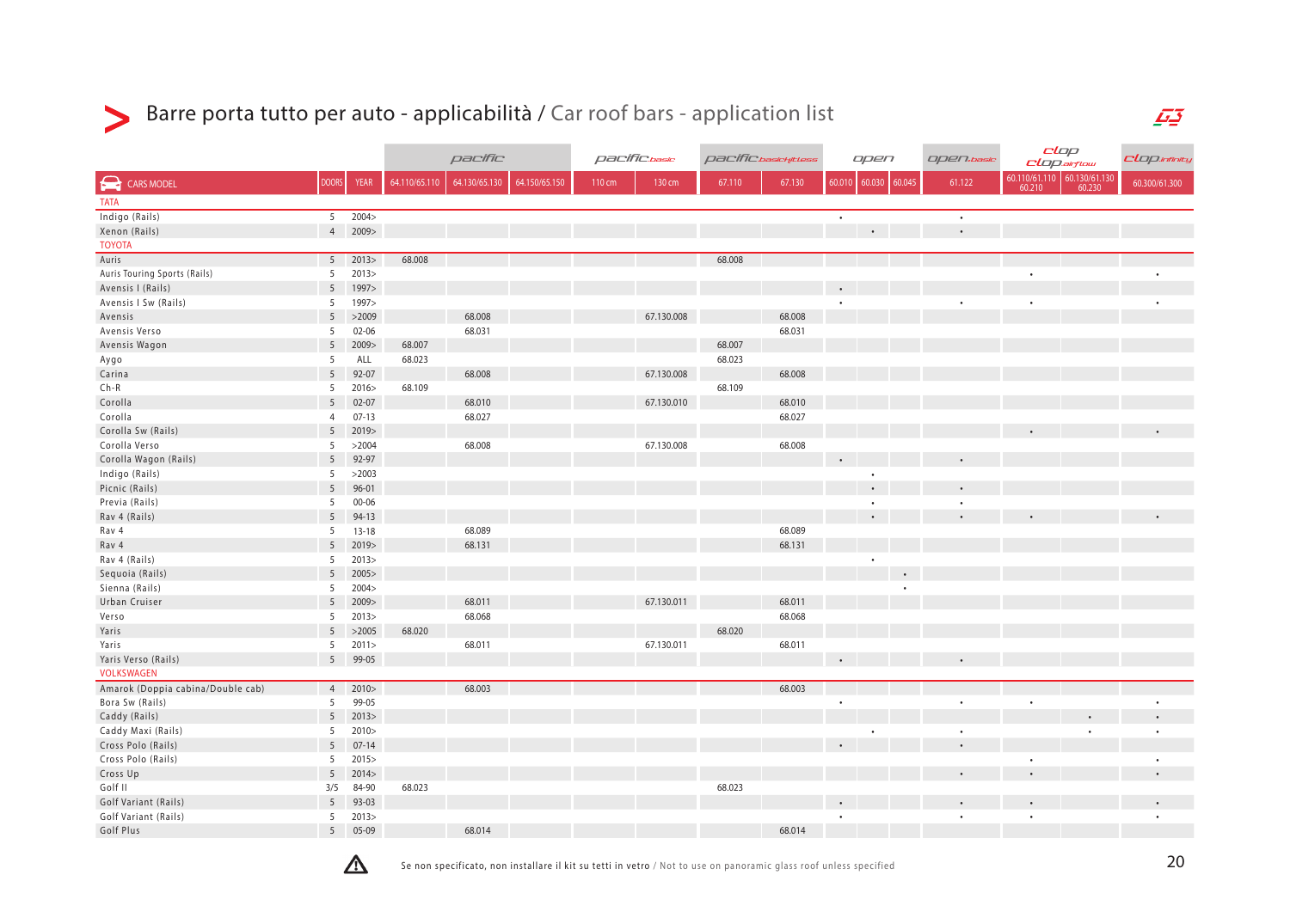|                                   |                 |             |               | pacific       |               |        | <i>pacific.basic</i> |        | pacific.basicHitless |           | open      |        | Open.basic |           | clop<br><b>CLOP</b> .airflow                                                      | <b>CL</b> OP.infinity |
|-----------------------------------|-----------------|-------------|---------------|---------------|---------------|--------|----------------------|--------|----------------------|-----------|-----------|--------|------------|-----------|-----------------------------------------------------------------------------------|-----------------------|
| CARS MODEL                        | <b>DOORS</b>    | <b>YEAR</b> | 64.110/65.110 | 64.130/65.130 | 64.150/65.150 | 110 cm | 130 cm               | 67.110 | 67.130               | 60.010    | 60.030    | 60.045 | 61.122     |           | $\begin{array}{c c} 60.110/61.110 & 60.130/61.130 \\ 60.210 & 60.230 \end{array}$ | 60.300/61.300         |
| <b>TATA</b>                       |                 |             |               |               |               |        |                      |        |                      |           |           |        |            |           |                                                                                   |                       |
| Indigo (Rails)                    | 5 <sup>5</sup>  | 2004 >      |               |               |               |        |                      |        |                      | $\bullet$ |           |        | $\bullet$  |           |                                                                                   |                       |
| Xenon (Rails)                     | $\overline{4}$  | 2009>       |               |               |               |        |                      |        |                      |           | $\bullet$ |        |            |           |                                                                                   |                       |
| <b>TOYOTA</b>                     |                 |             |               |               |               |        |                      |        |                      |           |           |        |            |           |                                                                                   |                       |
| Auris                             | 5               | 2013 >      | 68.008        |               |               |        |                      | 68.008 |                      |           |           |        |            |           |                                                                                   |                       |
| Auris Touring Sports (Rails)      | 5               | 2013>       |               |               |               |        |                      |        |                      |           |           |        |            |           |                                                                                   |                       |
| Avensis I (Rails)                 | 5               | 1997>       |               |               |               |        |                      |        |                      |           |           |        |            |           |                                                                                   |                       |
| Avensis I Sw (Rails)              | 5               | 1997>       |               |               |               |        |                      |        |                      |           |           |        |            |           |                                                                                   |                       |
| Avensis                           | $5\overline{)}$ | >2009       |               | 68.008        |               |        | 67.130.008           |        | 68.008               |           |           |        |            |           |                                                                                   |                       |
| Avensis Verso                     | 5               | 02-06       |               | 68.031        |               |        |                      |        | 68.031               |           |           |        |            |           |                                                                                   |                       |
| Avensis Wagon                     | 5               | 2009>       | 68.007        |               |               |        |                      | 68.007 |                      |           |           |        |            |           |                                                                                   |                       |
|                                   | 5               | ALL         | 68.023        |               |               |        |                      | 68.023 |                      |           |           |        |            |           |                                                                                   |                       |
| Aygo<br>Carina                    | $5\phantom{.0}$ | $92 - 07$   |               | 68.008        |               |        | 67.130.008           |        | 68.008               |           |           |        |            |           |                                                                                   |                       |
| $Ch-R$                            |                 |             |               |               |               |        |                      | 68.109 |                      |           |           |        |            |           |                                                                                   |                       |
|                                   | 5               | 2016>       | 68.109        |               |               |        |                      |        |                      |           |           |        |            |           |                                                                                   |                       |
| Corolla                           | 5               | $02 - 07$   |               | 68.010        |               |        | 67.130.010           |        | 68.010               |           |           |        |            |           |                                                                                   |                       |
| Corolla                           | $\overline{4}$  | $07-13$     |               | 68.027        |               |        |                      |        | 68.027               |           |           |        |            |           |                                                                                   |                       |
| Corolla Sw (Rails)                | 5               | 2019>       |               |               |               |        |                      |        |                      |           |           |        |            |           |                                                                                   |                       |
| Corolla Verso                     | 5               | >2004       |               | 68.008        |               |        | 67.130.008           |        | 68.008               |           |           |        |            |           |                                                                                   |                       |
| Corolla Wagon (Rails)             | 5               | 92-97       |               |               |               |        |                      |        |                      |           |           |        |            |           |                                                                                   |                       |
| Indigo (Rails)                    | 5               | >2003       |               |               |               |        |                      |        |                      |           | $\bullet$ |        |            |           |                                                                                   |                       |
| Picnic (Rails)                    | 5               | $96 - 01$   |               |               |               |        |                      |        |                      |           | $\bullet$ |        |            |           |                                                                                   |                       |
| Previa (Rails)                    | 5               | 00-06       |               |               |               |        |                      |        |                      |           | $\bullet$ |        | $\bullet$  |           |                                                                                   |                       |
| Rav 4 (Rails)                     | 5               | $94-13$     |               |               |               |        |                      |        |                      |           | $\bullet$ |        |            |           |                                                                                   |                       |
| Rav 4                             | 5               | $13 - 18$   |               | 68.089        |               |        |                      |        | 68.089               |           |           |        |            |           |                                                                                   |                       |
| Rav 4                             | 5               | 2019>       |               | 68.131        |               |        |                      |        | 68.131               |           |           |        |            |           |                                                                                   |                       |
| Rav 4 (Rails)                     | 5               | 2013        |               |               |               |        |                      |        |                      |           | $\bullet$ |        |            |           |                                                                                   |                       |
| Sequoia (Rails)                   | 5               | 2005        |               |               |               |        |                      |        |                      |           |           |        |            |           |                                                                                   |                       |
| Sienna (Rails)                    | 5               | 2004 >      |               |               |               |        |                      |        |                      |           |           |        |            |           |                                                                                   |                       |
| Urban Cruiser                     | 5               | 2009>       |               | 68.011        |               |        | 67.130.011           |        | 68.011               |           |           |        |            |           |                                                                                   |                       |
| Verso                             | 5               | 2013        |               | 68.068        |               |        |                      |        | 68.068               |           |           |        |            |           |                                                                                   |                       |
| Yaris                             | 5 <sup>5</sup>  | >2005       | 68.020        |               |               |        |                      | 68.020 |                      |           |           |        |            |           |                                                                                   |                       |
| Yaris                             | 5               | 2011        |               | 68.011        |               |        | 67.130.011           |        | 68.011               |           |           |        |            |           |                                                                                   |                       |
| Yaris Verso (Rails)               | 5               | 99-05       |               |               |               |        |                      |        |                      |           |           |        |            |           |                                                                                   |                       |
| <b>VOLKSWAGEN</b>                 |                 |             |               |               |               |        |                      |        |                      |           |           |        |            |           |                                                                                   |                       |
| Amarok (Doppia cabina/Double cab) | $\overline{4}$  | 2010 >      |               | 68.003        |               |        |                      |        | 68.003               |           |           |        |            |           |                                                                                   |                       |
| Bora Sw (Rails)                   | 5               | 99-05       |               |               |               |        |                      |        |                      | ٠         |           |        | $\bullet$  | $\bullet$ |                                                                                   |                       |
| Caddy (Rails)                     | $5\phantom{.0}$ | 2013>       |               |               |               |        |                      |        |                      |           |           |        |            |           | $\bullet$                                                                         |                       |
| Caddy Maxi (Rails)                | 5               | 2010>       |               |               |               |        |                      |        |                      |           |           |        | $\bullet$  |           |                                                                                   |                       |
| Cross Polo (Rails)                | 5               | $07 - 14$   |               |               |               |        |                      |        |                      |           |           |        |            |           |                                                                                   |                       |
| Cross Polo (Rails)                | 5               | 2015>       |               |               |               |        |                      |        |                      |           |           |        |            |           |                                                                                   |                       |
| Cross Up                          | $\overline{5}$  | 2014 >      |               |               |               |        |                      |        |                      |           |           |        |            |           |                                                                                   |                       |
| Golf II                           | 3/5             | 84-90       | 68.023        |               |               |        |                      | 68.023 |                      |           |           |        |            |           |                                                                                   |                       |
| Golf Variant (Rails)              | 5               | 93-03       |               |               |               |        |                      |        |                      |           |           |        |            |           |                                                                                   |                       |
|                                   |                 |             |               |               |               |        |                      |        |                      |           |           |        |            |           |                                                                                   |                       |
| Golf Variant (Rails)              | 5               | 2013>       |               |               |               |        |                      |        |                      | ٠         |           |        | $\bullet$  | $\bullet$ |                                                                                   | $\bullet$             |
| Golf Plus                         | 5 <sup>5</sup>  | 05-09       |               | 68.014        |               |        |                      |        | 68.014               |           |           |        |            |           |                                                                                   |                       |

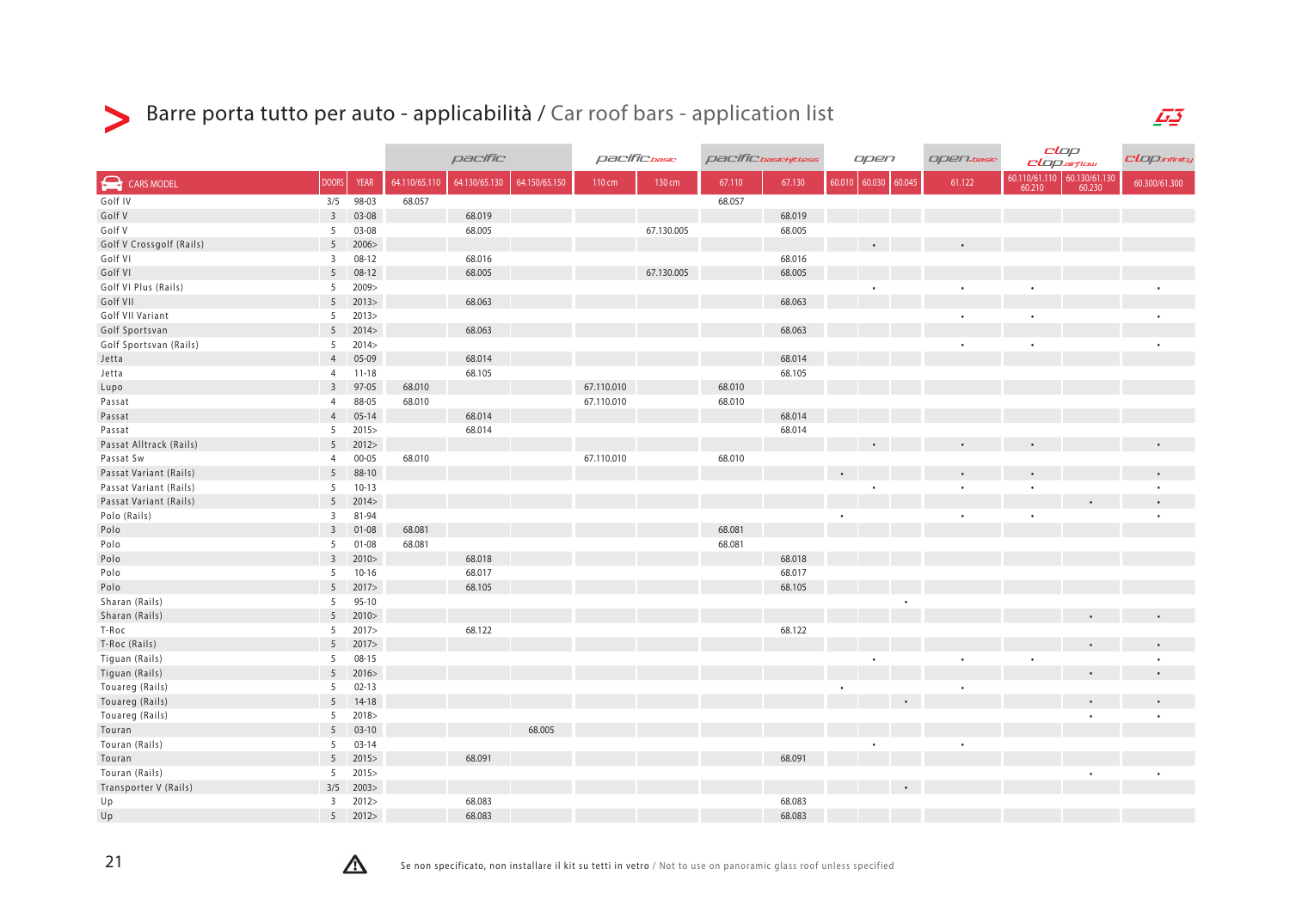|                          |                 |             |               | pacific       |               | <i>pacific.basic</i> |            | <i>pacific.basicHtless</i> |        |           | open      |        | Open.basic | clop<br>$cl$ <i>D<sub>D</sub></i> .airflow | CLOp.infinity |
|--------------------------|-----------------|-------------|---------------|---------------|---------------|----------------------|------------|----------------------------|--------|-----------|-----------|--------|------------|--------------------------------------------|---------------|
| CARS MODEL               | <b>DOORS</b>    | <b>YEAR</b> | 64.110/65.110 | 64.130/65.130 | 64.150/65.150 | 110 cm               | 130 cm     | 67.110                     | 67.130 | 60.010    | 60.030    | 60.045 | 61.122     | 60.110/61.110 60.130/61.130                | 60.300/61.300 |
| Golf IV                  | 3/5             | 98-03       | 68.057        |               |               |                      |            | 68.057                     |        |           |           |        |            |                                            |               |
| Golf V                   | $\overline{3}$  | 03-08       |               | 68.019        |               |                      |            |                            | 68.019 |           |           |        |            |                                            |               |
| Golf V                   | 5               | 03-08       |               | 68.005        |               |                      | 67.130.005 |                            | 68.005 |           |           |        |            |                                            |               |
| Golf V Crossgolf (Rails) | 5               | 2006 >      |               |               |               |                      |            |                            |        |           | $\bullet$ |        |            |                                            |               |
| Golf VI                  | $\mathbf{3}$    | 08-12       |               | 68.016        |               |                      |            |                            | 68.016 |           |           |        |            |                                            |               |
| Golf VI                  | $5\overline{)}$ | $08-12$     |               | 68.005        |               |                      | 67.130.005 |                            | 68.005 |           |           |        |            |                                            |               |
| Golf VI Plus (Rails)     | 5               | 2009>       |               |               |               |                      |            |                            |        |           |           |        |            |                                            |               |
| Golf VII                 | $5\phantom{.0}$ | 2013 >      |               | 68.063        |               |                      |            |                            | 68.063 |           |           |        |            |                                            |               |
| Golf VII Variant         | 5               | 2013>       |               |               |               |                      |            |                            |        |           |           |        |            |                                            | $\bullet$     |
| Golf Sportsvan           | $5\overline{)}$ | 2014 >      |               | 68.063        |               |                      |            |                            | 68.063 |           |           |        |            |                                            |               |
| Golf Sportsvan (Rails)   | 5               | 2014        |               |               |               |                      |            |                            |        |           |           |        |            |                                            |               |
| Jetta                    | $\overline{4}$  | 05-09       |               | 68.014        |               |                      |            |                            | 68.014 |           |           |        |            |                                            |               |
| Jetta                    | $\overline{4}$  | $11 - 18$   |               | 68.105        |               |                      |            |                            | 68.105 |           |           |        |            |                                            |               |
| Lupo                     | $\overline{3}$  | 97-05       | 68.010        |               |               | 67.110.010           |            | 68.010                     |        |           |           |        |            |                                            |               |
| Passat                   | $\overline{4}$  | 88-05       | 68.010        |               |               | 67.110.010           |            | 68.010                     |        |           |           |        |            |                                            |               |
| Passat                   | $\overline{4}$  | $05 - 14$   |               | 68.014        |               |                      |            |                            | 68.014 |           |           |        |            |                                            |               |
| Passat                   | 5 <sup>5</sup>  | 2015        |               | 68.014        |               |                      |            |                            | 68.014 |           |           |        |            |                                            |               |
| Passat Alltrack (Rails)  | 5               | 2012 >      |               |               |               |                      |            |                            |        |           |           |        |            |                                            |               |
| Passat Sw                | $\overline{4}$  | $00 - 05$   | 68.010        |               |               | 67.110.010           |            | 68.010                     |        |           |           |        |            |                                            |               |
| Passat Variant (Rails)   | $5\overline{)}$ | 88-10       |               |               |               |                      |            |                            |        | $\bullet$ |           |        |            |                                            |               |
| Passat Variant (Rails)   | 5               | $10-13$     |               |               |               |                      |            |                            |        |           |           |        | $\bullet$  | $\bullet$                                  |               |
| Passat Variant (Rails)   | $5\overline{)}$ | 2014 >      |               |               |               |                      |            |                            |        |           |           |        |            |                                            | $\bullet$     |
| Polo (Rails)             | $\overline{3}$  | 81-94       |               |               |               |                      |            |                            |        |           |           |        |            | $\bullet$                                  | $\bullet$     |
| Polo                     | $\overline{3}$  | $01 - 08$   | 68.081        |               |               |                      |            | 68.081                     |        |           |           |        |            |                                            |               |
| Polo                     | 5               | $01 - 08$   | 68.081        |               |               |                      |            | 68.081                     |        |           |           |        |            |                                            |               |
| Polo                     | $\overline{3}$  | 2010 >      |               | 68.018        |               |                      |            |                            | 68.018 |           |           |        |            |                                            |               |
| Polo                     | 5               | $10 - 16$   |               | 68.017        |               |                      |            |                            | 68.017 |           |           |        |            |                                            |               |
| Polo                     | 5               | 2017        |               | 68.105        |               |                      |            |                            | 68.105 |           |           |        |            |                                            |               |
| Sharan (Rails)           | 5               | $95-10$     |               |               |               |                      |            |                            |        |           |           |        |            |                                            |               |
| Sharan (Rails)           | 5               | 2010 >      |               |               |               |                      |            |                            |        |           |           |        |            |                                            |               |
| T-Roc                    | 5               | 2017>       |               | 68.122        |               |                      |            |                            | 68.122 |           |           |        |            |                                            |               |
| T-Roc (Rails)            | 5               | 2017        |               |               |               |                      |            |                            |        |           |           |        |            |                                            |               |
| Tiguan (Rails)           | 5               | $08 - 15$   |               |               |               |                      |            |                            |        |           |           |        |            |                                            |               |
| Tiguan (Rails)           | 5 <sup>5</sup>  | 2016        |               |               |               |                      |            |                            |        |           |           |        |            |                                            |               |
| Touareg (Rails)          | 5               | $02 - 13$   |               |               |               |                      |            |                            |        |           |           |        |            |                                            |               |
| Touareg (Rails)          | $5\overline{)}$ | $14-18$     |               |               |               |                      |            |                            |        |           |           |        |            |                                            |               |
| Touareg (Rails)          | 5               | 2018>       |               |               |               |                      |            |                            |        |           |           |        |            |                                            |               |
| Touran                   | 5               | $03-10$     |               |               | 68.005        |                      |            |                            |        |           |           |        |            |                                            |               |
| Touran (Rails)           | 5               | $03-14$     |               |               |               |                      |            |                            |        |           |           |        | $\bullet$  |                                            |               |
| Touran                   | 5               | 2015        |               | 68.091        |               |                      |            |                            | 68.091 |           |           |        |            |                                            |               |
| Touran (Rails)           | 5               | 2015        |               |               |               |                      |            |                            |        |           |           |        |            |                                            |               |
| Transporter V (Rails)    | 3/5             | 2003>       |               |               |               |                      |            |                            |        |           |           |        |            |                                            |               |
| Up                       | $\overline{3}$  | 2012        |               | 68.083        |               |                      |            |                            | 68.083 |           |           |        |            |                                            |               |
| Up                       | 5 <sup>5</sup>  | 2012 >      |               | 68.083        |               |                      |            |                            | 68.083 |           |           |        |            |                                            |               |



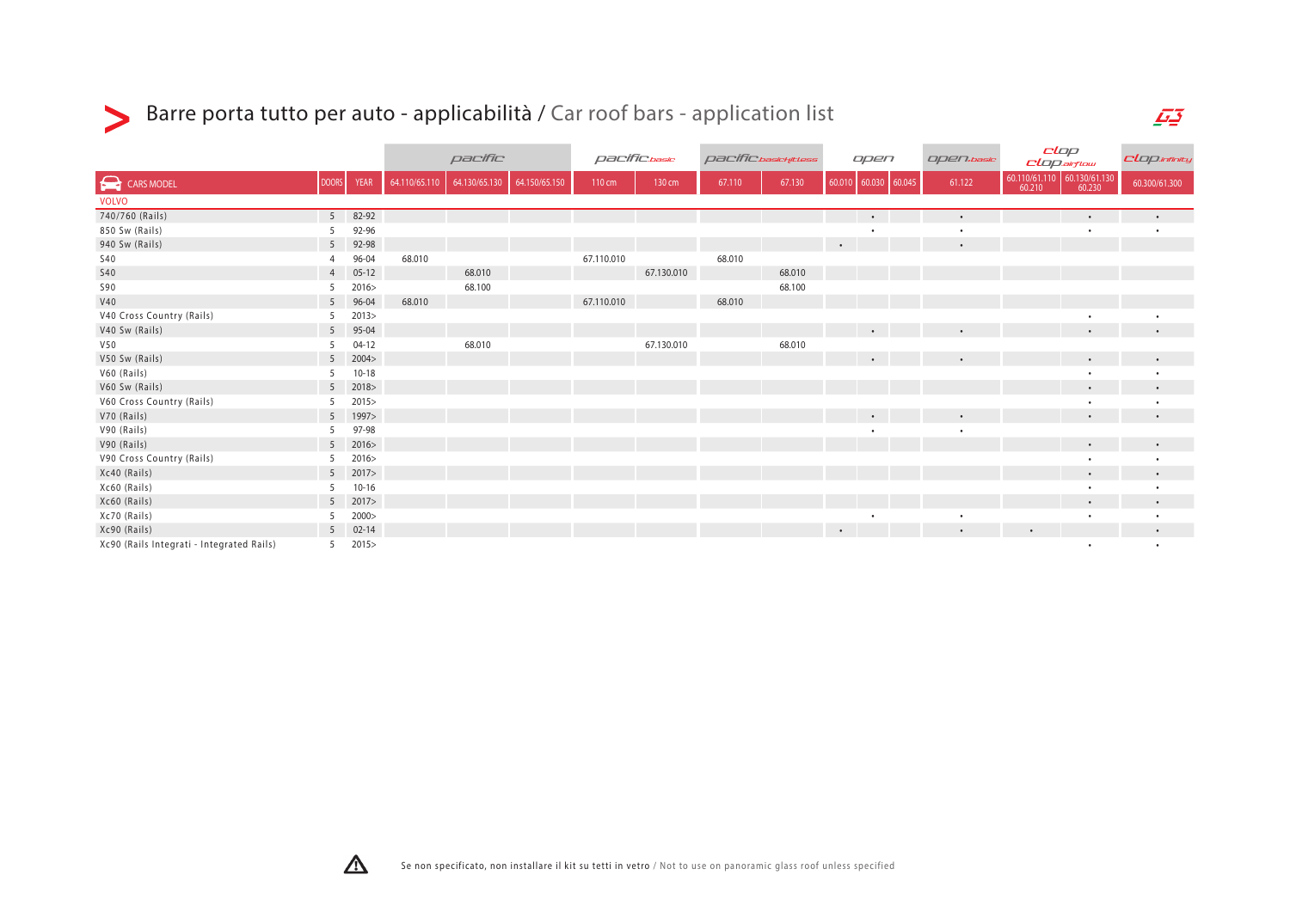|                                           |                |             |               | pacific       |               | <i><b>Pacific.basic</b></i> |            |        | <b>Dacific.basicHitless</b> |           | open      |        | <b>Open.basic</b> |        | clop<br>$cl$ <i>D<sub>D</sub></i> . airflow | <b>CLOP</b> infinity |
|-------------------------------------------|----------------|-------------|---------------|---------------|---------------|-----------------------------|------------|--------|-----------------------------|-----------|-----------|--------|-------------------|--------|---------------------------------------------|----------------------|
| CARS MODEL                                | <b>DOORS</b>   | <b>YEAR</b> | 64.110/65.110 | 64.130/65.130 | 64.150/65.150 | 110 cm                      | 130 cm     | 67.110 | 67.130                      | 60.010    | 60.030    | 60.045 | 61.122            | 60.210 | 60.110/61.110 60.130/61.130<br>60.230       | 60.300/61.300        |
| <b>VOLVO</b>                              |                |             |               |               |               |                             |            |        |                             |           |           |        |                   |        |                                             |                      |
| 740/760 (Rails)                           | 5 <sup>5</sup> | 82-92       |               |               |               |                             |            |        |                             |           | $\bullet$ |        | $\bullet$         |        | $\bullet$                                   | $\bullet$            |
| 850 Sw (Rails)                            | 5              | 92-96       |               |               |               |                             |            |        |                             |           |           |        |                   |        |                                             |                      |
| 940 Sw (Rails)                            | 5              | 92-98       |               |               |               |                             |            |        |                             | $\bullet$ |           |        | $\bullet$         |        |                                             |                      |
| <b>S40</b>                                |                | 96-04       | 68.010        |               |               | 67.110.010                  |            | 68.010 |                             |           |           |        |                   |        |                                             |                      |
| <b>S40</b>                                | $\overline{4}$ | $05 - 12$   |               | 68.010        |               |                             | 67.130.010 |        | 68.010                      |           |           |        |                   |        |                                             |                      |
| S90                                       | 5              | 2016>       |               | 68.100        |               |                             |            |        | 68.100                      |           |           |        |                   |        |                                             |                      |
| <b>V40</b>                                | 5              | 96-04       | 68.010        |               |               | 67.110.010                  |            | 68.010 |                             |           |           |        |                   |        |                                             |                      |
| V40 Cross Country (Rails)                 | 5              | 2013        |               |               |               |                             |            |        |                             |           |           |        |                   |        |                                             | $\bullet$            |
| V40 Sw (Rails)                            | 5              | 95-04       |               |               |               |                             |            |        |                             |           | $\bullet$ |        | $\bullet$         |        | $\bullet$                                   | $\bullet$            |
| V50                                       | 5              | $04-12$     |               | 68.010        |               |                             | 67.130.010 |        | 68.010                      |           |           |        |                   |        |                                             |                      |
| V50 Sw (Rails)                            | 5              | 2004 >      |               |               |               |                             |            |        |                             |           | $\bullet$ |        |                   |        | $\bullet$                                   | $\bullet$            |
| V60 (Rails)                               | 5              | $10-18$     |               |               |               |                             |            |        |                             |           |           |        |                   |        | $\bullet$                                   | $\bullet$            |
| V60 Sw (Rails)                            | 5              | 2018>       |               |               |               |                             |            |        |                             |           |           |        |                   |        | $\bullet$                                   | $\bullet$            |
| V60 Cross Country (Rails)                 | 5              | 2015        |               |               |               |                             |            |        |                             |           |           |        |                   |        | ٠                                           | $\bullet$            |
| V70 (Rails)                               | 5              | 1997>       |               |               |               |                             |            |        |                             |           | $\bullet$ |        |                   |        | $\bullet$                                   | $\bullet$            |
| V90 (Rails)                               | 5              | 97-98       |               |               |               |                             |            |        |                             |           | ٠         |        | ٠                 |        |                                             |                      |
| V90 (Rails)                               | 5              | 2016 >      |               |               |               |                             |            |        |                             |           |           |        |                   |        | $\bullet$                                   | $\bullet$            |
| V90 Cross Country (Rails)                 | 5              | 2016>       |               |               |               |                             |            |        |                             |           |           |        |                   |        | ٠                                           | ٠                    |
| Xc40 (Rails)                              | 5 <sup>5</sup> | 2017        |               |               |               |                             |            |        |                             |           |           |        |                   |        | $\bullet$                                   | $\bullet$            |
| Xc60 (Rails)                              | 5              | $10 - 16$   |               |               |               |                             |            |        |                             |           |           |        |                   |        | ٠                                           | ٠                    |
| Xc60 (Rails)                              | 5              | 2017        |               |               |               |                             |            |        |                             |           |           |        |                   |        | $\bullet$                                   | $\bullet$            |
| Xc70 (Rails)                              | 5              | 2000>       |               |               |               |                             |            |        |                             |           |           |        | $\bullet$         |        | ٠                                           | $\bullet$            |
| Xc90 (Rails)                              | 5 <sup>5</sup> | $02 - 14$   |               |               |               |                             |            |        |                             |           |           |        |                   |        |                                             | $\bullet$            |
| Xc90 (Rails Integrati - Integrated Rails) | 5              | 2015        |               |               |               |                             |            |        |                             |           |           |        |                   |        | ٠                                           | $\bullet$            |

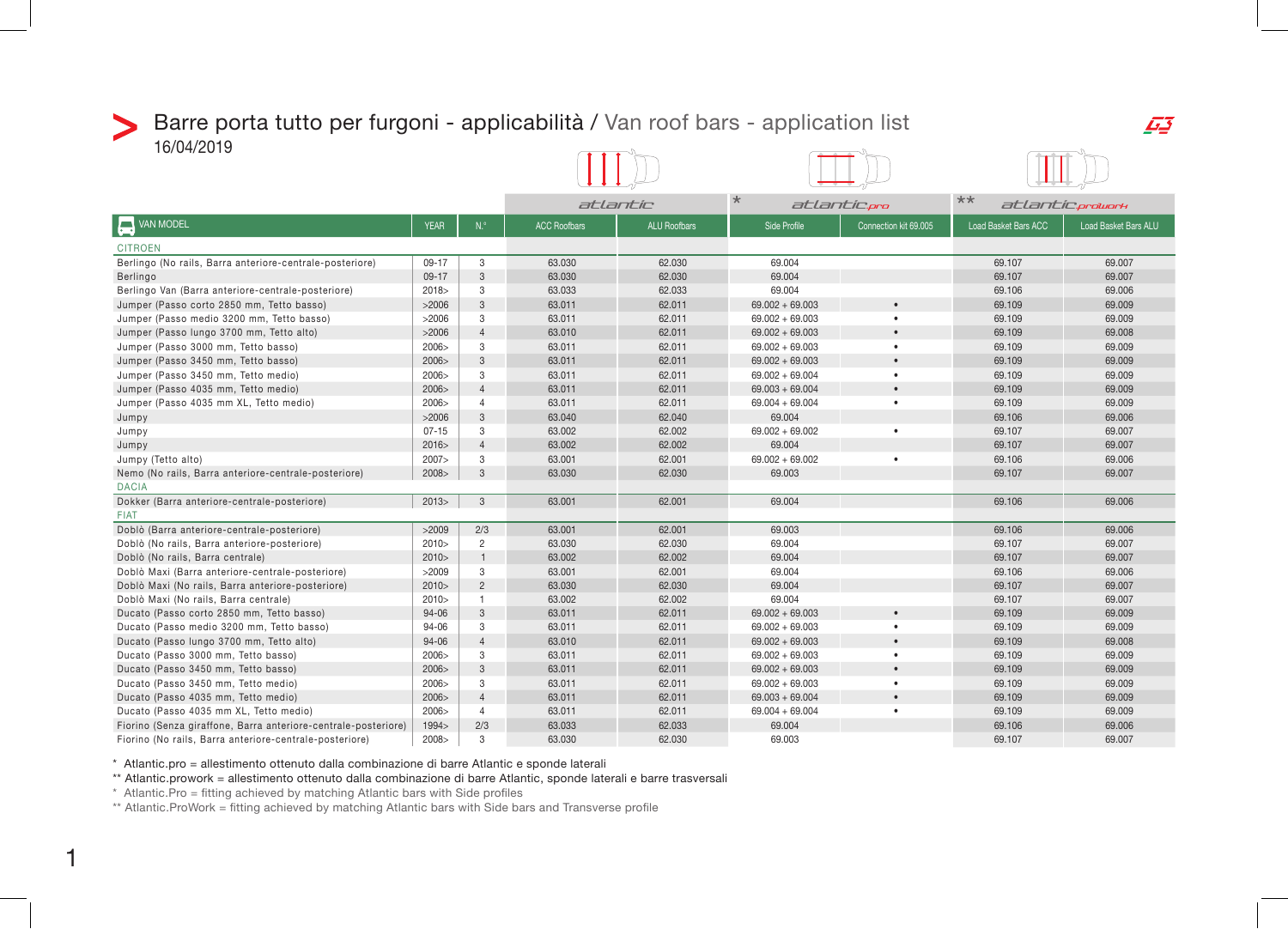#### Barre porta tutto per furgoni - applicabilità / Van roof bars - application list 16/04/2019 $\pi$ רה, 4

|                                                                |             |                |                     | atlantic            |                   | atlantic.pro          | **                   | atlantic.prowork     |
|----------------------------------------------------------------|-------------|----------------|---------------------|---------------------|-------------------|-----------------------|----------------------|----------------------|
| VAN MODEL                                                      | <b>YEAR</b> | $N^{\circ}$    | <b>ACC Roofbars</b> | <b>ALU Roofbars</b> | Side Profile      | Connection kit 69,005 | Load Basket Bars ACC | Load Basket Bars ALU |
| <b>CITROEN</b>                                                 |             |                |                     |                     |                   |                       |                      |                      |
| Berlingo (No rails, Barra anteriore-centrale-posteriore)       | $09 - 17$   | 3              | 63.030              | 62.030              | 69.004            |                       | 69.107               | 69.007               |
| Berlingo                                                       | $09 - 17$   | 3              | 63.030              | 62.030              | 69.004            |                       | 69.107               | 69.007               |
| Berlingo Van (Barra anteriore-centrale-posteriore)             | 2018        | 3              | 63.033              | 62.033              | 69.004            |                       | 69.106               | 69.006               |
| Jumper (Passo corto 2850 mm, Tetto basso)                      | >2006       | 3              | 63.011              | 62.011              | $69.002 + 69.003$ | $\bullet$             | 69.109               | 69.009               |
| Jumper (Passo medio 3200 mm, Tetto basso)                      | >2006       | 3              | 63.011              | 62.011              | $69.002 + 69.003$ | $\bullet$             | 69.109               | 69.009               |
| Jumper (Passo lungo 3700 mm, Tetto alto)                       | >2006       | 4              | 63.010              | 62.011              | $69.002 + 69.003$ |                       | 69.109               | 69.008               |
| Jumper (Passo 3000 mm, Tetto basso)                            | 2006>       | 3              | 63.011              | 62.011              | $69.002 + 69.003$ | $\bullet$             | 69.109               | 69.009               |
| Jumper (Passo 3450 mm, Tetto basso)                            | 2006>       | 3              | 63.011              | 62.011              | $69.002 + 69.003$ | $\bullet$             | 69.109               | 69.009               |
| Jumper (Passo 3450 mm, Tetto medio)                            | 2006>       | 3              | 63.011              | 62.011              | $69.002 + 69.004$ | $\bullet$             | 69.109               | 69.009               |
| Jumper (Passo 4035 mm, Tetto medio)                            | 2006>       | $\overline{4}$ | 63.011              | 62.011              | $69.003 + 69.004$ | $\bullet$             | 69.109               | 69.009               |
| Jumper (Passo 4035 mm XL, Tetto medio)                         | 2006>       | $\overline{4}$ | 63.011              | 62.011              | $69.004 + 69.004$ | $\bullet$             | 69.109               | 69.009               |
| Jumpy                                                          | >2006       | 3              | 63.040              | 62.040              | 69.004            |                       | 69.106               | 69.006               |
| Jumpy                                                          | $07 - 15$   | 3              | 63.002              | 62.002              | $69.002 + 69.002$ | $\bullet$             | 69.107               | 69.007               |
| Jumpy                                                          | 2016        | 4              | 63.002              | 62.002              | 69.004            |                       | 69.107               | 69.007               |
| Jumpy (Tetto alto)                                             | 2007>       | 3              | 63.001              | 62.001              | $69.002 + 69.002$ |                       | 69.106               | 69.006               |
| Nemo (No rails, Barra anteriore-centrale-posteriore)           | 2008 >      | 3              | 63.030              | 62.030              | 69.003            |                       | 69.107               | 69.007               |
| <b>DACIA</b>                                                   |             |                |                     |                     |                   |                       |                      |                      |
| Dokker (Barra anteriore-centrale-posteriore)                   | 2013        | 3              | 63.001              | 62.001              | 69.004            |                       | 69.106               | 69.006               |
| <b>FIAT</b>                                                    |             |                |                     |                     |                   |                       |                      |                      |
| Doblò (Barra anteriore-centrale-posteriore)                    | >2009       | 2/3            | 63.001              | 62.001              | 69.003            |                       | 69.106               | 69.006               |
| Doblò (No rails, Barra anteriore-posteriore)                   | 2010 >      | 2              | 63.030              | 62.030              | 69.004            |                       | 69.107               | 69.007               |
| Doblò (No rails, Barra centrale)                               | 2010 >      | $\mathbf{1}$   | 63.002              | 62.002              | 69.004            |                       | 69.107               | 69.007               |
| Doblò Maxi (Barra anteriore-centrale-posteriore)               | >2009       | 3              | 63.001              | 62.001              | 69.004            |                       | 69.106               | 69.006               |
| Doblò Maxi (No rails, Barra anteriore-posteriore)              | 2010 >      | $\overline{2}$ | 63.030              | 62.030              | 69.004            |                       | 69.107               | 69.007               |
| Doblò Maxi (No rails, Barra centrale)                          | 2010 >      | 1              | 63.002              | 62.002              | 69.004            |                       | 69.107               | 69.007               |
| Ducato (Passo corto 2850 mm, Tetto basso)                      | 94-06       | 3              | 63.011              | 62.011              | $69.002 + 69.003$ | $\bullet$             | 69.109               | 69.009               |
| Ducato (Passo medio 3200 mm, Tetto basso)                      | 94-06       | 3              | 63.011              | 62.011              | $69.002 + 69.003$ | $\bullet$             | 69.109               | 69.009               |
| Ducato (Passo lungo 3700 mm, Tetto alto)                       | 94-06       | 4              | 63.010              | 62.011              | $69.002 + 69.003$ |                       | 69.109               | 69.008               |
| Ducato (Passo 3000 mm, Tetto basso)                            | 2006 >      | 3              | 63.011              | 62.011              | $69.002 + 69.003$ | $\bullet$             | 69.109               | 69.009               |
| Ducato (Passo 3450 mm, Tetto basso)                            | 2006>       | 3              | 63.011              | 62.011              | $69.002 + 69.003$ | $\bullet$             | 69.109               | 69.009               |
| Ducato (Passo 3450 mm, Tetto medio)                            | 2006>       | 3              | 63.011              | 62.011              | $69.002 + 69.003$ | $\bullet$             | 69.109               | 69.009               |
| Ducato (Passo 4035 mm, Tetto medio)                            | 2006>       | $\overline{4}$ | 63.011              | 62.011              | $69.003 + 69.004$ | $\bullet$             | 69.109               | 69.009               |
| Ducato (Passo 4035 mm XL, Tetto medio)                         | 2006>       | 4              | 63.011              | 62.011              | $69.004 + 69.004$ | $\bullet$             | 69.109               | 69.009               |
| Fiorino (Senza giraffone, Barra anteriore-centrale-posteriore) | 1994 >      | 2/3            | 63.033              | 62.033              | 69.004            |                       | 69.106               | 69.006               |
| Fiorino (No rails, Barra anteriore-centrale-posteriore)        | 2008>       | 3              | 63.030              | 62.030              | 69.003            |                       | 69.107               | 69.007               |

 $\overline{F}$ 

िति जि

\* Atlantic.pro = allestimento ottenuto dalla combinazione di barre Atlantic e sponde laterali

\*\* Atlantic.prowork = allestimento ottenuto dalla combinazione di barre Atlantic, sponde laterali e barre trasversali

\* Atlantic.Pro = fitting achieved by matching Atlantic bars with Side profiles

1

\*\* Atlantic.ProWork = fitting achieved by matching Atlantic bars with Side bars and Transverse profile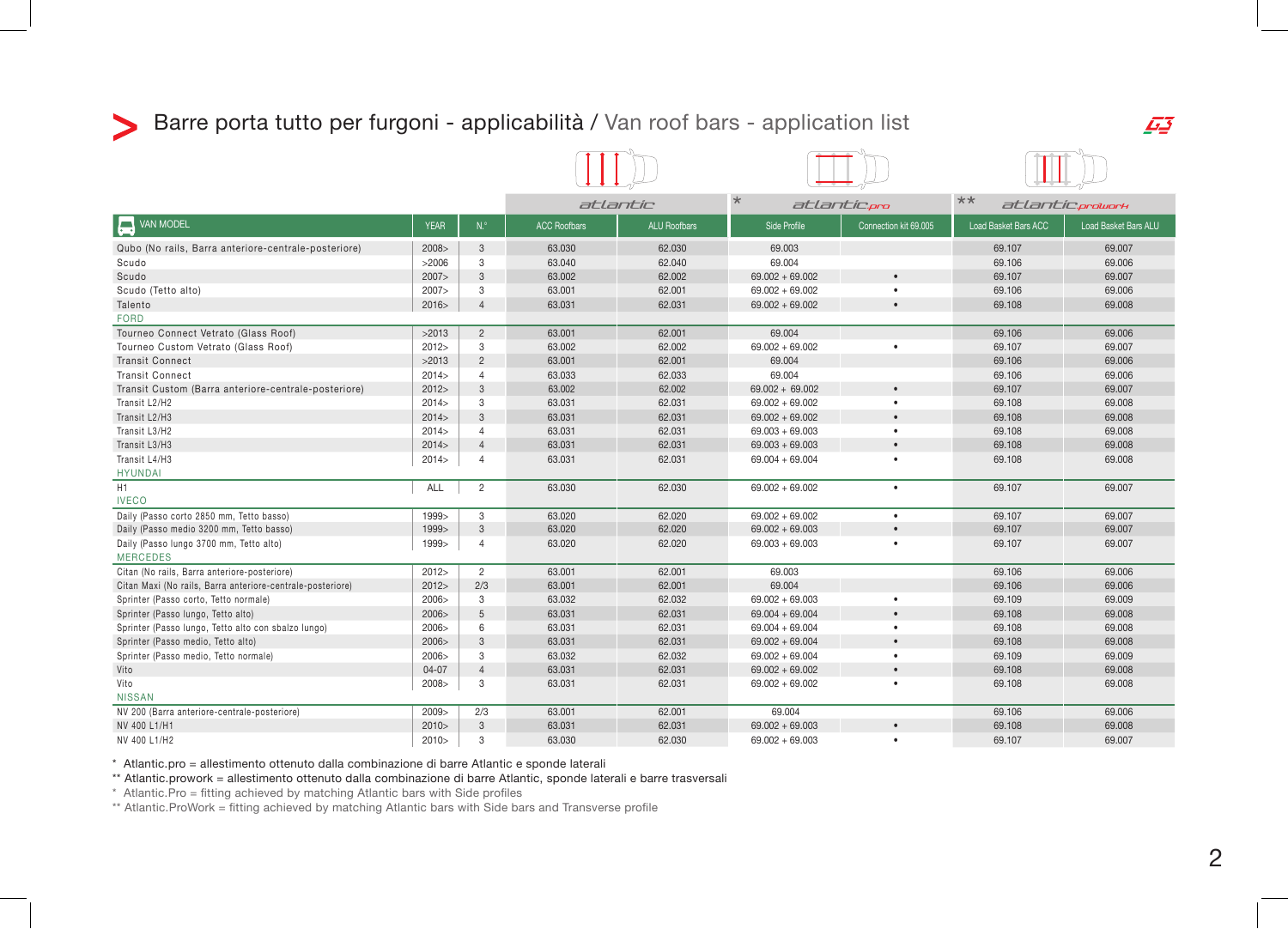#### Barre porta tutto per furgoni - applicabilità / Van roof bars - application list  $\blacktriangleright$

 $(1)$ 

|                                                            |             |                |                     | atlantic            | $\ast$            | atlantic.pro          | $**$                 | atlantic.prowork            |
|------------------------------------------------------------|-------------|----------------|---------------------|---------------------|-------------------|-----------------------|----------------------|-----------------------------|
| <b>VAN MODEL</b>                                           | <b>YEAR</b> | $N^{\circ}$    | <b>ACC Roofbars</b> | <b>ALU Roofbars</b> | Side Profile      | Connection kit 69.005 | Load Basket Bars ACC | <b>Load Basket Bars ALU</b> |
| Qubo (No rails, Barra anteriore-centrale-posteriore)       | 2008 >      | 3              | 63.030              | 62.030              | 69.003            |                       | 69.107               | 69.007                      |
| Scudo                                                      | >2006       | 3              | 63.040              | 62.040              | 69.004            |                       | 69.106               | 69.006                      |
| Scudo                                                      | 2007        | $\mathbf{3}$   | 63.002              | 62.002              | $69.002 + 69.002$ | $\bullet$             | 69.107               | 69,007                      |
| Scudo (Tetto alto)                                         | 2007        | 3              | 63.001              | 62.001              | $69.002 + 69.002$ |                       | 69.106               | 69.006                      |
| Talento                                                    | 2016        |                | 63.031              | 62.031              | $69.002 + 69.002$ | $\bullet$             | 69.108               | 69,008                      |
| <b>FORD</b>                                                |             |                |                     |                     |                   |                       |                      |                             |
| Tourneo Connect Vetrato (Glass Roof)                       | >2013       | 2              | 63.001              | 62.001              | 69.004            |                       | 69.106               | 69.006                      |
| Tourneo Custom Vetrato (Glass Roof)                        | 2012        | 3              | 63.002              | 62.002              | $69.002 + 69.002$ |                       | 69.107               | 69.007                      |
| <b>Transit Connect</b>                                     | >2013       | $\overline{2}$ | 63.001              | 62.001              | 69.004            |                       | 69.106               | 69.006                      |
| <b>Transit Connect</b>                                     | 2014        | $\overline{4}$ | 63.033              | 62.033              | 69.004            |                       | 69.106               | 69.006                      |
| Transit Custom (Barra anteriore-centrale-posteriore)       | 2012 >      | 3              | 63.002              | 62.002              | $69.002 + 69.002$ | $\bullet$             | 69.107               | 69,007                      |
| Transit L2/H2                                              | 2014        | 3              | 63.031              | 62.031              | $69.002 + 69.002$ | $\bullet$             | 69.108               | 69.008                      |
| Transit L2/H3                                              | 2014 >      | 3              | 63.031              | 62.031              | $69.002 + 69.002$ | $\bullet$             | 69.108               | 69.008                      |
| Transit L3/H2                                              | 2014        | 4              | 63.031              | 62.031              | $69.003 + 69.003$ | $\bullet$             | 69.108               | 69.008                      |
| Transit L3/H3                                              | 2014 >      |                | 63.031              | 62.031              | $69.003 + 69.003$ | $\bullet$             | 69.108               | 69.008                      |
| Transit L4/H3                                              | 2014        |                | 63.031              | 62.031              | $69.004 + 69.004$ | $\bullet$             | 69.108               | 69.008                      |
| <b>HYUNDAI</b>                                             |             |                |                     |                     |                   |                       |                      |                             |
| H1                                                         | ALL         | $\overline{2}$ | 63.030              | 62.030              | $69.002 + 69.002$ | $\bullet$             | 69.107               | 69.007                      |
| <b>IVECO</b>                                               |             |                |                     |                     |                   |                       |                      |                             |
| Daily (Passo corto 2850 mm, Tetto basso)                   | 1999>       | 3              | 63.020              | 62.020              | $69.002 + 69.002$ | $\bullet$             | 69.107               | 69.007                      |
| Daily (Passo medio 3200 mm, Tetto basso)                   | 1999>       | 3              | 63.020              | 62.020              | $69.002 + 69.003$ | $\bullet$             | 69.107               | 69.007                      |
| Daily (Passo lungo 3700 mm, Tetto alto)                    | 1999>       | $\overline{4}$ | 63.020              | 62.020              | $69.003 + 69.003$ | $\bullet$             | 69.107               | 69.007                      |
| <b>MERCEDES</b>                                            |             |                |                     |                     |                   |                       |                      |                             |
| Citan (No rails, Barra anteriore-posteriore)               | 2012        | $\overline{2}$ | 63.001              | 62.001              | 69.003            |                       | 69.106               | 69.006                      |
| Citan Maxi (No rails, Barra anteriore-centrale-posteriore) | 2012 >      | 2/3            | 63.001              | 62.001              | 69.004            |                       | 69.106               | 69.006                      |
| Sprinter (Passo corto, Tetto normale)                      | 2006>       | 3              | 63.032              | 62.032              | $69.002 + 69.003$ | $\bullet$             | 69.109               | 69.009                      |
| Sprinter (Passo lungo, Tetto alto)                         | 2006 >      | 5              | 63.031              | 62.031              | $69.004 + 69.004$ | $\bullet$             | 69.108               | 69.008                      |
| Sprinter (Passo lungo, Tetto alto con sbalzo lungo)        | 2006 >      | 6              | 63.031              | 62.031              | $69.004 + 69.004$ | $\bullet$             | 69.108               | 69.008                      |
| Sprinter (Passo medio, Tetto alto)                         | 2006 >      | 3              | 63.031              | 62.031              | $69.002 + 69.004$ | $\bullet$             | 69.108               | 69.008                      |
| Sprinter (Passo medio, Tetto normale)                      | 2006>       | 3              | 63.032              | 62.032              | $69.002 + 69.004$ | $\bullet$             | 69.109               | 69.009                      |
| Vito                                                       | 04-07       |                | 63.031              | 62.031              | $69.002 + 69.002$ | $\bullet$             | 69.108               | 69.008                      |
| Vito                                                       | 2008 >      | 3              | 63.031              | 62.031              | $69.002 + 69.002$ | $\bullet$             | 69.108               | 69.008                      |
| <b>NISSAN</b>                                              |             |                |                     |                     |                   |                       |                      |                             |
| NV 200 (Barra anteriore-centrale-posteriore)               | 2009>       | 2/3            | 63.001              | 62.001              | 69.004            |                       | 69.106               | 69.006                      |
| NV 400 L1/H1                                               | 2010 >      | 3              | 63.031              | 62.031              | $69.002 + 69.003$ |                       | 69.108               | 69.008                      |
| NV 400 L1/H2                                               | 2010        | 3              | 63.030              | 62.030              | $69.002 + 69.003$ | $\bullet$             | 69.107               | 69.007                      |

\* Atlantic.pro = allestimento ottenuto dalla combinazione di barre Atlantic e sponde laterali

\*\* Atlantic.prowork = allestimento ottenuto dalla combinazione di barre Atlantic, sponde laterali e barre trasversali

\* Atlantic.Pro = fitting achieved by matching Atlantic bars with Side profiles

\*\* Atlantic.ProWork = fitting achieved by matching Atlantic bars with Side bars and Transverse profile

 $\overline{\mathcal{L}}$ 

 $\sqrt{2}$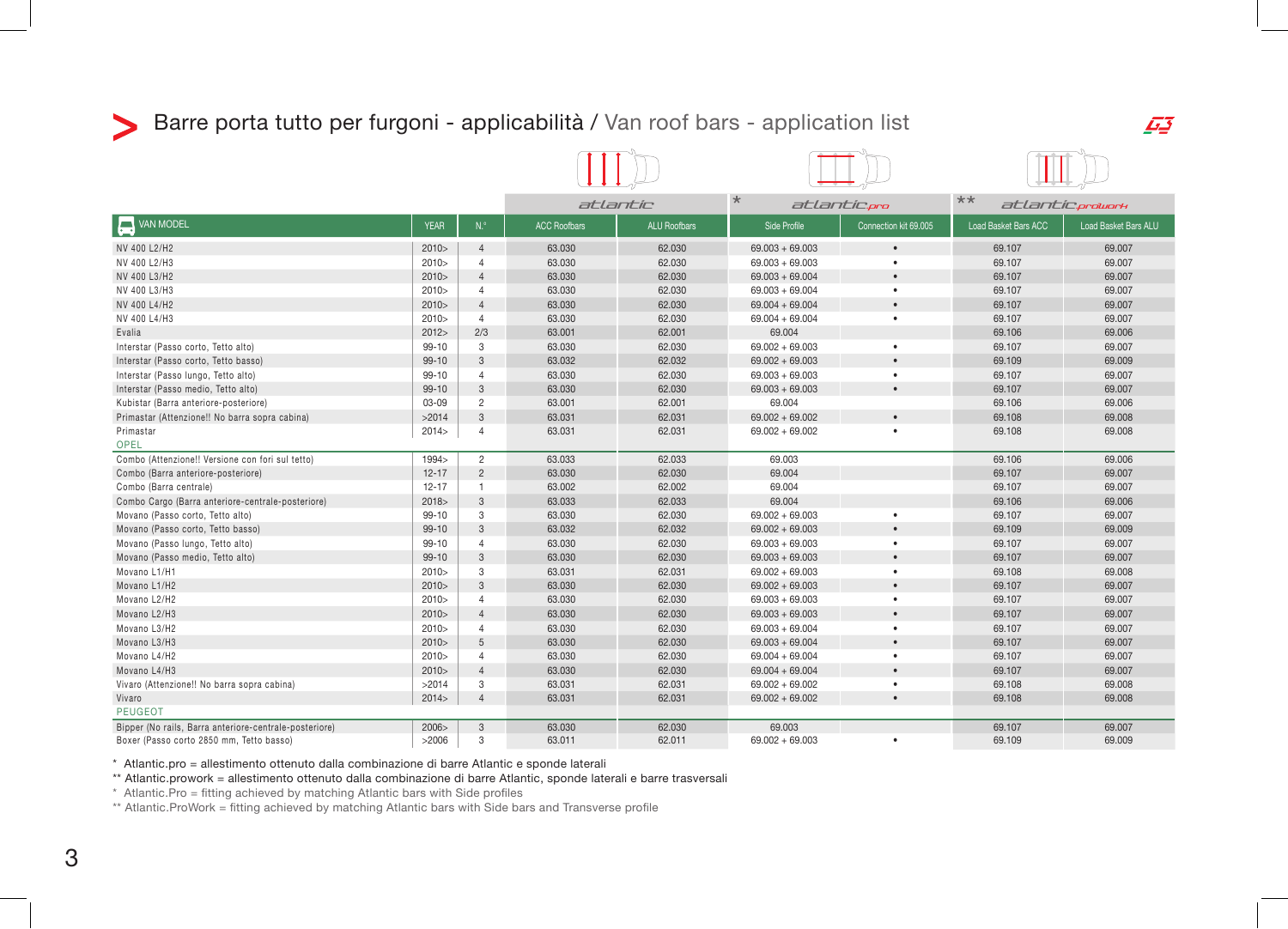#### Barre porta tutto per furgoni - applicabilità / Van roof bars - application list  $\blacktriangleright$

 $T$  t t

|                                                        |             |                | atlantic            |                     | $\star$<br>atlantic.pro |                       | **<br>atlantic.prowork |                      |  |
|--------------------------------------------------------|-------------|----------------|---------------------|---------------------|-------------------------|-----------------------|------------------------|----------------------|--|
| <b>VAN MODEL</b>                                       | <b>YEAR</b> | $N^{\circ}$    | <b>ACC Roofbars</b> | <b>ALU Roofbars</b> | Side Profile            | Connection kit 69.005 | Load Basket Bars ACC   | Load Basket Bars ALU |  |
| NV 400 L2/H2                                           | 2010 >      | $\overline{4}$ | 63.030              | 62.030              | $69.003 + 69.003$       | $\bullet$             | 69.107                 | 69.007               |  |
| NV 400 L2/H3                                           | 2010        | 4              | 63.030              | 62.030              | $69.003 + 69.003$       | $\bullet$             | 69.107                 | 69.007               |  |
| NV 400 L3/H2                                           | 2010 >      | $\overline{4}$ | 63.030              | 62.030              | $69.003 + 69.004$       | $\bullet$             | 69.107                 | 69.007               |  |
| NV 400 L3/H3                                           | 2010        | 4              | 63.030              | 62.030              | $69.003 + 69.004$       | $\bullet$             | 69.107                 | 69.007               |  |
| NV 400 L4/H2                                           | 2010 >      | $\Delta$       | 63.030              | 62.030              | $69.004 + 69.004$       | $\bullet$             | 69.107                 | 69.007               |  |
| NV 400 L4/H3                                           | 2010        | $\overline{4}$ | 63.030              | 62.030              | $69.004 + 69.004$       | $\bullet$             | 69.107                 | 69.007               |  |
| Evalia                                                 | 2012        | 2/3            | 63.001              | 62.001              | 69.004                  |                       | 69.106                 | 69.006               |  |
| Interstar (Passo corto, Tetto alto)                    | $99 - 10$   | 3              | 63.030              | 62.030              | $69.002 + 69.003$       | $\bullet$             | 69.107                 | 69.007               |  |
| Interstar (Passo corto, Tetto basso)                   | $99 - 10$   | 3              | 63.032              | 62.032              | $69.002 + 69.003$       | $\bullet$             | 69.109                 | 69.009               |  |
| Interstar (Passo lungo, Tetto alto)                    | $99 - 10$   | $\overline{4}$ | 63.030              | 62.030              | $69.003 + 69.003$       | $\bullet$             | 69.107                 | 69.007               |  |
| Interstar (Passo medio, Tetto alto)                    | $99 - 10$   | 3              | 63.030              | 62.030              | $69.003 + 69.003$       | $\bullet$             | 69.107                 | 69.007               |  |
| Kubistar (Barra anteriore-posteriore)                  | 03-09       | $\overline{2}$ | 63.001              | 62.001              | 69.004                  |                       | 69.106                 | 69.006               |  |
| Primastar (Attenzione!! No barra sopra cabina)         | >2014       | $\mathbf{3}$   | 63.031              | 62.031              | $69.002 + 69.002$       | $\bullet$             | 69.108                 | 69.008               |  |
| Primastar                                              | 2014        | 4              | 63.031              | 62.031              | $69.002 + 69.002$       | $\bullet$             | 69.108                 | 69.008               |  |
| OPEL                                                   |             |                |                     |                     |                         |                       |                        |                      |  |
| Combo (Attenzione!! Versione con fori sul tetto)       | 1994 >      | $\overline{2}$ | 63.033              | 62.033              | 69.003                  |                       | 69.106                 | 69.006               |  |
| Combo (Barra anteriore-posteriore)                     | $12 - 17$   | $\overline{2}$ | 63.030              | 62.030              | 69.004                  |                       | 69.107                 | 69.007               |  |
| Combo (Barra centrale)                                 | $12 - 17$   | $\overline{1}$ | 63.002              | 62.002              | 69.004                  |                       | 69.107                 | 69.007               |  |
| Combo Cargo (Barra anteriore-centrale-posteriore)      | 2018        | 3              | 63.033              | 62.033              | 69.004                  |                       | 69.106                 | 69.006               |  |
| Movano (Passo corto, Tetto alto)                       | $99 - 10$   | 3              | 63.030              | 62.030              | $69.002 + 69.003$       | $\bullet$             | 69.107                 | 69.007               |  |
| Movano (Passo corto, Tetto basso)                      | $99 - 10$   | 3              | 63.032              | 62.032              | $69.002 + 69.003$       | $\bullet$             | 69.109                 | 69.009               |  |
| Movano (Passo lungo, Tetto alto)                       | $99 - 10$   | $\overline{4}$ | 63.030              | 62.030              | $69.003 + 69.003$       | $\bullet$             | 69.107                 | 69.007               |  |
| Movano (Passo medio, Tetto alto)                       | $99 - 10$   | 3              | 63.030              | 62.030              | $69.003 + 69.003$       | $\bullet$             | 69.107                 | 69.007               |  |
| Movano L1/H1                                           | 2010        | 3              | 63.031              | 62.031              | $69.002 + 69.003$       | $\bullet$             | 69.108                 | 69.008               |  |
| Movano L1/H2                                           | 2010 >      | 3              | 63.030              | 62.030              | $69.002 + 69.003$       | $\bullet$             | 69.107                 | 69.007               |  |
| Movano L2/H2                                           | 2010        | 4              | 63.030              | 62.030              | $69.003 + 69.003$       | $\bullet$             | 69.107                 | 69.007               |  |
| Movano L2/H3                                           | 2010 >      | $\overline{4}$ | 63.030              | 62.030              | $69.003 + 69.003$       | $\bullet$             | 69.107                 | 69.007               |  |
| Movano L3/H2                                           | 2010        | $\overline{4}$ | 63.030              | 62.030              | $69.003 + 69.004$       | $\bullet$             | 69.107                 | 69.007               |  |
| Movano L3/H3                                           | 2010 >      | 5              | 63.030              | 62.030              | $69.003 + 69.004$       | $\bullet$             | 69.107                 | 69.007               |  |
| Movano L4/H2                                           | 2010        | Δ              | 63.030              | 62.030              | $69.004 + 69.004$       | $\bullet$             | 69.107                 | 69.007               |  |
| Movano L4/H3                                           | 2010 >      | 4              | 63.030              | 62.030              | $69.004 + 69.004$       | $\bullet$             | 69.107                 | 69.007               |  |
| Vivaro (Attenzione!! No barra sopra cabina)            | >2014       | 3              | 63.031              | 62.031              | $69.002 + 69.002$       | $\bullet$             | 69.108                 | 69.008               |  |
| Vivaro                                                 | 2014        |                | 63.031              | 62.031              | $69.002 + 69.002$       | $\bullet$             | 69.108                 | 69.008               |  |
| <b>PEUGEOT</b>                                         |             |                |                     |                     |                         |                       |                        |                      |  |
| Bipper (No rails, Barra anteriore-centrale-posteriore) | 2006 >      | 3              | 63.030              | 62.030              | 69.003                  |                       | 69.107                 | 69.007               |  |
| Boxer (Passo corto 2850 mm. Tetto basso)               | >2006       | 3              | 63.011              | 62.011              | $69.002 + 69.003$       | $\bullet$             | 69.109                 | 69.009               |  |

<u>دیم</u>

\* Atlantic.pro = allestimento ottenuto dalla combinazione di barre Atlantic e sponde laterali

\*\* Atlantic.prowork = allestimento ottenuto dalla combinazione di barre Atlantic, sponde laterali e barre trasversali

\* Atlantic.Pro = fitting achieved by matching Atlantic bars with Side profiles

\*\* Atlantic.ProWork = fitting achieved by matching Atlantic bars with Side bars and Transverse profile